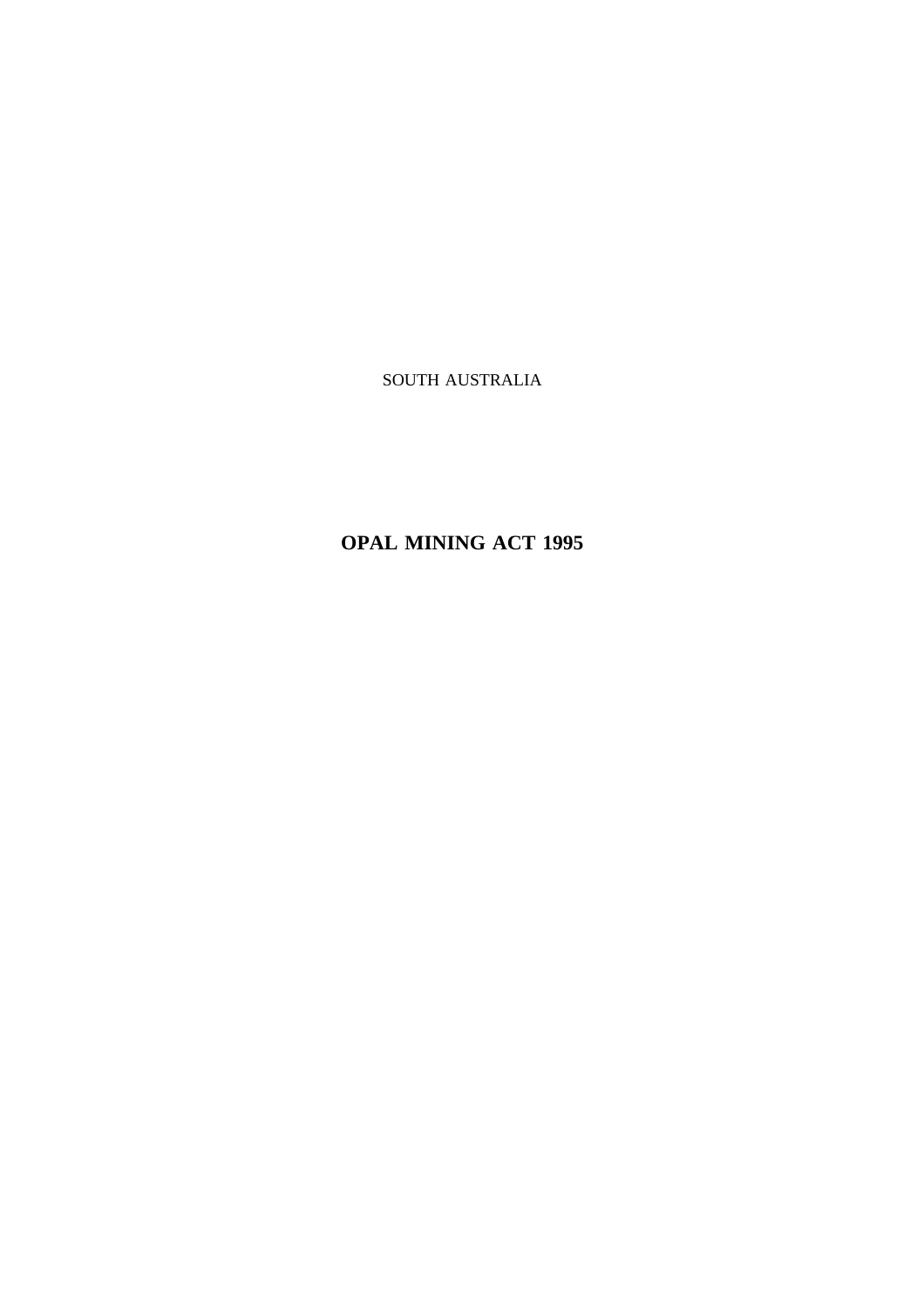SOUTH AUSTRALIA

# **OPAL MINING ACT 1995**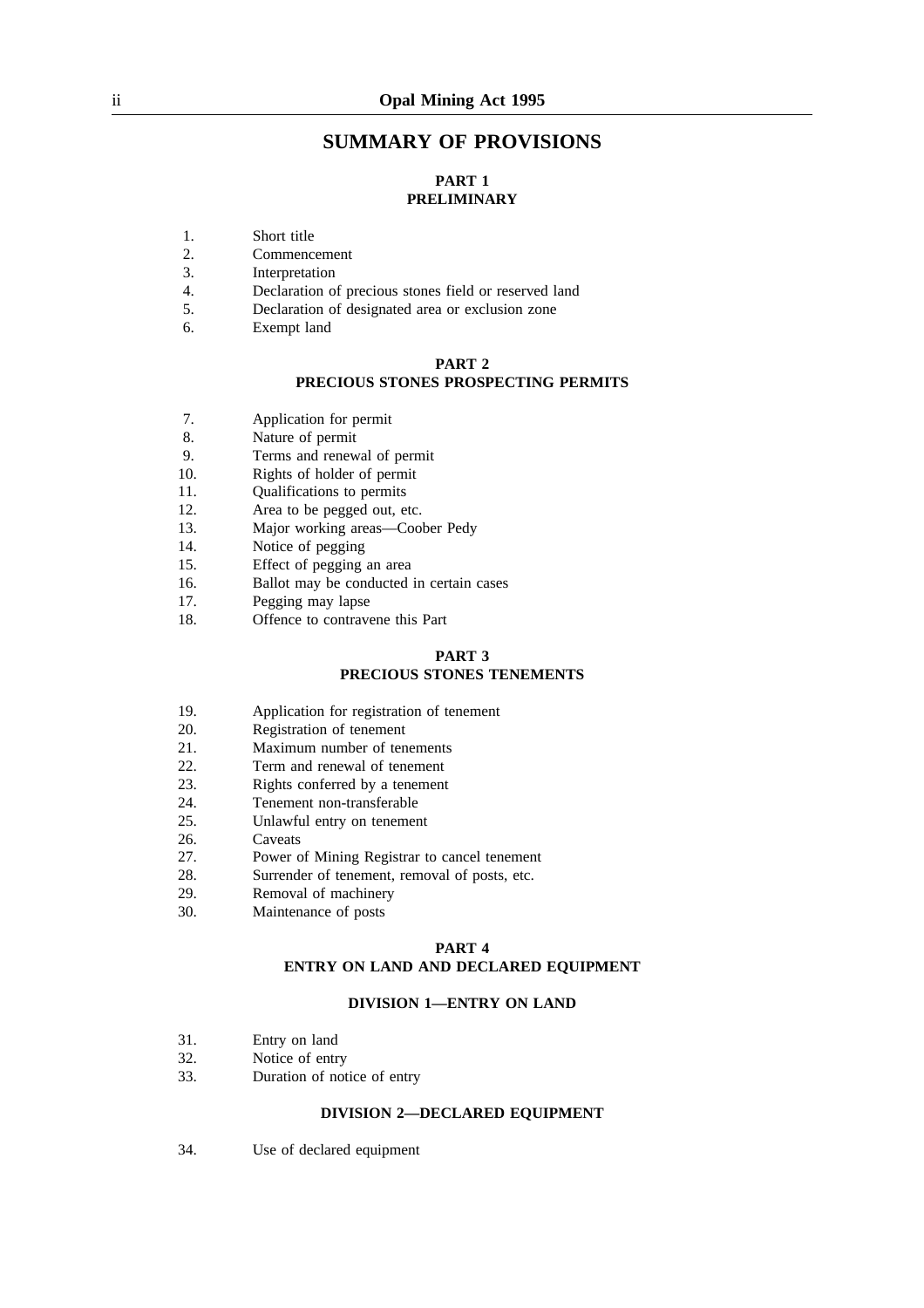## **SUMMARY OF PROVISIONS**

# **PART 1 PRELIMINARY**

- 1. Short title
- 2. Commencement
- 3. Interpretation
- 4. Declaration of precious stones field or reserved land
- 5. Declaration of designated area or exclusion zone
- 6. Exempt land

## **PART 2 PRECIOUS STONES PROSPECTING PERMITS**

- 7. Application for permit
- 8. Nature of permit
- 9. Terms and renewal of permit
- 10. Rights of holder of permit
- 11. Qualifications to permits
- 12. Area to be pegged out, etc.
- 13. Major working areas—Coober Pedy
- 14. Notice of pegging
- 15. Effect of pegging an area
- 16. Ballot may be conducted in certain cases
- 17. Pegging may lapse
- 18. Offence to contravene this Part

## **PART 3 PRECIOUS STONES TENEMENTS**

- 19. Application for registration of tenement
- 20. Registration of tenement
- 21. Maximum number of tenements
- 22. Term and renewal of tenement
- 23. Rights conferred by a tenement
- 24. Tenement non-transferable
- 25. Unlawful entry on tenement
- 26. Caveats
- 27. Power of Mining Registrar to cancel tenement
- 28. Surrender of tenement, removal of posts, etc.
- 29. Removal of machinery
- 30. Maintenance of posts

#### **PART 4**

## **ENTRY ON LAND AND DECLARED EQUIPMENT**

#### **DIVISION 1—ENTRY ON LAND**

- 31. Entry on land
- 32. Notice of entry
- 33. Duration of notice of entry

## **DIVISION 2—DECLARED EQUIPMENT**

34. Use of declared equipment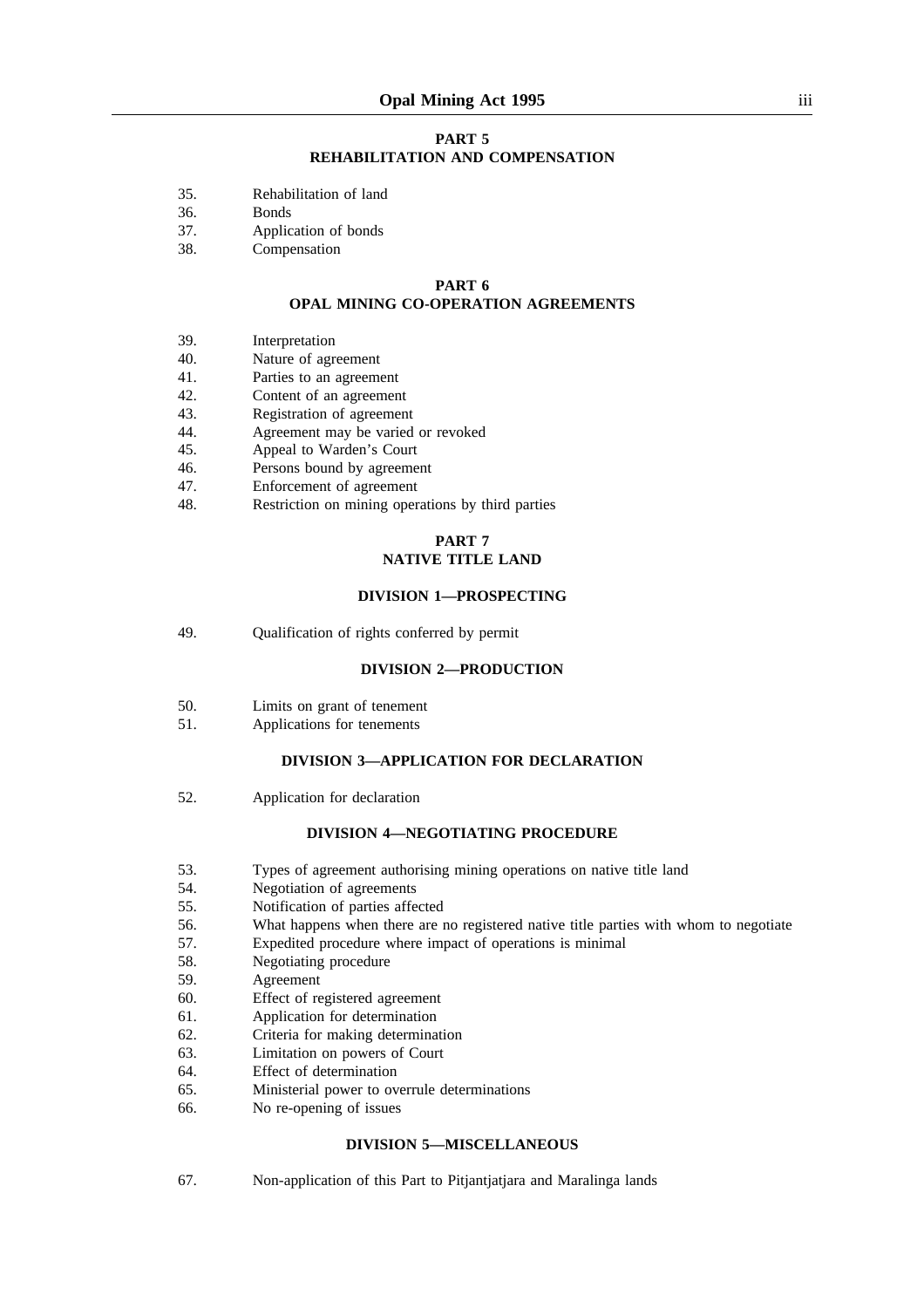#### **PART 5 REHABILITATION AND COMPENSATION**

- 35. Rehabilitation of land
- 36. Bonds
- 37. Application of bonds
- 38. Compensation

#### **PART 6 OPAL MINING CO-OPERATION AGREEMENTS**

- 39. Interpretation
- 40. Nature of agreement
- 41. Parties to an agreement
- 42. Content of an agreement
- 43. Registration of agreement
- 44. Agreement may be varied or revoked
- 45. Appeal to Warden's Court
- 46. Persons bound by agreement
- 47. Enforcement of agreement
- 48. Restriction on mining operations by third parties

#### **PART 7 NATIVE TITLE LAND**

#### **DIVISION 1—PROSPECTING**

49. Qualification of rights conferred by permit

#### **DIVISION 2—PRODUCTION**

- 50. Limits on grant of tenement
- 51. Applications for tenements

## **DIVISION 3—APPLICATION FOR DECLARATION**

52. Application for declaration

#### **DIVISION 4—NEGOTIATING PROCEDURE**

- 53. Types of agreement authorising mining operations on native title land
- 54. Negotiation of agreements
- 55. Notification of parties affected
- 56. What happens when there are no registered native title parties with whom to negotiate
- 57. Expedited procedure where impact of operations is minimal
- 58. Negotiating procedure
- 59. Agreement
- 60. Effect of registered agreement
- 61. Application for determination
- 62. Criteria for making determination
- 63. Limitation on powers of Court
- 64. Effect of determination
- 65. Ministerial power to overrule determinations
- 66. No re-opening of issues

#### **DIVISION 5—MISCELLANEOUS**

67. Non-application of this Part to Pitjantjatjara and Maralinga lands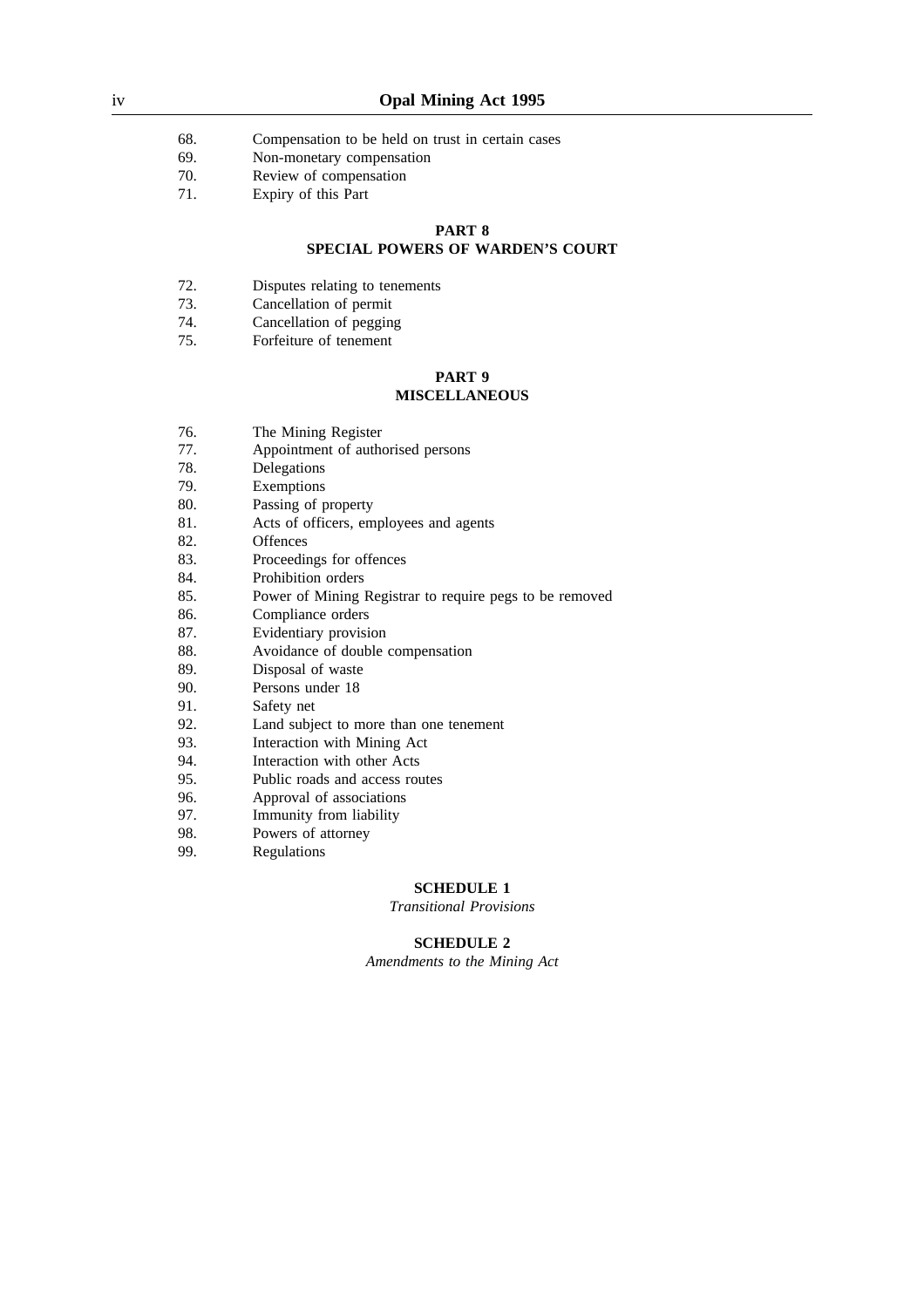- 68. Compensation to be held on trust in certain cases
- 69. Non-monetary compensation
- 70. Review of compensation<br>71. Expiry of this Part
- Expiry of this Part

#### **PART 8**

#### **SPECIAL POWERS OF WARDEN'S COURT**

- 72. Disputes relating to tenements
- 73. Cancellation of permit
- 74. Cancellation of pegging
- 75. Forfeiture of tenement

#### **PART 9 MISCELLANEOUS**

- 76. The Mining Register
- 77. Appointment of authorised persons<br>78. Delegations
- 78. Delegations<br>79. Exemptions
- **Exemptions**
- 80. Passing of property
- 81. Acts of officers, employees and agents
- 82. Offences
- 83. Proceedings for offences
- 84. Prohibition orders
- 85. Power of Mining Registrar to require pegs to be removed
- 86. Compliance orders
- 87. Evidentiary provision
- 88. Avoidance of double compensation
- 89. Disposal of waste
- 90. Persons under 18
- 91. Safety net
- 92. Land subject to more than one tenement
- 93. Interaction with Mining Act<br>94 Interaction with other Acts
- 94. Interaction with other Acts<br>95. Public roads and access rou
- Public roads and access routes
- 96. Approval of associations
- 97. Immunity from liability
- 98. Powers of attorney
- 99. Regulations

#### **SCHEDULE 1**

*Transitional Provisions*

## **SCHEDULE 2**

*Amendments to the Mining Act*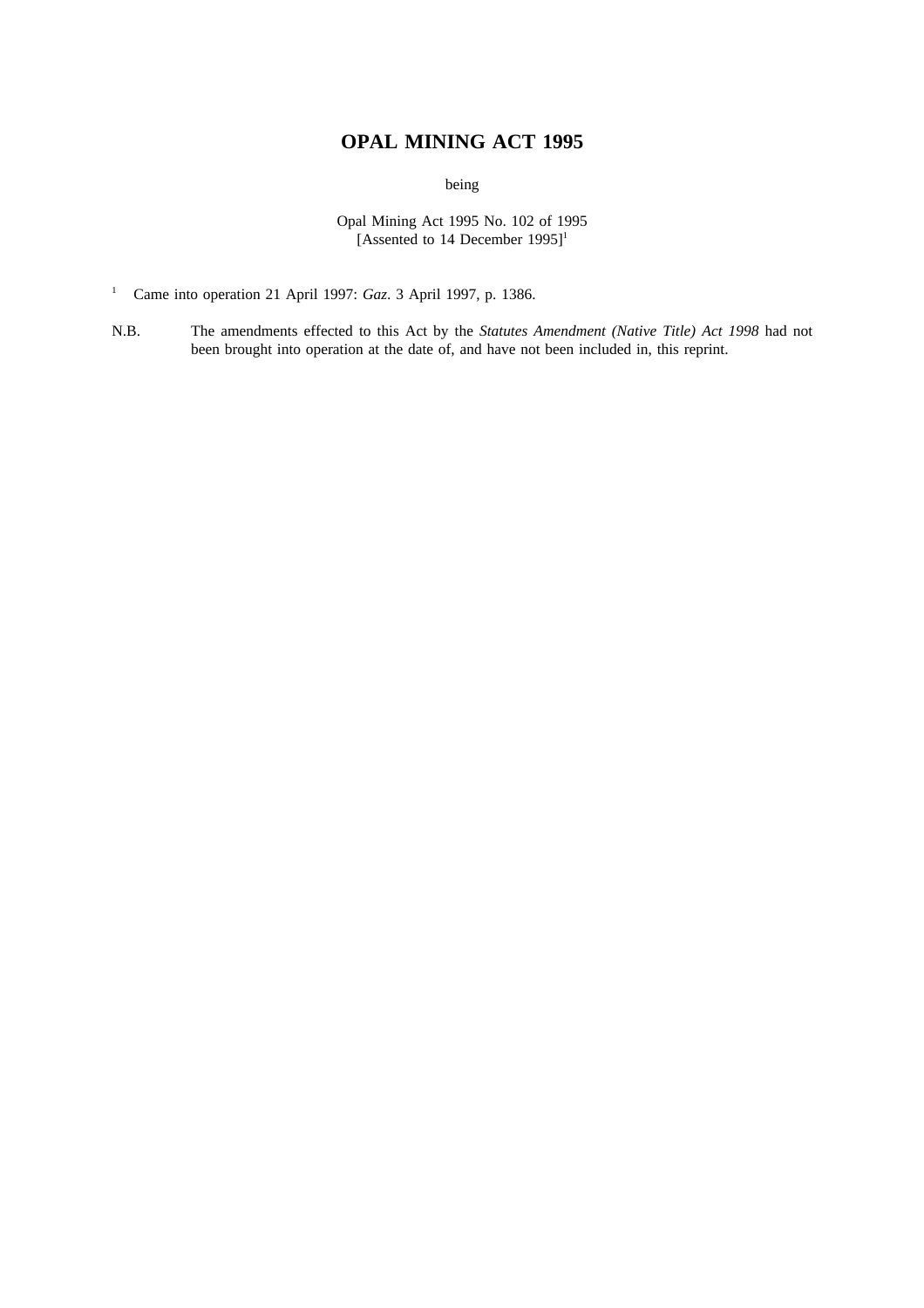# **OPAL MINING ACT 1995**

being

Opal Mining Act 1995 No. 102 of 1995 [Assented to 14 December 1995]<sup>1</sup>

- <sup>1</sup> Came into operation 21 April 1997: *Gaz*. 3 April 1997, p. 1386.
- N.B. The amendments effected to this Act by the *Statutes Amendment (Native Title) Act 1998* had not been brought into operation at the date of, and have not been included in, this reprint.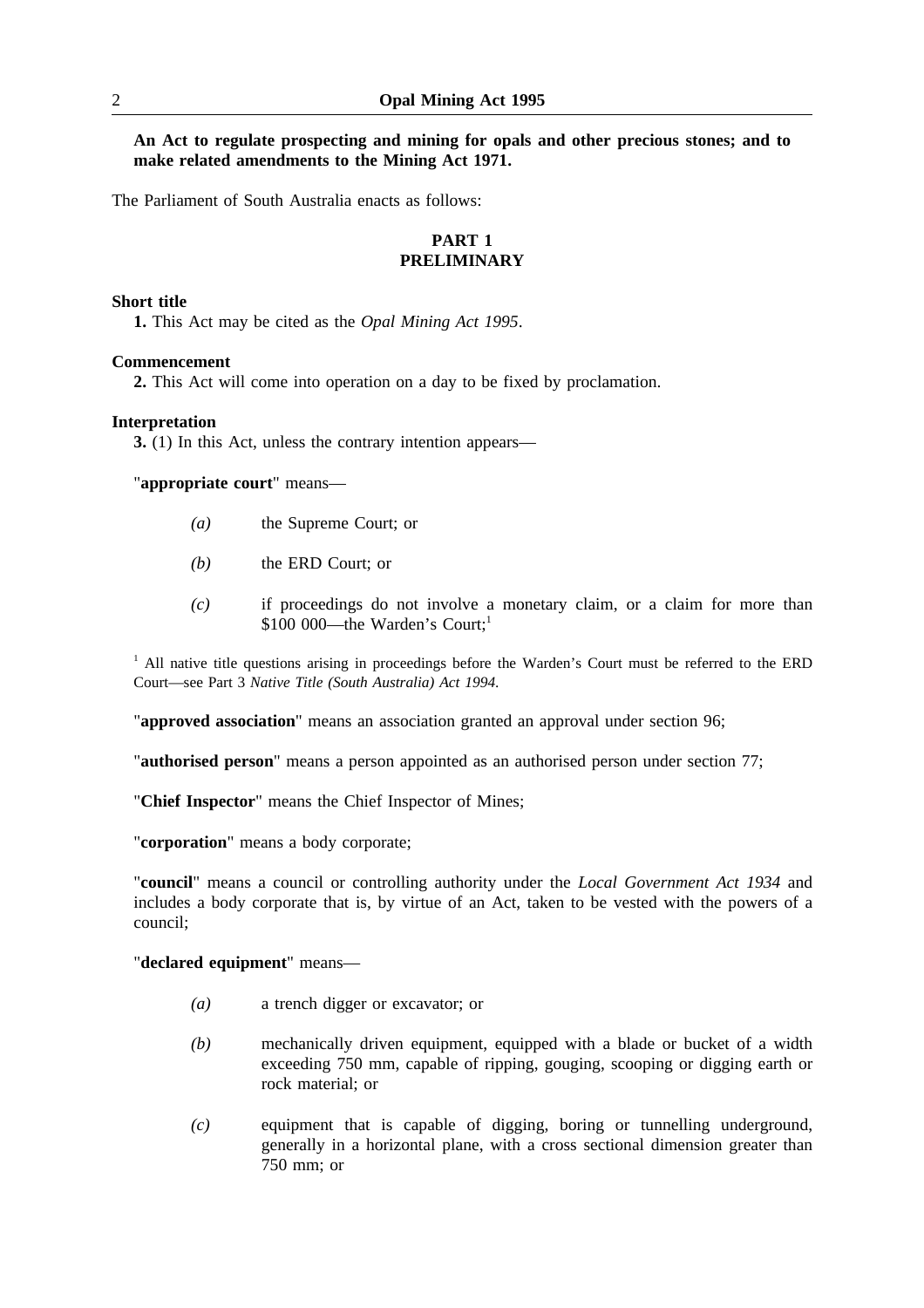**An Act to regulate prospecting and mining for opals and other precious stones; and to make related amendments to the Mining Act 1971.**

The Parliament of South Australia enacts as follows:

## **PART 1 PRELIMINARY**

## **Short title**

**1.** This Act may be cited as the *Opal Mining Act 1995*.

#### **Commencement**

**2.** This Act will come into operation on a day to be fixed by proclamation.

#### **Interpretation**

**3.** (1) In this Act, unless the contrary intention appears—

"**appropriate court**" means—

- *(a)* the Supreme Court; or
- *(b)* the ERD Court; or
- *(c)* if proceedings do not involve a monetary claim, or a claim for more than \$100 000—the Warden's Court:<sup>1</sup>

 $<sup>1</sup>$  All native title questions arising in proceedings before the Warden's Court must be referred to the ERD</sup> Court—see Part 3 *Native Title (South Australia) Act 1994*.

"**approved association**" means an association granted an approval under section 96;

"**authorised person**" means a person appointed as an authorised person under section 77;

"**Chief Inspector**" means the Chief Inspector of Mines;

"**corporation**" means a body corporate;

"**council**" means a council or controlling authority under the *Local Government Act 1934* and includes a body corporate that is, by virtue of an Act, taken to be vested with the powers of a council;

"**declared equipment**" means—

- *(a)* a trench digger or excavator; or
- *(b)* mechanically driven equipment, equipped with a blade or bucket of a width exceeding 750 mm, capable of ripping, gouging, scooping or digging earth or rock material; or
- *(c)* equipment that is capable of digging, boring or tunnelling underground, generally in a horizontal plane, with a cross sectional dimension greater than 750 mm; or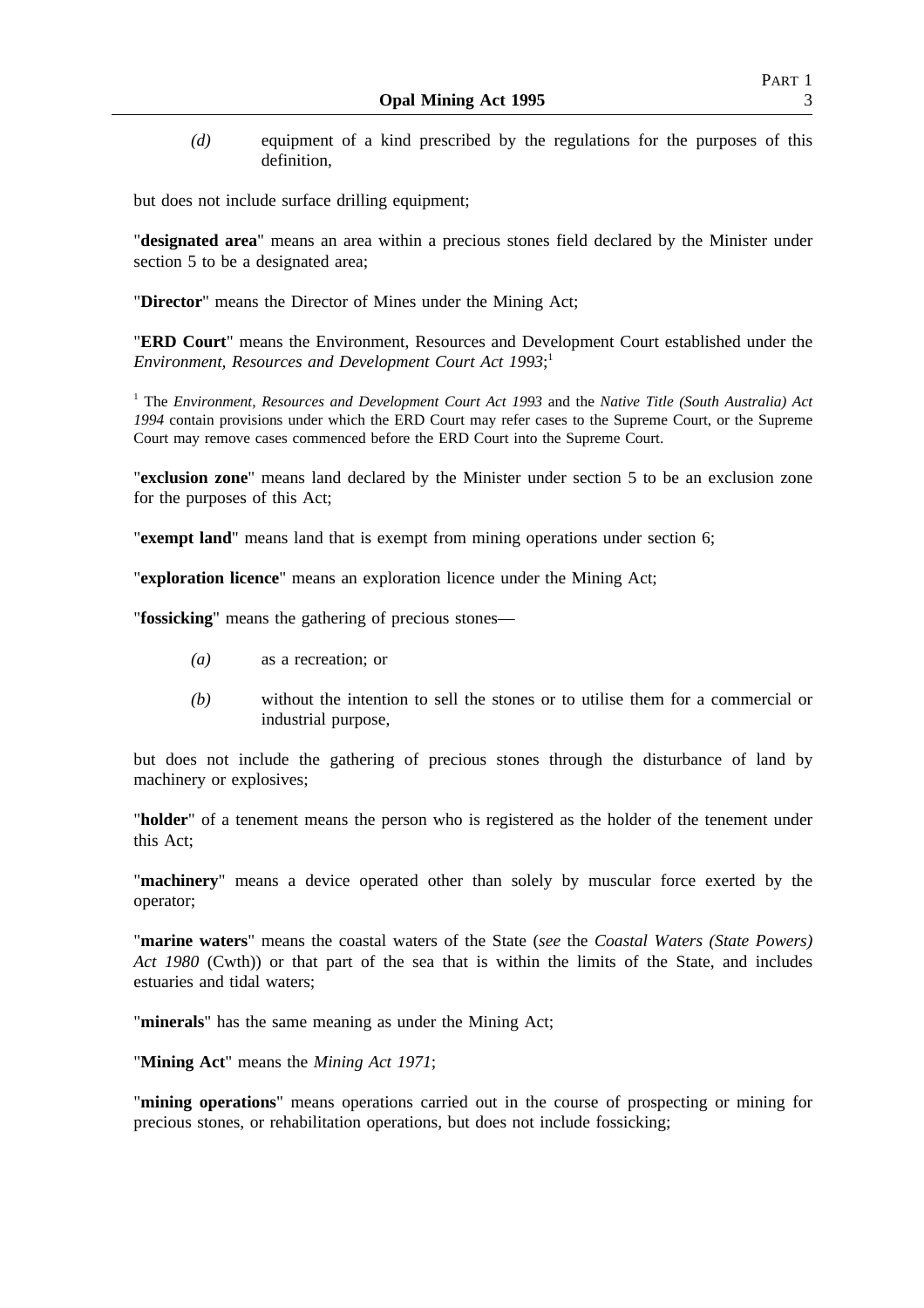*(d)* equipment of a kind prescribed by the regulations for the purposes of this definition,

but does not include surface drilling equipment;

"**designated area**" means an area within a precious stones field declared by the Minister under section 5 to be a designated area;

"**Director**" means the Director of Mines under the Mining Act;

"**ERD Court**" means the Environment, Resources and Development Court established under the *Environment, Resources and Development Court Act 1993*; 1

<sup>1</sup> The *Environment, Resources and Development Court Act 1993* and the *Native Title (South Australia) Act 1994* contain provisions under which the ERD Court may refer cases to the Supreme Court, or the Supreme Court may remove cases commenced before the ERD Court into the Supreme Court.

"**exclusion zone**" means land declared by the Minister under section 5 to be an exclusion zone for the purposes of this Act;

"**exempt land**" means land that is exempt from mining operations under section 6;

"**exploration licence**" means an exploration licence under the Mining Act;

"**fossicking**" means the gathering of precious stones—

- *(a)* as a recreation; or
- *(b)* without the intention to sell the stones or to utilise them for a commercial or industrial purpose,

but does not include the gathering of precious stones through the disturbance of land by machinery or explosives;

"**holder**" of a tenement means the person who is registered as the holder of the tenement under this Act;

"**machinery**" means a device operated other than solely by muscular force exerted by the operator;

"**marine waters**" means the coastal waters of the State (*see* the *Coastal Waters (State Powers) Act 1980* (Cwth)) or that part of the sea that is within the limits of the State, and includes estuaries and tidal waters;

"**minerals**" has the same meaning as under the Mining Act;

"**Mining Act**" means the *Mining Act 1971*;

"**mining operations**" means operations carried out in the course of prospecting or mining for precious stones, or rehabilitation operations, but does not include fossicking;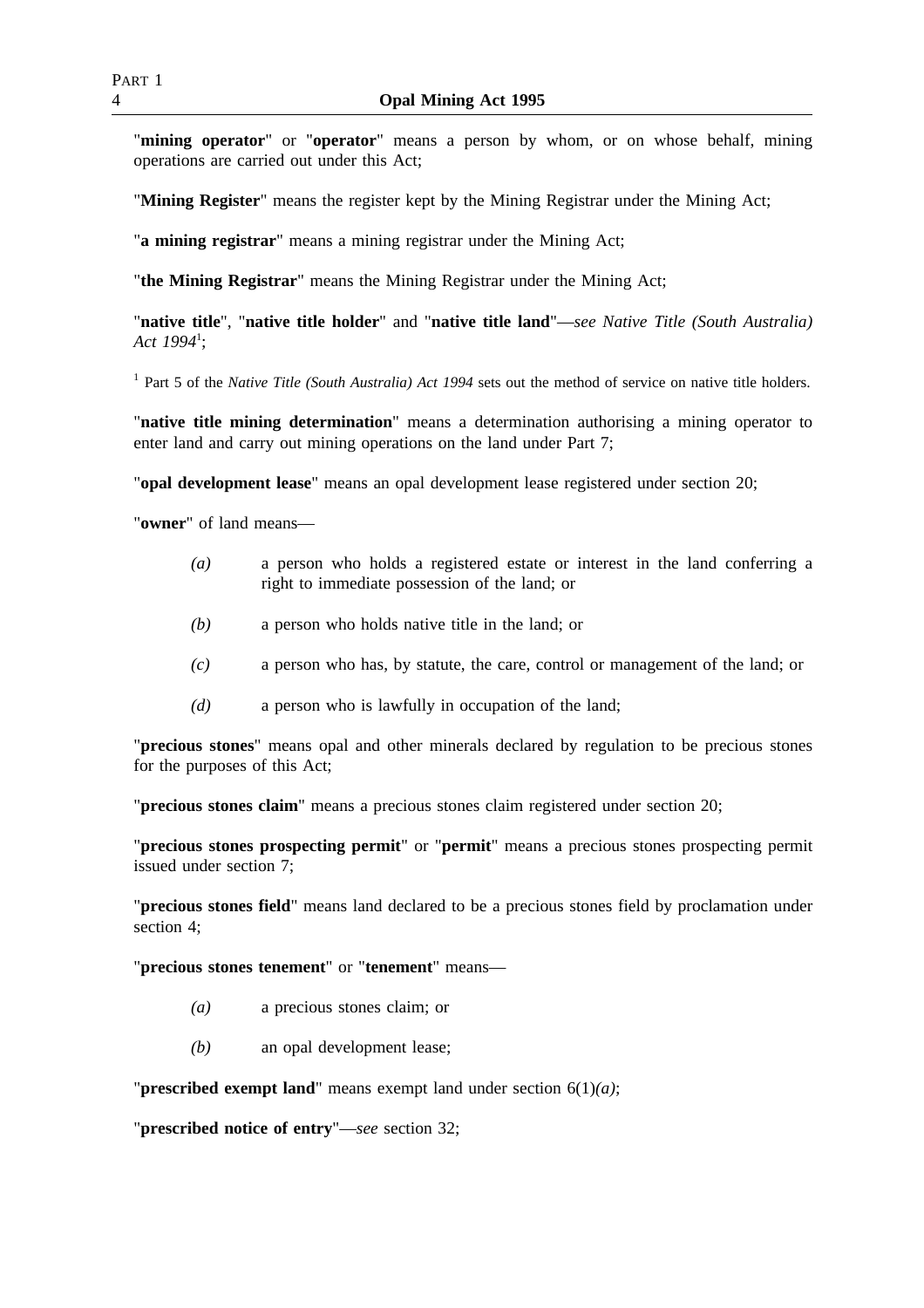"**mining operator**" or "**operator**" means a person by whom, or on whose behalf, mining operations are carried out under this Act;

"**Mining Register**" means the register kept by the Mining Registrar under the Mining Act;

"**a mining registrar**" means a mining registrar under the Mining Act;

"**the Mining Registrar**" means the Mining Registrar under the Mining Act;

"**native title**", "**native title holder**" and "**native title land**"—*see Native Title (South Australia) Act 1994*<sup>1</sup> ;

<sup>1</sup> Part 5 of the *Native Title (South Australia) Act 1994* sets out the method of service on native title holders.

"**native title mining determination**" means a determination authorising a mining operator to enter land and carry out mining operations on the land under Part 7;

"**opal development lease**" means an opal development lease registered under section 20;

"**owner**" of land means—

- *(a)* a person who holds a registered estate or interest in the land conferring a right to immediate possession of the land; or
- *(b)* a person who holds native title in the land; or
- *(c)* a person who has, by statute, the care, control or management of the land; or
- *(d)* a person who is lawfully in occupation of the land;

"**precious stones**" means opal and other minerals declared by regulation to be precious stones for the purposes of this Act;

"**precious stones claim**" means a precious stones claim registered under section 20;

"**precious stones prospecting permit**" or "**permit**" means a precious stones prospecting permit issued under section 7;

"**precious stones field**" means land declared to be a precious stones field by proclamation under section 4;

"**precious stones tenement**" or "**tenement**" means—

- *(a)* a precious stones claim; or
- *(b)* an opal development lease;

"**prescribed exempt land**" means exempt land under section 6(1)*(a)*;

"**prescribed notice of entry**"—*see* section 32;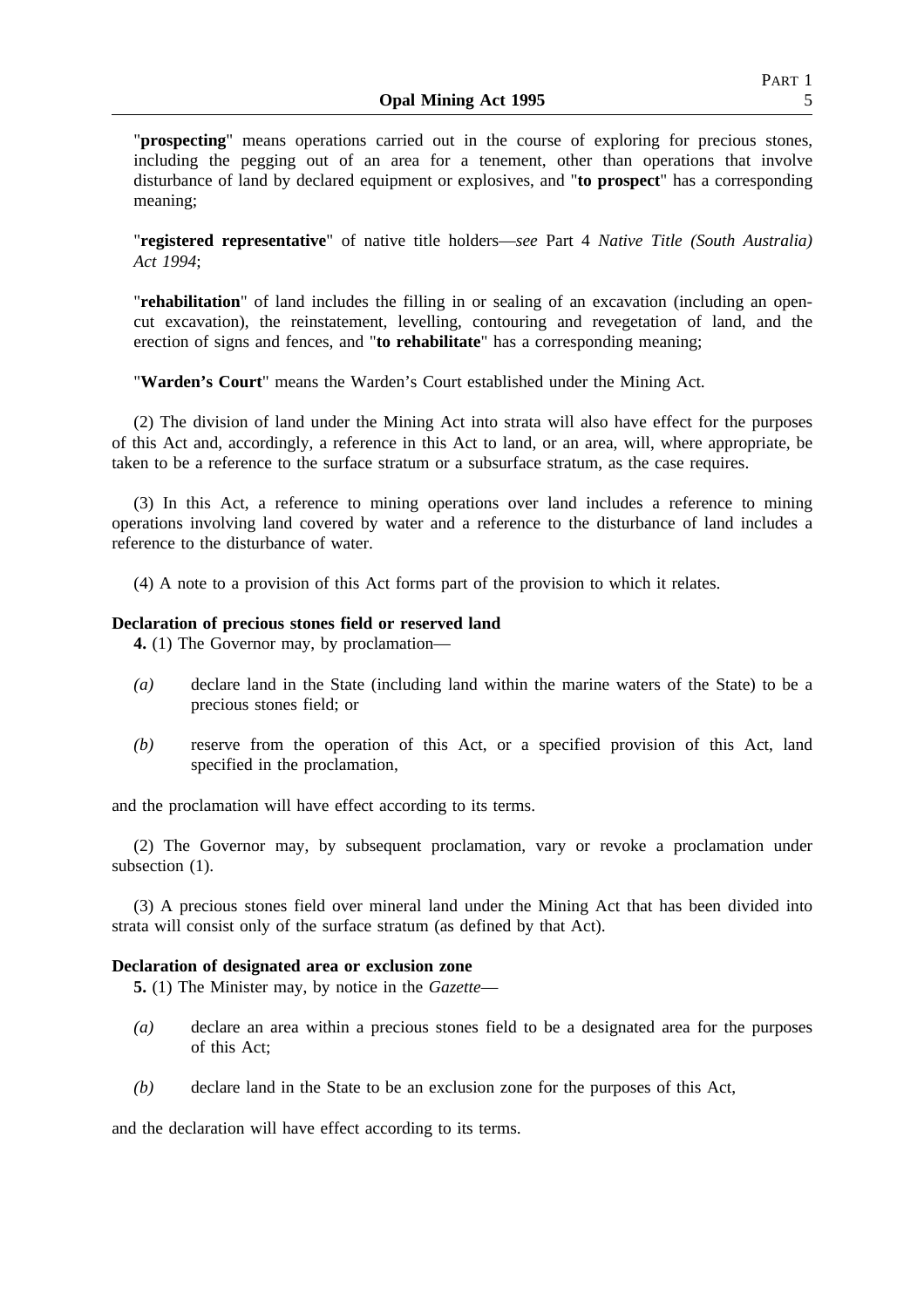"**prospecting**" means operations carried out in the course of exploring for precious stones, including the pegging out of an area for a tenement, other than operations that involve disturbance of land by declared equipment or explosives, and "**to prospect**" has a corresponding meaning;

"**registered representative**" of native title holders—*see* Part 4 *Native Title (South Australia) Act 1994*;

"**rehabilitation**" of land includes the filling in or sealing of an excavation (including an opencut excavation), the reinstatement, levelling, contouring and revegetation of land, and the erection of signs and fences, and "**to rehabilitate**" has a corresponding meaning;

"**Warden's Court**" means the Warden's Court established under the Mining Act.

(2) The division of land under the Mining Act into strata will also have effect for the purposes of this Act and, accordingly, a reference in this Act to land, or an area, will, where appropriate, be taken to be a reference to the surface stratum or a subsurface stratum, as the case requires.

(3) In this Act, a reference to mining operations over land includes a reference to mining operations involving land covered by water and a reference to the disturbance of land includes a reference to the disturbance of water.

(4) A note to a provision of this Act forms part of the provision to which it relates.

#### **Declaration of precious stones field or reserved land**

**4.** (1) The Governor may, by proclamation—

- *(a)* declare land in the State (including land within the marine waters of the State) to be a precious stones field; or
- *(b)* reserve from the operation of this Act, or a specified provision of this Act, land specified in the proclamation,

and the proclamation will have effect according to its terms.

(2) The Governor may, by subsequent proclamation, vary or revoke a proclamation under subsection  $(1)$ .

(3) A precious stones field over mineral land under the Mining Act that has been divided into strata will consist only of the surface stratum (as defined by that Act).

#### **Declaration of designated area or exclusion zone**

**5.** (1) The Minister may, by notice in the *Gazette*—

- *(a)* declare an area within a precious stones field to be a designated area for the purposes of this Act;
- *(b)* declare land in the State to be an exclusion zone for the purposes of this Act,

and the declaration will have effect according to its terms.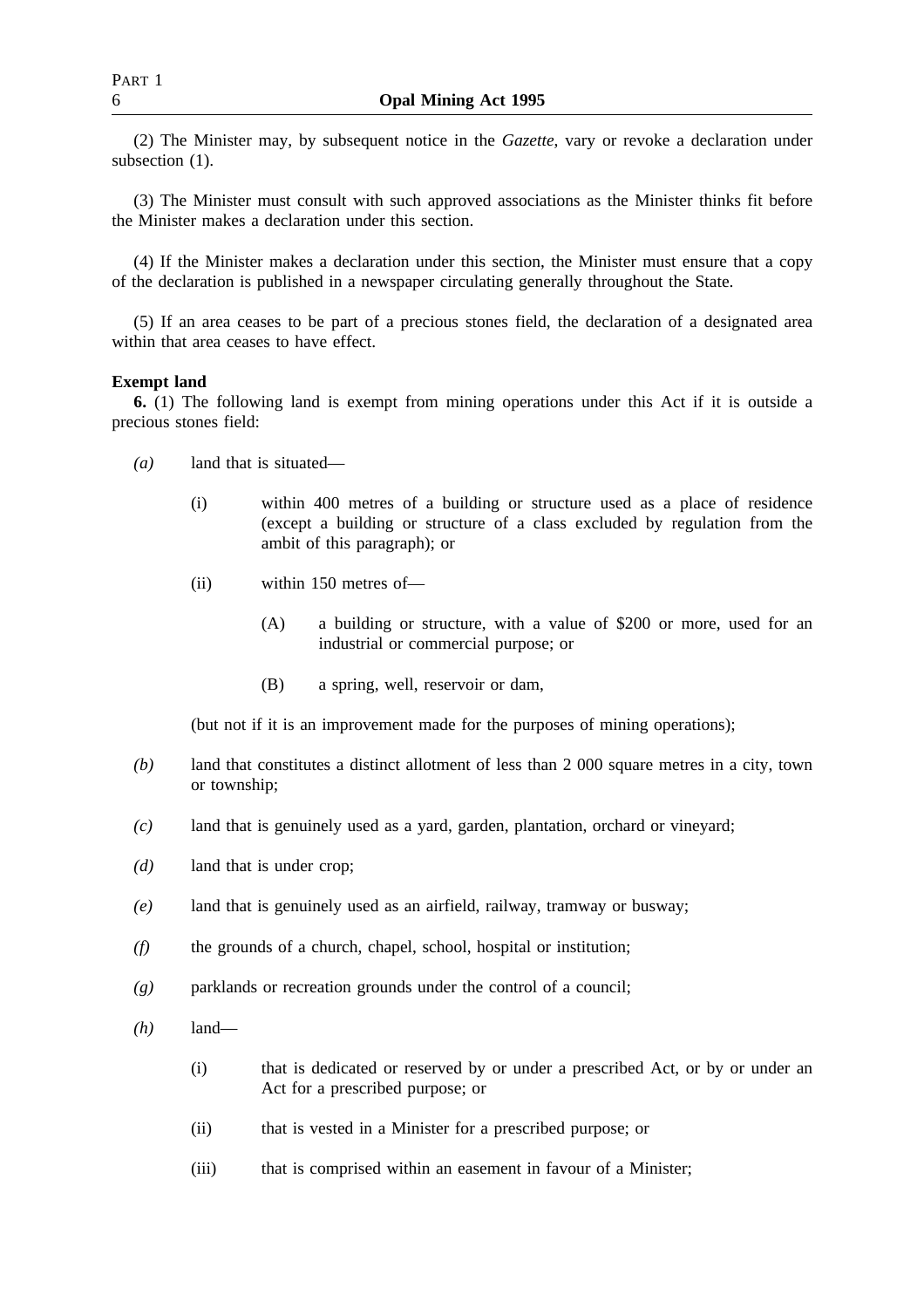(2) The Minister may, by subsequent notice in the *Gazette*, vary or revoke a declaration under subsection  $(1)$ .

(3) The Minister must consult with such approved associations as the Minister thinks fit before the Minister makes a declaration under this section.

(4) If the Minister makes a declaration under this section, the Minister must ensure that a copy of the declaration is published in a newspaper circulating generally throughout the State.

(5) If an area ceases to be part of a precious stones field, the declaration of a designated area within that area ceases to have effect.

## **Exempt land**

**6.** (1) The following land is exempt from mining operations under this Act if it is outside a precious stones field:

- *(a)* land that is situated—
	- (i) within 400 metres of a building or structure used as a place of residence (except a building or structure of a class excluded by regulation from the ambit of this paragraph); or
	- (ii) within 150 metres of—
		- (A) a building or structure, with a value of \$200 or more, used for an industrial or commercial purpose; or
		- (B) a spring, well, reservoir or dam,

(but not if it is an improvement made for the purposes of mining operations);

- *(b)* land that constitutes a distinct allotment of less than 2 000 square metres in a city, town or township;
- *(c)* land that is genuinely used as a yard, garden, plantation, orchard or vineyard;
- *(d)* land that is under crop;
- *(e)* land that is genuinely used as an airfield, railway, tramway or busway;
- *(f)* the grounds of a church, chapel, school, hospital or institution;
- *(g)* parklands or recreation grounds under the control of a council;
- *(h)* land—
	- (i) that is dedicated or reserved by or under a prescribed Act, or by or under an Act for a prescribed purpose; or
	- (ii) that is vested in a Minister for a prescribed purpose; or
	- (iii) that is comprised within an easement in favour of a Minister;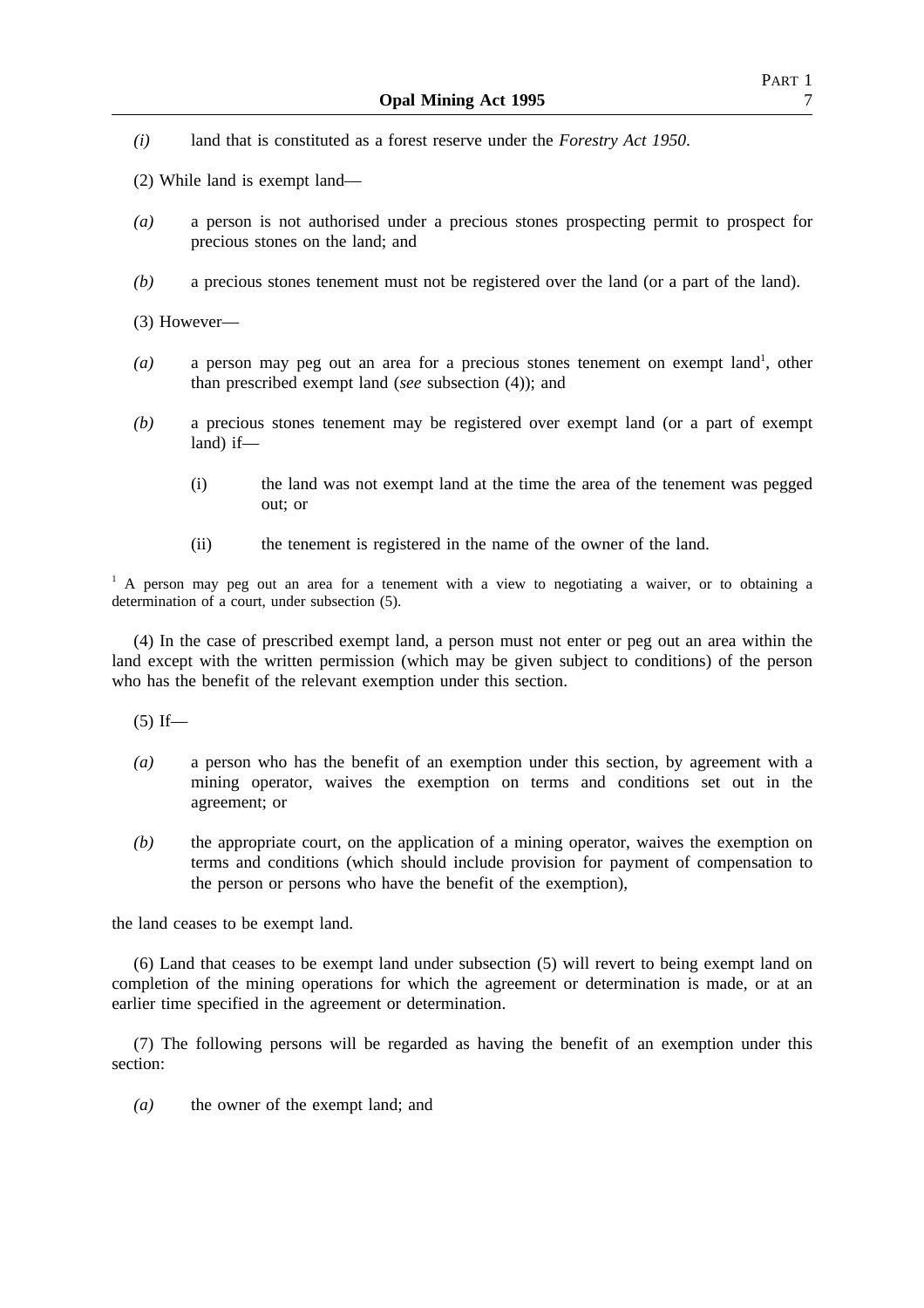- *(i)* land that is constituted as a forest reserve under the *Forestry Act 1950*.
- (2) While land is exempt land—
- *(a)* a person is not authorised under a precious stones prospecting permit to prospect for precious stones on the land; and
- *(b)* a precious stones tenement must not be registered over the land (or a part of the land).

(3) However—

- (a) a person may peg out an area for a precious stones tenement on exempt land<sup>1</sup>, other than prescribed exempt land (*see* subsection (4)); and
- *(b)* a precious stones tenement may be registered over exempt land (or a part of exempt land) if—
	- (i) the land was not exempt land at the time the area of the tenement was pegged out; or
	- (ii) the tenement is registered in the name of the owner of the land.

 $<sup>1</sup>$  A person may peg out an area for a tenement with a view to negotiating a waiver, or to obtaining a</sup> determination of a court, under subsection (5).

(4) In the case of prescribed exempt land, a person must not enter or peg out an area within the land except with the written permission (which may be given subject to conditions) of the person who has the benefit of the relevant exemption under this section.

 $(5)$  If—

- *(a)* a person who has the benefit of an exemption under this section, by agreement with a mining operator, waives the exemption on terms and conditions set out in the agreement; or
- *(b)* the appropriate court, on the application of a mining operator, waives the exemption on terms and conditions (which should include provision for payment of compensation to the person or persons who have the benefit of the exemption),

the land ceases to be exempt land.

(6) Land that ceases to be exempt land under subsection (5) will revert to being exempt land on completion of the mining operations for which the agreement or determination is made, or at an earlier time specified in the agreement or determination.

(7) The following persons will be regarded as having the benefit of an exemption under this section:

*(a)* the owner of the exempt land; and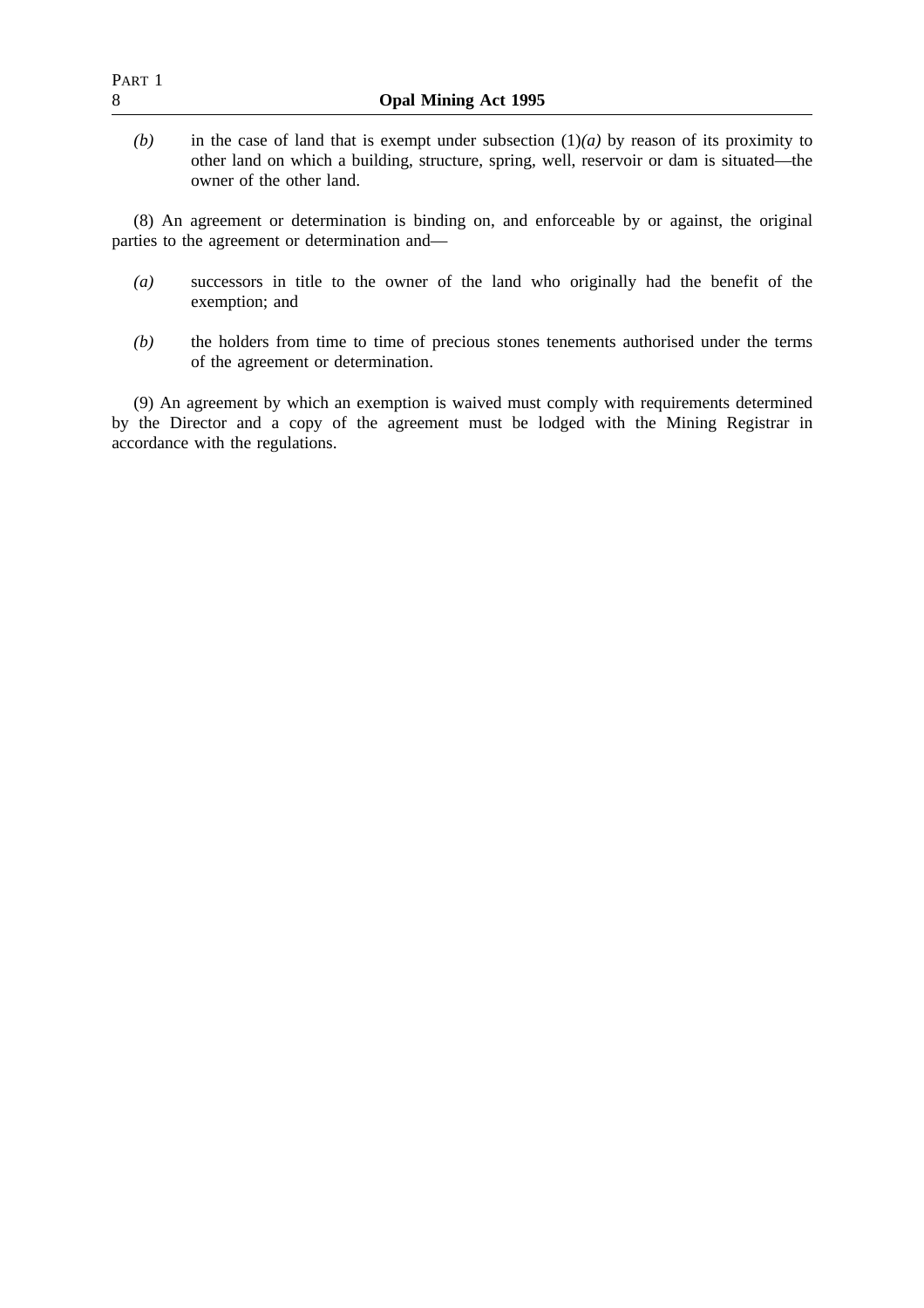| PART 1<br>8 | <b>Opal Mining Act 1995</b>                                                                                                                                                             |
|-------------|-----------------------------------------------------------------------------------------------------------------------------------------------------------------------------------------|
| (b)         | in the case of land that is exempt under subsection $(1)(a)$ by reason of its proximity to<br>other land on which a building, structure, spring, well, reservoir or dam is situated—the |
|             | owner of the other land.                                                                                                                                                                |

(8) An agreement or determination is binding on, and enforceable by or against, the original parties to the agreement or determination and—

- *(a)* successors in title to the owner of the land who originally had the benefit of the exemption; and
- *(b)* the holders from time to time of precious stones tenements authorised under the terms of the agreement or determination.

(9) An agreement by which an exemption is waived must comply with requirements determined by the Director and a copy of the agreement must be lodged with the Mining Registrar in accordance with the regulations.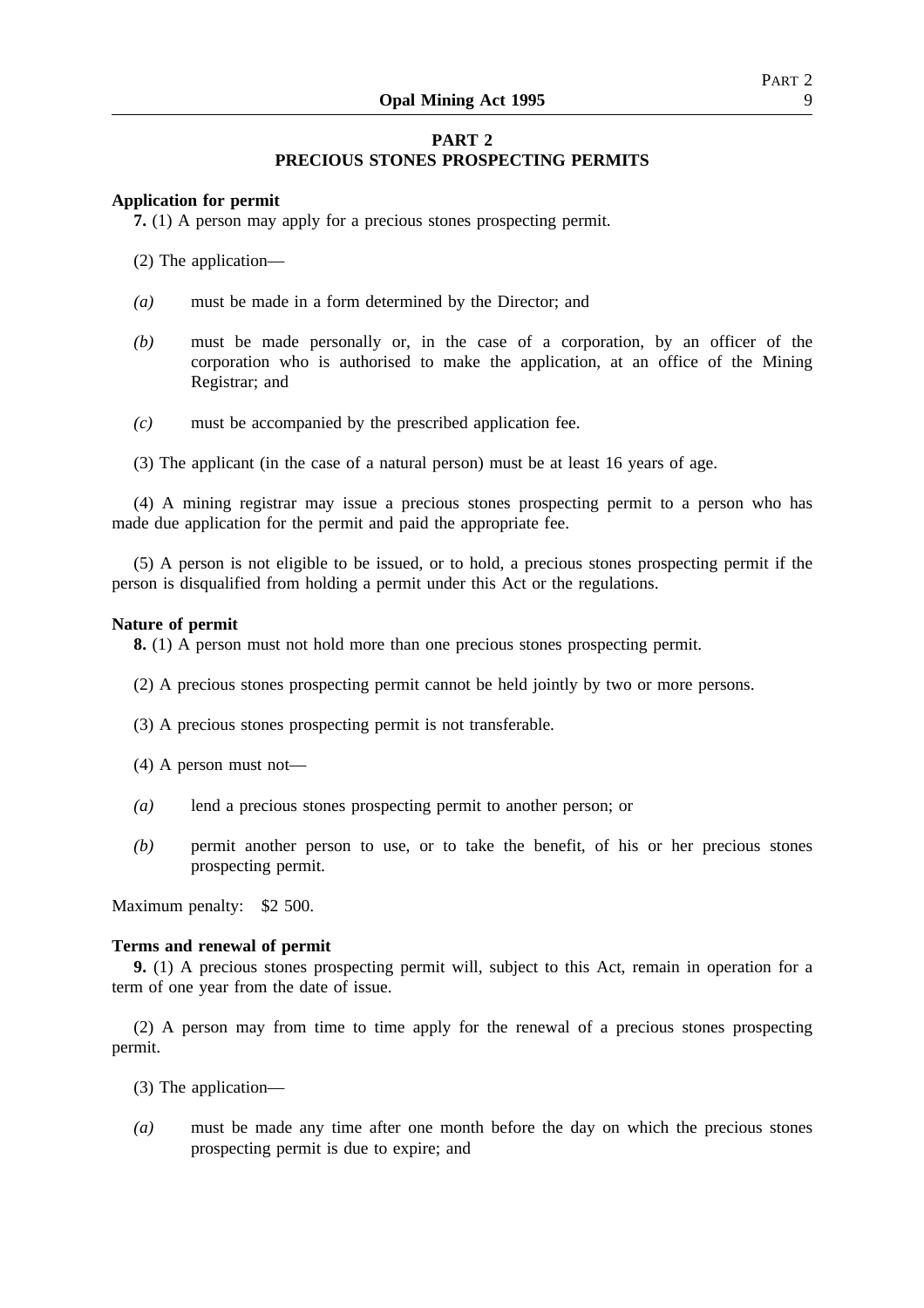# **PART 2 PRECIOUS STONES PROSPECTING PERMITS**

## **Application for permit**

**7.** (1) A person may apply for a precious stones prospecting permit.

(2) The application—

- *(a)* must be made in a form determined by the Director; and
- *(b)* must be made personally or, in the case of a corporation, by an officer of the corporation who is authorised to make the application, at an office of the Mining Registrar; and
- *(c)* must be accompanied by the prescribed application fee.
- (3) The applicant (in the case of a natural person) must be at least 16 years of age.

(4) A mining registrar may issue a precious stones prospecting permit to a person who has made due application for the permit and paid the appropriate fee.

(5) A person is not eligible to be issued, or to hold, a precious stones prospecting permit if the person is disqualified from holding a permit under this Act or the regulations.

## **Nature of permit**

**8.** (1) A person must not hold more than one precious stones prospecting permit.

- (2) A precious stones prospecting permit cannot be held jointly by two or more persons.
- (3) A precious stones prospecting permit is not transferable.
- (4) A person must not—
- *(a)* lend a precious stones prospecting permit to another person; or
- *(b)* permit another person to use, or to take the benefit, of his or her precious stones prospecting permit.

Maximum penalty: \$2 500.

## **Terms and renewal of permit**

**9.** (1) A precious stones prospecting permit will, subject to this Act, remain in operation for a term of one year from the date of issue.

(2) A person may from time to time apply for the renewal of a precious stones prospecting permit.

- (3) The application—
- *(a)* must be made any time after one month before the day on which the precious stones prospecting permit is due to expire; and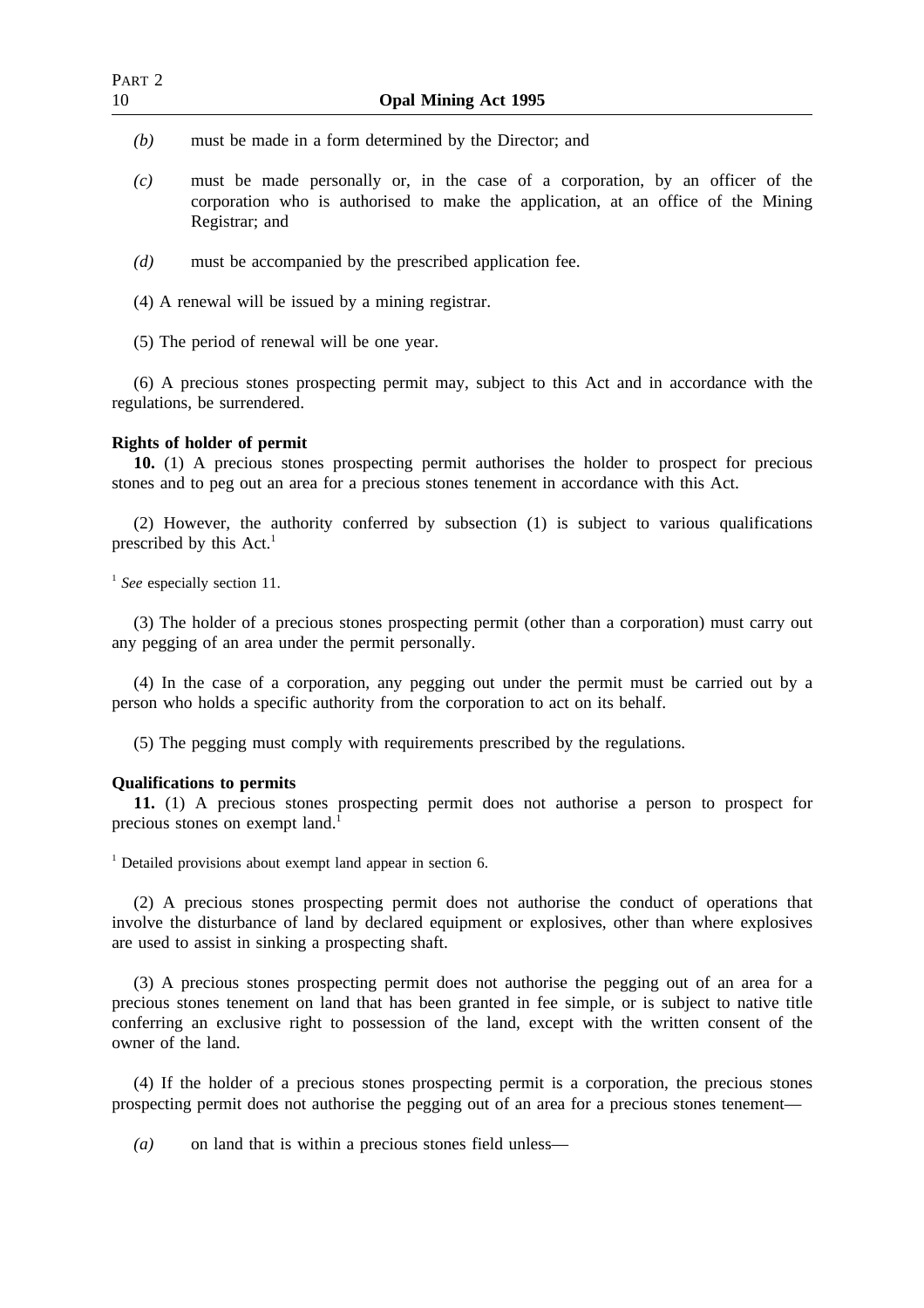- *(b)* must be made in a form determined by the Director; and
- *(c)* must be made personally or, in the case of a corporation, by an officer of the corporation who is authorised to make the application, at an office of the Mining Registrar; and
- *(d)* must be accompanied by the prescribed application fee.
- (4) A renewal will be issued by a mining registrar.
- (5) The period of renewal will be one year.

(6) A precious stones prospecting permit may, subject to this Act and in accordance with the regulations, be surrendered.

## **Rights of holder of permit**

**10.** (1) A precious stones prospecting permit authorises the holder to prospect for precious stones and to peg out an area for a precious stones tenement in accordance with this Act.

(2) However, the authority conferred by subsection (1) is subject to various qualifications prescribed by this  $Act.1$ 

<sup>1</sup> See especially section 11.

(3) The holder of a precious stones prospecting permit (other than a corporation) must carry out any pegging of an area under the permit personally.

(4) In the case of a corporation, any pegging out under the permit must be carried out by a person who holds a specific authority from the corporation to act on its behalf.

(5) The pegging must comply with requirements prescribed by the regulations.

## **Qualifications to permits**

**11.** (1) A precious stones prospecting permit does not authorise a person to prospect for precious stones on exempt land.<sup>1</sup>

<sup>1</sup> Detailed provisions about exempt land appear in section 6.

(2) A precious stones prospecting permit does not authorise the conduct of operations that involve the disturbance of land by declared equipment or explosives, other than where explosives are used to assist in sinking a prospecting shaft.

(3) A precious stones prospecting permit does not authorise the pegging out of an area for a precious stones tenement on land that has been granted in fee simple, or is subject to native title conferring an exclusive right to possession of the land, except with the written consent of the owner of the land.

(4) If the holder of a precious stones prospecting permit is a corporation, the precious stones prospecting permit does not authorise the pegging out of an area for a precious stones tenement—

*(a)* on land that is within a precious stones field unless—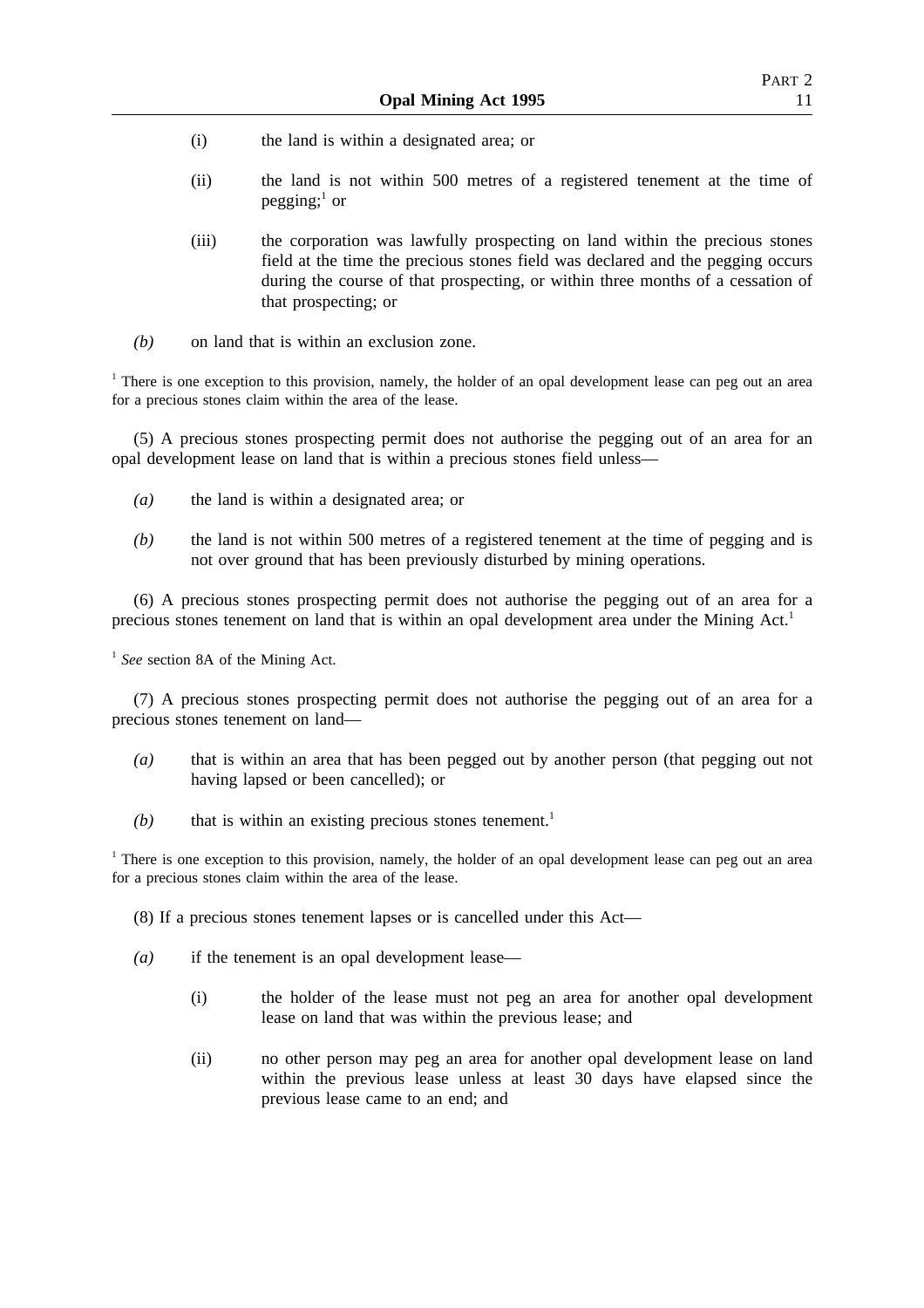- (i) the land is within a designated area; or
- (ii) the land is not within 500 metres of a registered tenement at the time of pegging; $<sup>1</sup>$  or</sup>
- (iii) the corporation was lawfully prospecting on land within the precious stones field at the time the precious stones field was declared and the pegging occurs during the course of that prospecting, or within three months of a cessation of that prospecting; or
- *(b)* on land that is within an exclusion zone.

<sup>1</sup> There is one exception to this provision, namely, the holder of an opal development lease can peg out an area for a precious stones claim within the area of the lease.

(5) A precious stones prospecting permit does not authorise the pegging out of an area for an opal development lease on land that is within a precious stones field unless—

- *(a)* the land is within a designated area; or
- *(b)* the land is not within 500 metres of a registered tenement at the time of pegging and is not over ground that has been previously disturbed by mining operations.

(6) A precious stones prospecting permit does not authorise the pegging out of an area for a precious stones tenement on land that is within an opal development area under the Mining Act.<sup>1</sup>

<sup>1</sup> *See* section 8A of the Mining Act.

(7) A precious stones prospecting permit does not authorise the pegging out of an area for a precious stones tenement on land—

- *(a)* that is within an area that has been pegged out by another person (that pegging out not having lapsed or been cancelled); or
- $(b)$  that is within an existing precious stones tenement.<sup>1</sup>

<sup>1</sup> There is one exception to this provision, namely, the holder of an opal development lease can peg out an area for a precious stones claim within the area of the lease.

- (8) If a precious stones tenement lapses or is cancelled under this Act—
- *(a)* if the tenement is an opal development lease—
	- (i) the holder of the lease must not peg an area for another opal development lease on land that was within the previous lease; and
	- (ii) no other person may peg an area for another opal development lease on land within the previous lease unless at least 30 days have elapsed since the previous lease came to an end; and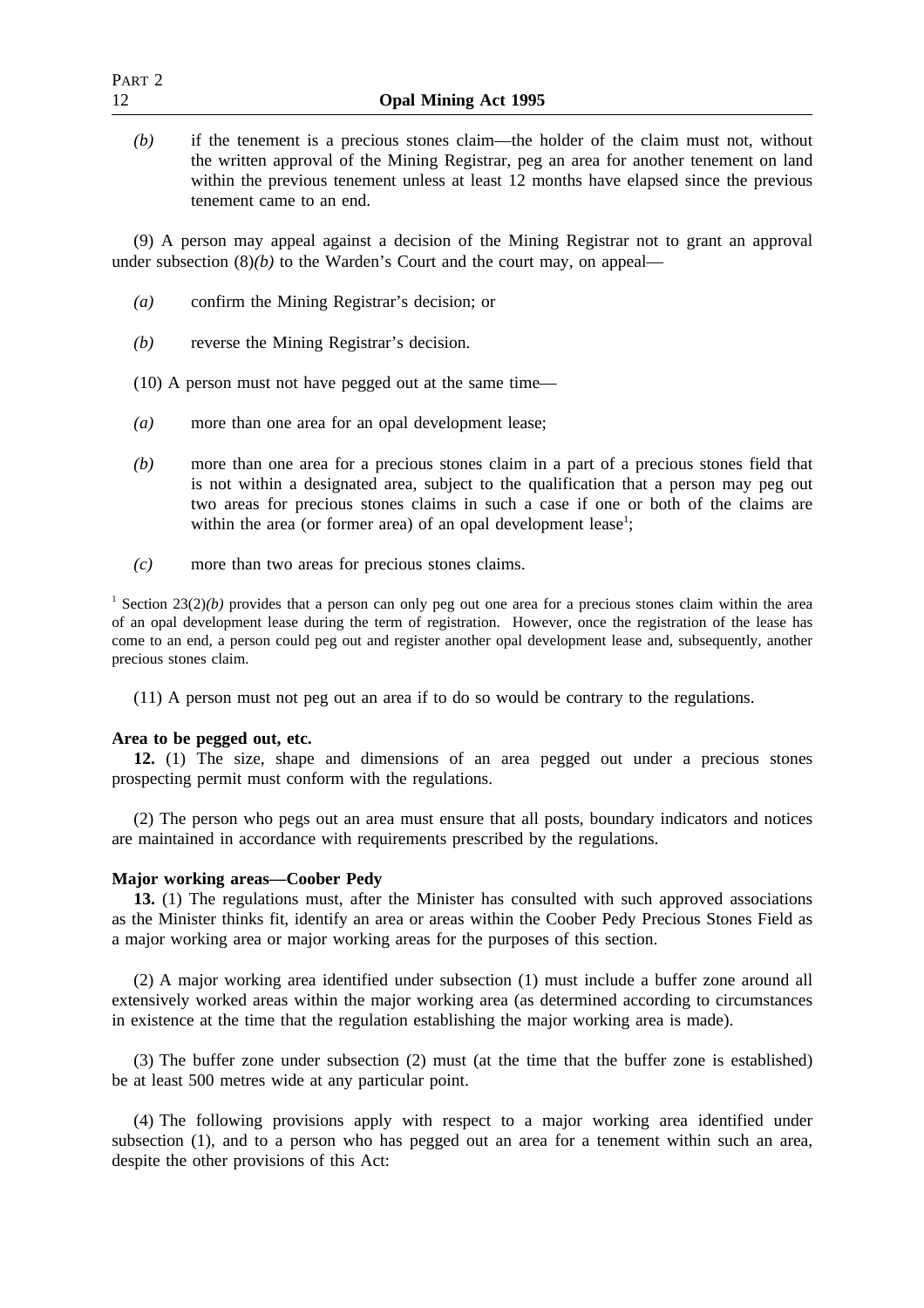| Part 2 |                                                                                     |
|--------|-------------------------------------------------------------------------------------|
|        | <b>Opal Mining Act 1995</b>                                                         |
|        | if the tenement is a precious stones claim the holder of the claim must not without |

*(b)* if the tenement is a precious stones claim—the holder of the claim must not, without the written approval of the Mining Registrar, peg an area for another tenement on land within the previous tenement unless at least 12 months have elapsed since the previous tenement came to an end.

(9) A person may appeal against a decision of the Mining Registrar not to grant an approval under subsection  $(8)(b)$  to the Warden's Court and the court may, on appeal—

- *(a)* confirm the Mining Registrar's decision; or
- *(b)* reverse the Mining Registrar's decision.

(10) A person must not have pegged out at the same time—

- *(a)* more than one area for an opal development lease;
- *(b)* more than one area for a precious stones claim in a part of a precious stones field that is not within a designated area, subject to the qualification that a person may peg out two areas for precious stones claims in such a case if one or both of the claims are within the area (or former area) of an opal development lease<sup>1</sup>;
- *(c)* more than two areas for precious stones claims.

<sup>1</sup> Section 23(2)(b) provides that a person can only peg out one area for a precious stones claim within the area of an opal development lease during the term of registration. However, once the registration of the lease has come to an end, a person could peg out and register another opal development lease and, subsequently, another precious stones claim.

(11) A person must not peg out an area if to do so would be contrary to the regulations.

## **Area to be pegged out, etc.**

**12.** (1) The size, shape and dimensions of an area pegged out under a precious stones prospecting permit must conform with the regulations.

(2) The person who pegs out an area must ensure that all posts, boundary indicators and notices are maintained in accordance with requirements prescribed by the regulations.

## **Major working areas—Coober Pedy**

**13.** (1) The regulations must, after the Minister has consulted with such approved associations as the Minister thinks fit, identify an area or areas within the Coober Pedy Precious Stones Field as a major working area or major working areas for the purposes of this section.

(2) A major working area identified under subsection (1) must include a buffer zone around all extensively worked areas within the major working area (as determined according to circumstances in existence at the time that the regulation establishing the major working area is made).

(3) The buffer zone under subsection (2) must (at the time that the buffer zone is established) be at least 500 metres wide at any particular point.

(4) The following provisions apply with respect to a major working area identified under subsection (1), and to a person who has pegged out an area for a tenement within such an area, despite the other provisions of this Act: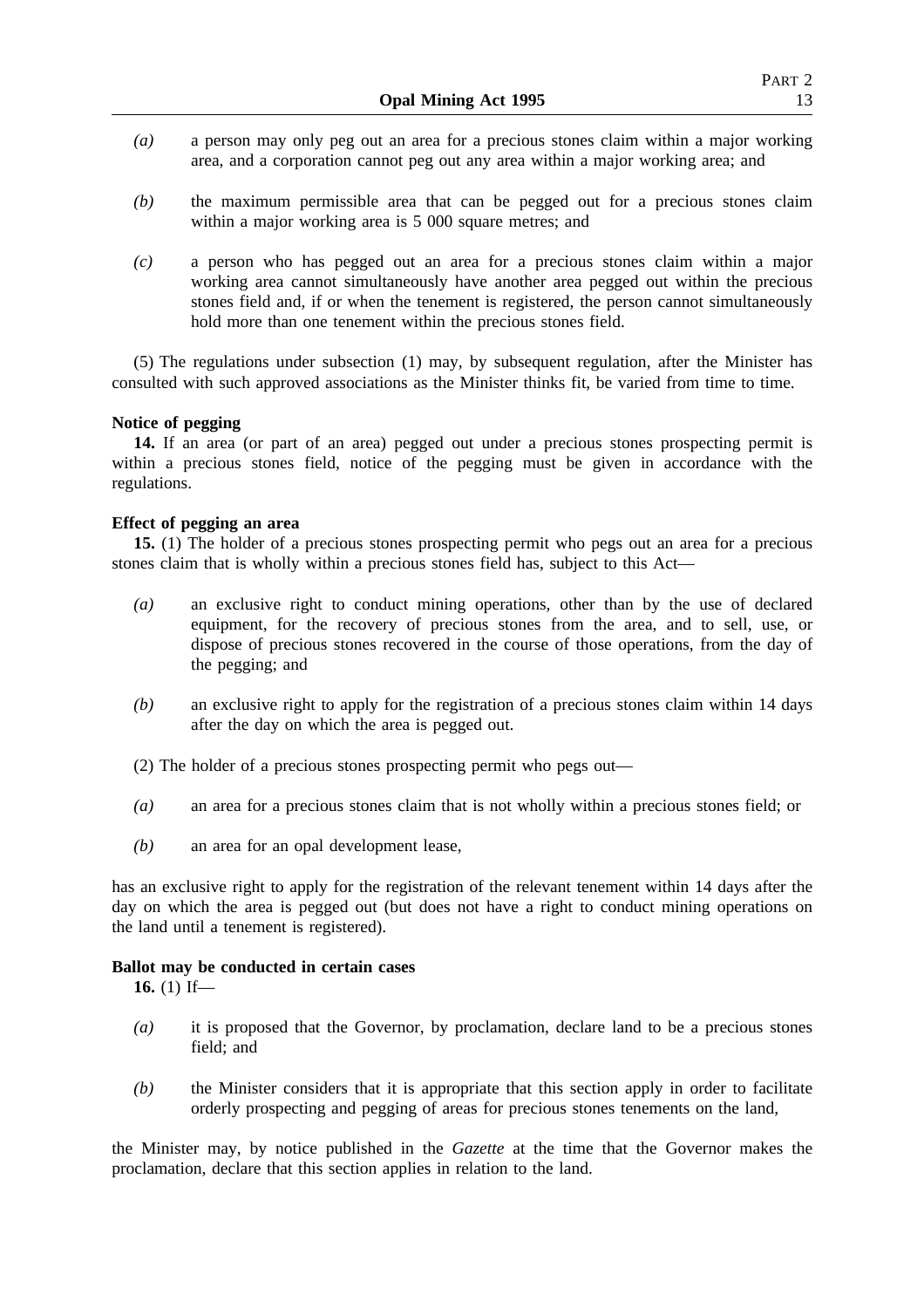- *(a)* a person may only peg out an area for a precious stones claim within a major working area, and a corporation cannot peg out any area within a major working area; and
- *(b)* the maximum permissible area that can be pegged out for a precious stones claim within a major working area is 5 000 square metres; and
- *(c)* a person who has pegged out an area for a precious stones claim within a major working area cannot simultaneously have another area pegged out within the precious stones field and, if or when the tenement is registered, the person cannot simultaneously hold more than one tenement within the precious stones field.

(5) The regulations under subsection (1) may, by subsequent regulation, after the Minister has consulted with such approved associations as the Minister thinks fit, be varied from time to time.

## **Notice of pegging**

**14.** If an area (or part of an area) pegged out under a precious stones prospecting permit is within a precious stones field, notice of the pegging must be given in accordance with the regulations.

## **Effect of pegging an area**

**15.** (1) The holder of a precious stones prospecting permit who pegs out an area for a precious stones claim that is wholly within a precious stones field has, subject to this Act—

- *(a)* an exclusive right to conduct mining operations, other than by the use of declared equipment, for the recovery of precious stones from the area, and to sell, use, or dispose of precious stones recovered in the course of those operations, from the day of the pegging; and
- *(b)* an exclusive right to apply for the registration of a precious stones claim within 14 days after the day on which the area is pegged out.
- (2) The holder of a precious stones prospecting permit who pegs out—
- *(a)* an area for a precious stones claim that is not wholly within a precious stones field; or
- *(b)* an area for an opal development lease,

has an exclusive right to apply for the registration of the relevant tenement within 14 days after the day on which the area is pegged out (but does not have a right to conduct mining operations on the land until a tenement is registered).

## **Ballot may be conducted in certain cases**

**16.** (1) If—

- *(a)* it is proposed that the Governor, by proclamation, declare land to be a precious stones field; and
- *(b)* the Minister considers that it is appropriate that this section apply in order to facilitate orderly prospecting and pegging of areas for precious stones tenements on the land,

the Minister may, by notice published in the *Gazette* at the time that the Governor makes the proclamation, declare that this section applies in relation to the land.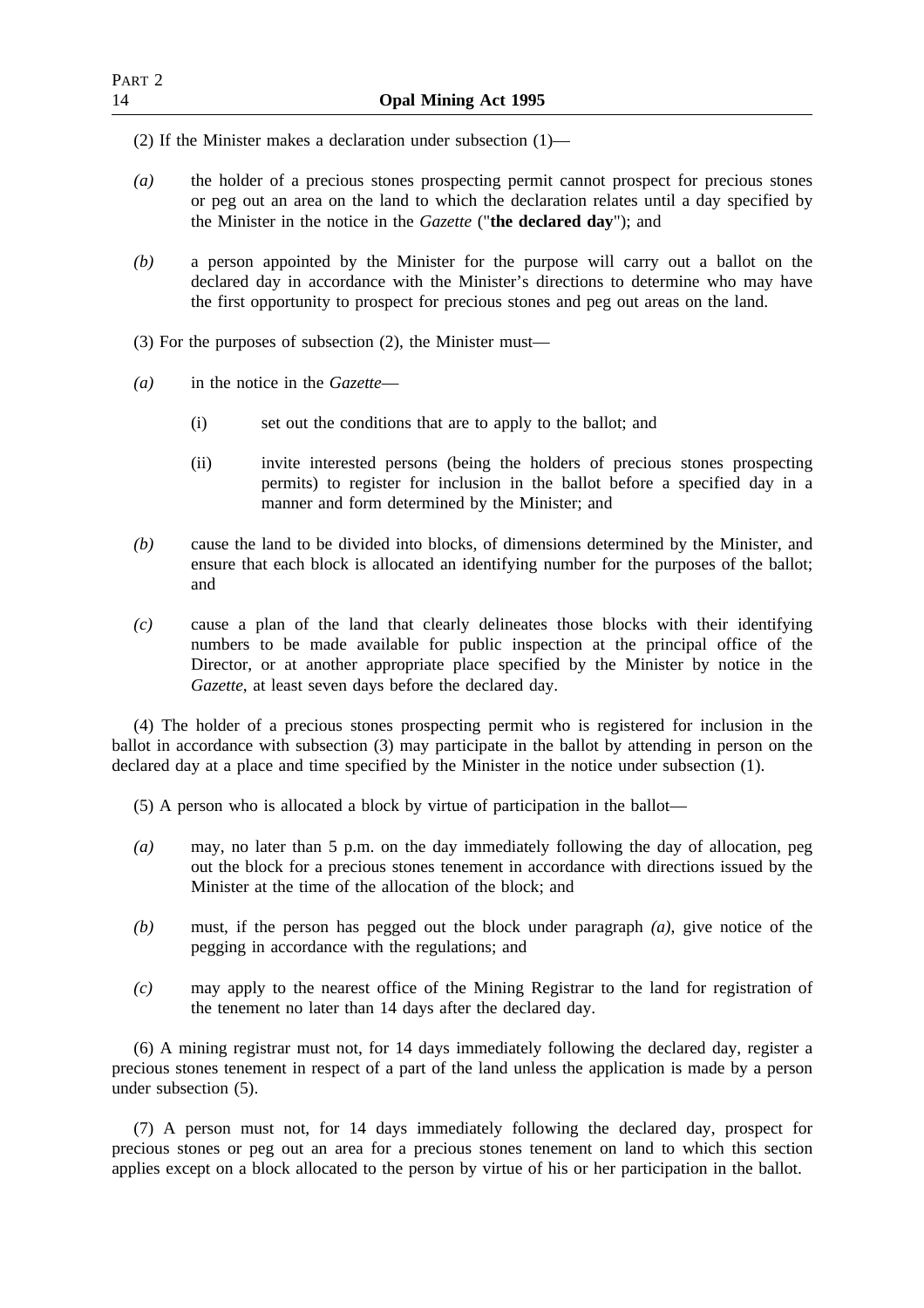(2) If the Minister makes a declaration under subsection (1)—

- *(a)* the holder of a precious stones prospecting permit cannot prospect for precious stones or peg out an area on the land to which the declaration relates until a day specified by the Minister in the notice in the *Gazette* ("**the declared day**"); and
- *(b)* a person appointed by the Minister for the purpose will carry out a ballot on the declared day in accordance with the Minister's directions to determine who may have the first opportunity to prospect for precious stones and peg out areas on the land.
- (3) For the purposes of subsection (2), the Minister must—
- *(a)* in the notice in the *Gazette*
	- (i) set out the conditions that are to apply to the ballot; and
	- (ii) invite interested persons (being the holders of precious stones prospecting permits) to register for inclusion in the ballot before a specified day in a manner and form determined by the Minister; and
- *(b)* cause the land to be divided into blocks, of dimensions determined by the Minister, and ensure that each block is allocated an identifying number for the purposes of the ballot; and
- *(c)* cause a plan of the land that clearly delineates those blocks with their identifying numbers to be made available for public inspection at the principal office of the Director, or at another appropriate place specified by the Minister by notice in the *Gazette*, at least seven days before the declared day.

(4) The holder of a precious stones prospecting permit who is registered for inclusion in the ballot in accordance with subsection (3) may participate in the ballot by attending in person on the declared day at a place and time specified by the Minister in the notice under subsection (1).

(5) A person who is allocated a block by virtue of participation in the ballot—

- *(a)* may, no later than 5 p.m. on the day immediately following the day of allocation, peg out the block for a precious stones tenement in accordance with directions issued by the Minister at the time of the allocation of the block; and
- *(b)* must, if the person has pegged out the block under paragraph *(a)*, give notice of the pegging in accordance with the regulations; and
- *(c)* may apply to the nearest office of the Mining Registrar to the land for registration of the tenement no later than 14 days after the declared day.

(6) A mining registrar must not, for 14 days immediately following the declared day, register a precious stones tenement in respect of a part of the land unless the application is made by a person under subsection (5).

(7) A person must not, for 14 days immediately following the declared day, prospect for precious stones or peg out an area for a precious stones tenement on land to which this section applies except on a block allocated to the person by virtue of his or her participation in the ballot.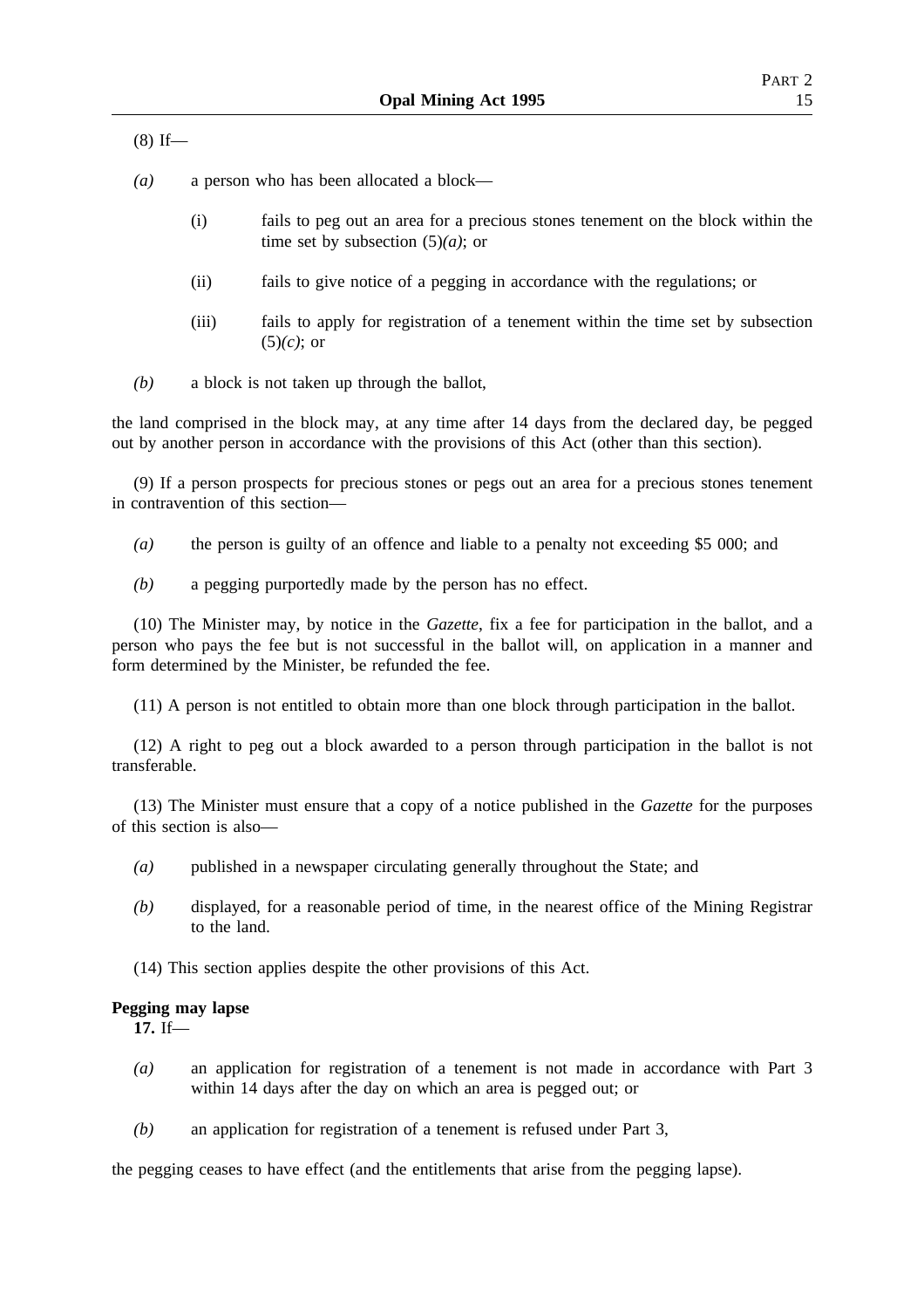$(8)$  If—

*(a)* a person who has been allocated a block—

- (i) fails to peg out an area for a precious stones tenement on the block within the time set by subsection (5)*(a)*; or
- (ii) fails to give notice of a pegging in accordance with the regulations; or
- (iii) fails to apply for registration of a tenement within the time set by subsection (5)*(c)*; or
- *(b)* a block is not taken up through the ballot,

the land comprised in the block may, at any time after 14 days from the declared day, be pegged out by another person in accordance with the provisions of this Act (other than this section).

(9) If a person prospects for precious stones or pegs out an area for a precious stones tenement in contravention of this section—

*(a)* the person is guilty of an offence and liable to a penalty not exceeding \$5 000; and

*(b)* a pegging purportedly made by the person has no effect.

(10) The Minister may, by notice in the *Gazette*, fix a fee for participation in the ballot, and a person who pays the fee but is not successful in the ballot will, on application in a manner and form determined by the Minister, be refunded the fee.

(11) A person is not entitled to obtain more than one block through participation in the ballot.

(12) A right to peg out a block awarded to a person through participation in the ballot is not transferable.

(13) The Minister must ensure that a copy of a notice published in the *Gazette* for the purposes of this section is also—

- *(a)* published in a newspaper circulating generally throughout the State; and
- *(b)* displayed, for a reasonable period of time, in the nearest office of the Mining Registrar to the land.
- (14) This section applies despite the other provisions of this Act.

#### **Pegging may lapse**

**17.** If—

- *(a)* an application for registration of a tenement is not made in accordance with Part 3 within 14 days after the day on which an area is pegged out; or
- *(b)* an application for registration of a tenement is refused under Part 3,

the pegging ceases to have effect (and the entitlements that arise from the pegging lapse).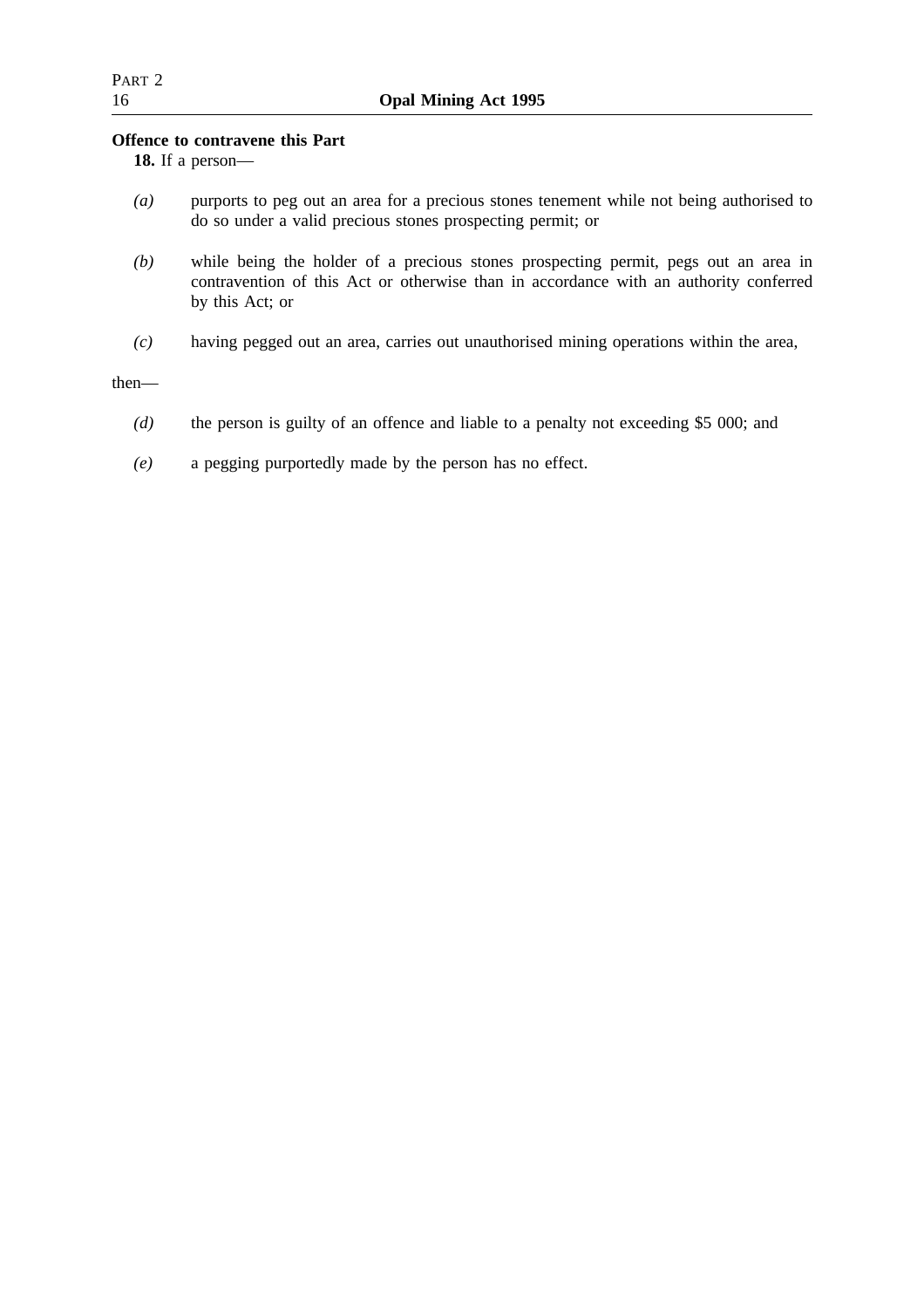## **Offence to contravene this Part**

**18.** If a person—

- *(a)* purports to peg out an area for a precious stones tenement while not being authorised to do so under a valid precious stones prospecting permit; or
- *(b)* while being the holder of a precious stones prospecting permit, pegs out an area in contravention of this Act or otherwise than in accordance with an authority conferred by this Act; or
- *(c)* having pegged out an area, carries out unauthorised mining operations within the area,

then—

- *(d)* the person is guilty of an offence and liable to a penalty not exceeding \$5 000; and
- *(e)* a pegging purportedly made by the person has no effect.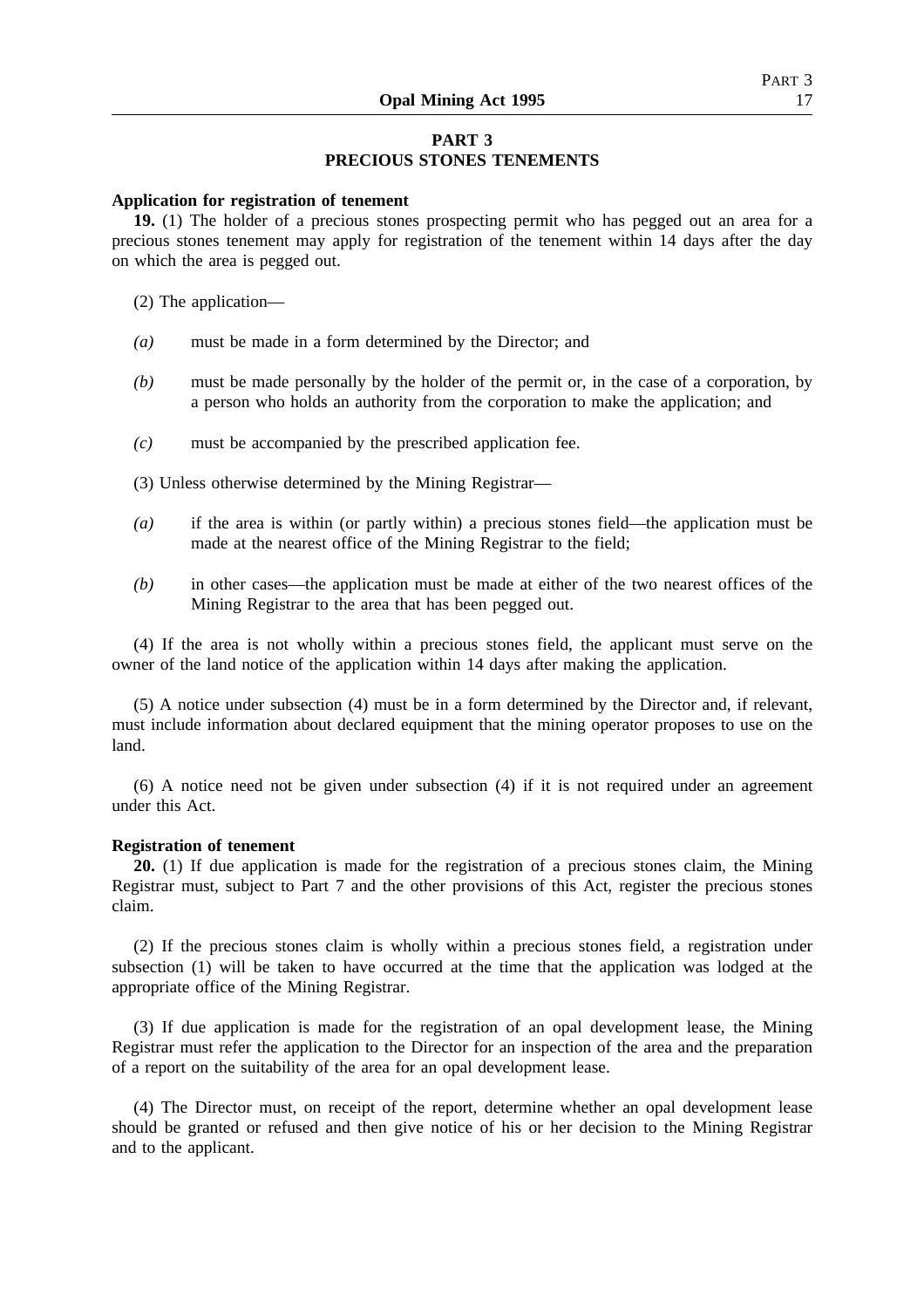#### **Application for registration of tenement**

**19.** (1) The holder of a precious stones prospecting permit who has pegged out an area for a precious stones tenement may apply for registration of the tenement within 14 days after the day on which the area is pegged out.

- (2) The application—
- *(a)* must be made in a form determined by the Director; and
- *(b)* must be made personally by the holder of the permit or, in the case of a corporation, by a person who holds an authority from the corporation to make the application; and
- *(c)* must be accompanied by the prescribed application fee.
- (3) Unless otherwise determined by the Mining Registrar—
- *(a)* if the area is within (or partly within) a precious stones field—the application must be made at the nearest office of the Mining Registrar to the field;
- *(b)* in other cases—the application must be made at either of the two nearest offices of the Mining Registrar to the area that has been pegged out.

(4) If the area is not wholly within a precious stones field, the applicant must serve on the owner of the land notice of the application within 14 days after making the application.

(5) A notice under subsection (4) must be in a form determined by the Director and, if relevant, must include information about declared equipment that the mining operator proposes to use on the land.

(6) A notice need not be given under subsection (4) if it is not required under an agreement under this Act.

#### **Registration of tenement**

**20.** (1) If due application is made for the registration of a precious stones claim, the Mining Registrar must, subject to Part 7 and the other provisions of this Act, register the precious stones claim.

(2) If the precious stones claim is wholly within a precious stones field, a registration under subsection (1) will be taken to have occurred at the time that the application was lodged at the appropriate office of the Mining Registrar.

(3) If due application is made for the registration of an opal development lease, the Mining Registrar must refer the application to the Director for an inspection of the area and the preparation of a report on the suitability of the area for an opal development lease.

(4) The Director must, on receipt of the report, determine whether an opal development lease should be granted or refused and then give notice of his or her decision to the Mining Registrar and to the applicant.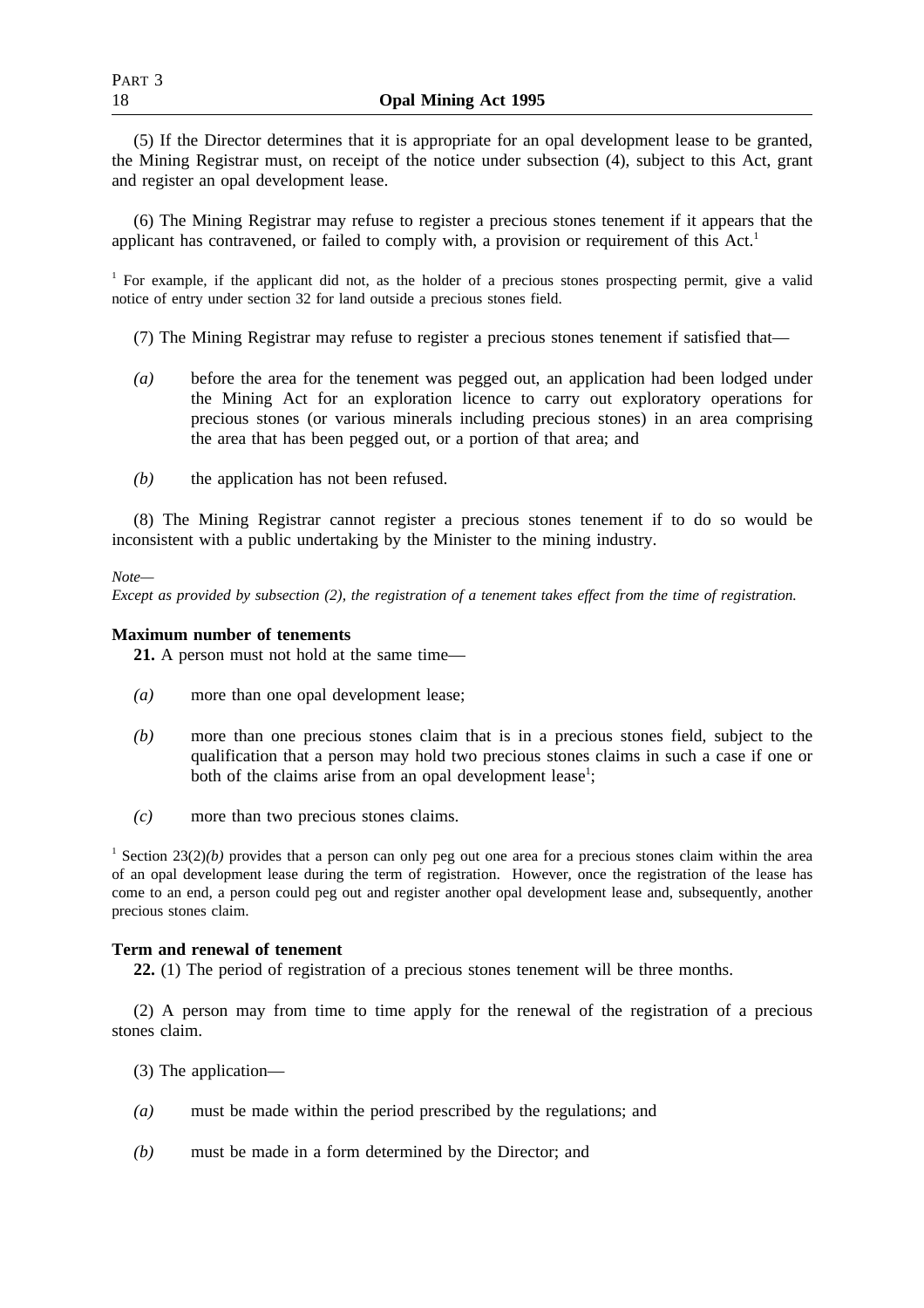(5) If the Director determines that it is appropriate for an opal development lease to be granted, the Mining Registrar must, on receipt of the notice under subsection (4), subject to this Act, grant and register an opal development lease.

(6) The Mining Registrar may refuse to register a precious stones tenement if it appears that the applicant has contravened, or failed to comply with, a provision or requirement of this Act.<sup>1</sup>

<sup>1</sup> For example, if the applicant did not, as the holder of a precious stones prospecting permit, give a valid notice of entry under section 32 for land outside a precious stones field.

- (7) The Mining Registrar may refuse to register a precious stones tenement if satisfied that—
- *(a)* before the area for the tenement was pegged out, an application had been lodged under the Mining Act for an exploration licence to carry out exploratory operations for precious stones (or various minerals including precious stones) in an area comprising the area that has been pegged out, or a portion of that area; and
- *(b)* the application has not been refused.

(8) The Mining Registrar cannot register a precious stones tenement if to do so would be inconsistent with a public undertaking by the Minister to the mining industry.

*Note—*

*Except as provided by subsection (2), the registration of a tenement takes effect from the time of registration.*

## **Maximum number of tenements**

**21.** A person must not hold at the same time—

- *(a)* more than one opal development lease;
- *(b)* more than one precious stones claim that is in a precious stones field, subject to the qualification that a person may hold two precious stones claims in such a case if one or both of the claims arise from an opal development lease<sup>1</sup>;
- *(c)* more than two precious stones claims.

<sup>1</sup> Section 23(2)(b) provides that a person can only peg out one area for a precious stones claim within the area of an opal development lease during the term of registration. However, once the registration of the lease has come to an end, a person could peg out and register another opal development lease and, subsequently, another precious stones claim.

## **Term and renewal of tenement**

**22.** (1) The period of registration of a precious stones tenement will be three months.

(2) A person may from time to time apply for the renewal of the registration of a precious stones claim.

- (3) The application—
- *(a)* must be made within the period prescribed by the regulations; and
- *(b)* must be made in a form determined by the Director; and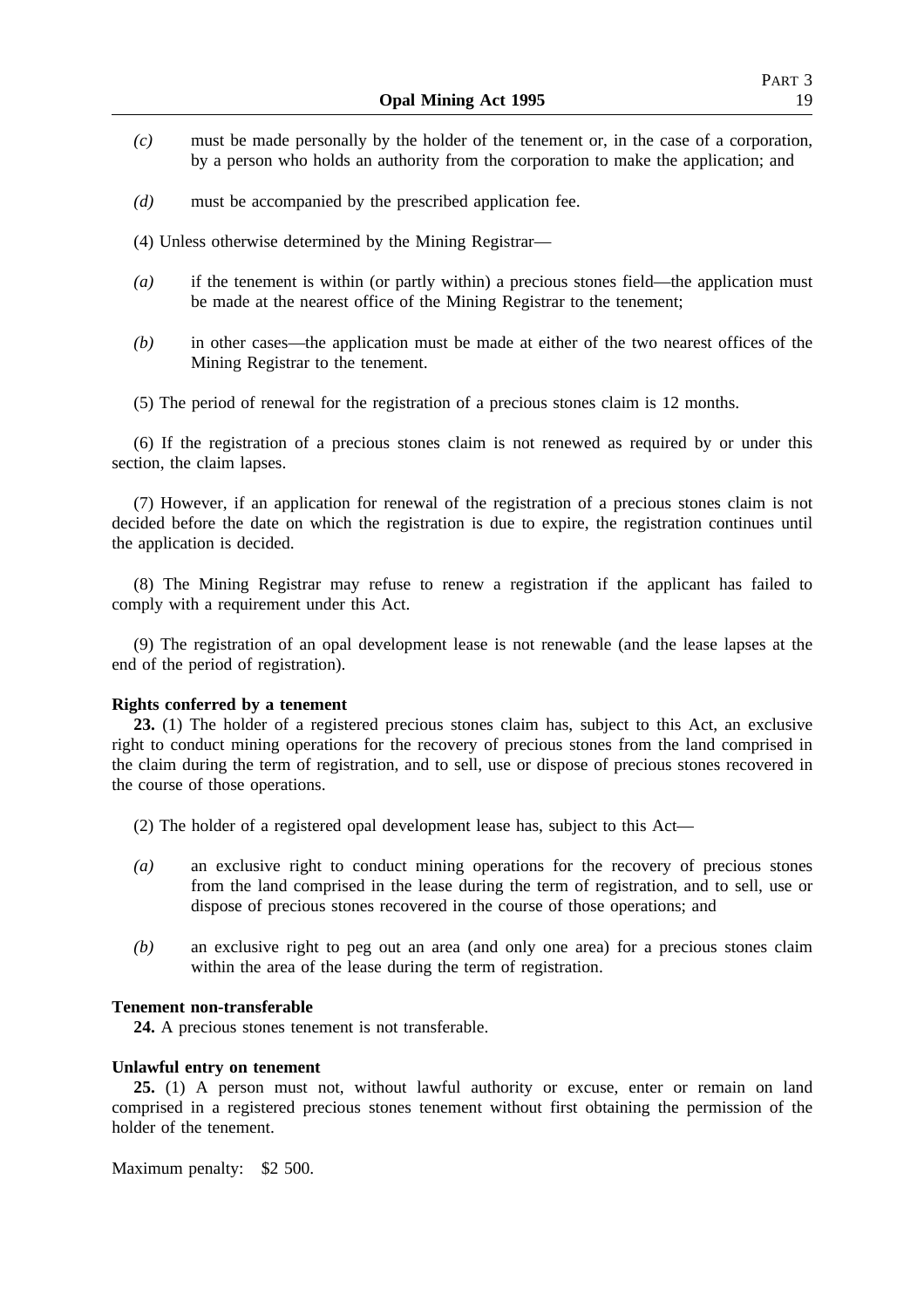- *(c)* must be made personally by the holder of the tenement or, in the case of a corporation, by a person who holds an authority from the corporation to make the application; and
- *(d)* must be accompanied by the prescribed application fee.
- (4) Unless otherwise determined by the Mining Registrar—
- *(a)* if the tenement is within (or partly within) a precious stones field—the application must be made at the nearest office of the Mining Registrar to the tenement;
- *(b)* in other cases—the application must be made at either of the two nearest offices of the Mining Registrar to the tenement.
- (5) The period of renewal for the registration of a precious stones claim is 12 months.

(6) If the registration of a precious stones claim is not renewed as required by or under this section, the claim lapses.

(7) However, if an application for renewal of the registration of a precious stones claim is not decided before the date on which the registration is due to expire, the registration continues until the application is decided.

(8) The Mining Registrar may refuse to renew a registration if the applicant has failed to comply with a requirement under this Act.

(9) The registration of an opal development lease is not renewable (and the lease lapses at the end of the period of registration).

## **Rights conferred by a tenement**

**23.** (1) The holder of a registered precious stones claim has, subject to this Act, an exclusive right to conduct mining operations for the recovery of precious stones from the land comprised in the claim during the term of registration, and to sell, use or dispose of precious stones recovered in the course of those operations.

- (2) The holder of a registered opal development lease has, subject to this Act—
- *(a)* an exclusive right to conduct mining operations for the recovery of precious stones from the land comprised in the lease during the term of registration, and to sell, use or dispose of precious stones recovered in the course of those operations; and
- *(b)* an exclusive right to peg out an area (and only one area) for a precious stones claim within the area of the lease during the term of registration.

#### **Tenement non-transferable**

**24.** A precious stones tenement is not transferable.

#### **Unlawful entry on tenement**

**25.** (1) A person must not, without lawful authority or excuse, enter or remain on land comprised in a registered precious stones tenement without first obtaining the permission of the holder of the tenement.

Maximum penalty: \$2 500.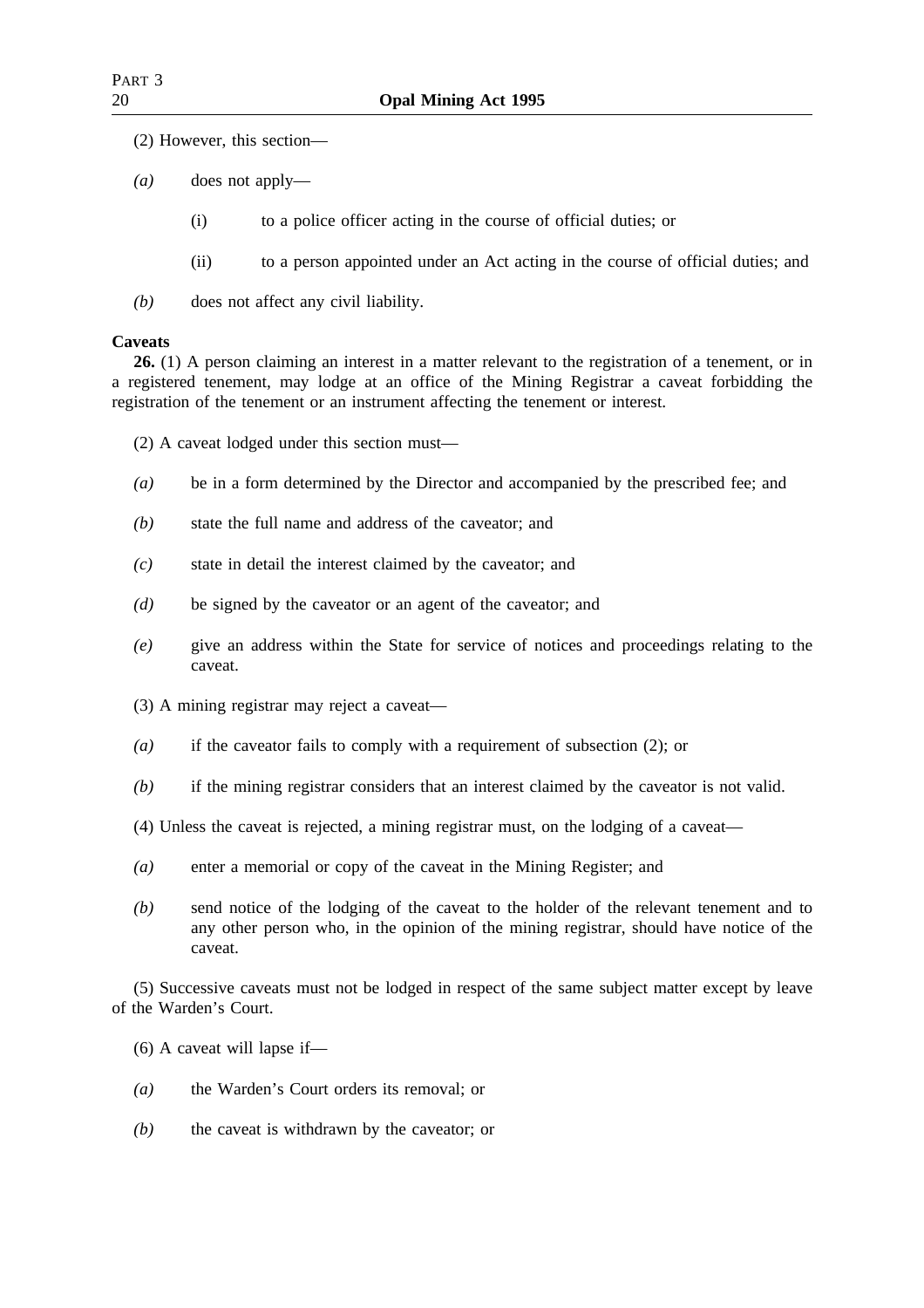- (2) However, this section—
- *(a)* does not apply—
	- (i) to a police officer acting in the course of official duties; or
	- (ii) to a person appointed under an Act acting in the course of official duties; and
- *(b)* does not affect any civil liability.

## **Caveats**

**26.** (1) A person claiming an interest in a matter relevant to the registration of a tenement, or in a registered tenement, may lodge at an office of the Mining Registrar a caveat forbidding the registration of the tenement or an instrument affecting the tenement or interest.

- (2) A caveat lodged under this section must—
- *(a)* be in a form determined by the Director and accompanied by the prescribed fee; and
- *(b)* state the full name and address of the caveator; and
- *(c)* state in detail the interest claimed by the caveator; and
- *(d)* be signed by the caveator or an agent of the caveator; and
- *(e)* give an address within the State for service of notices and proceedings relating to the caveat.
- (3) A mining registrar may reject a caveat—
- *(a)* if the caveator fails to comply with a requirement of subsection (2); or
- *(b)* if the mining registrar considers that an interest claimed by the caveator is not valid.
- (4) Unless the caveat is rejected, a mining registrar must, on the lodging of a caveat—
- *(a)* enter a memorial or copy of the caveat in the Mining Register; and
- *(b)* send notice of the lodging of the caveat to the holder of the relevant tenement and to any other person who, in the opinion of the mining registrar, should have notice of the caveat.

(5) Successive caveats must not be lodged in respect of the same subject matter except by leave of the Warden's Court.

- (6) A caveat will lapse if—
- *(a)* the Warden's Court orders its removal; or
- *(b)* the caveat is withdrawn by the caveator; or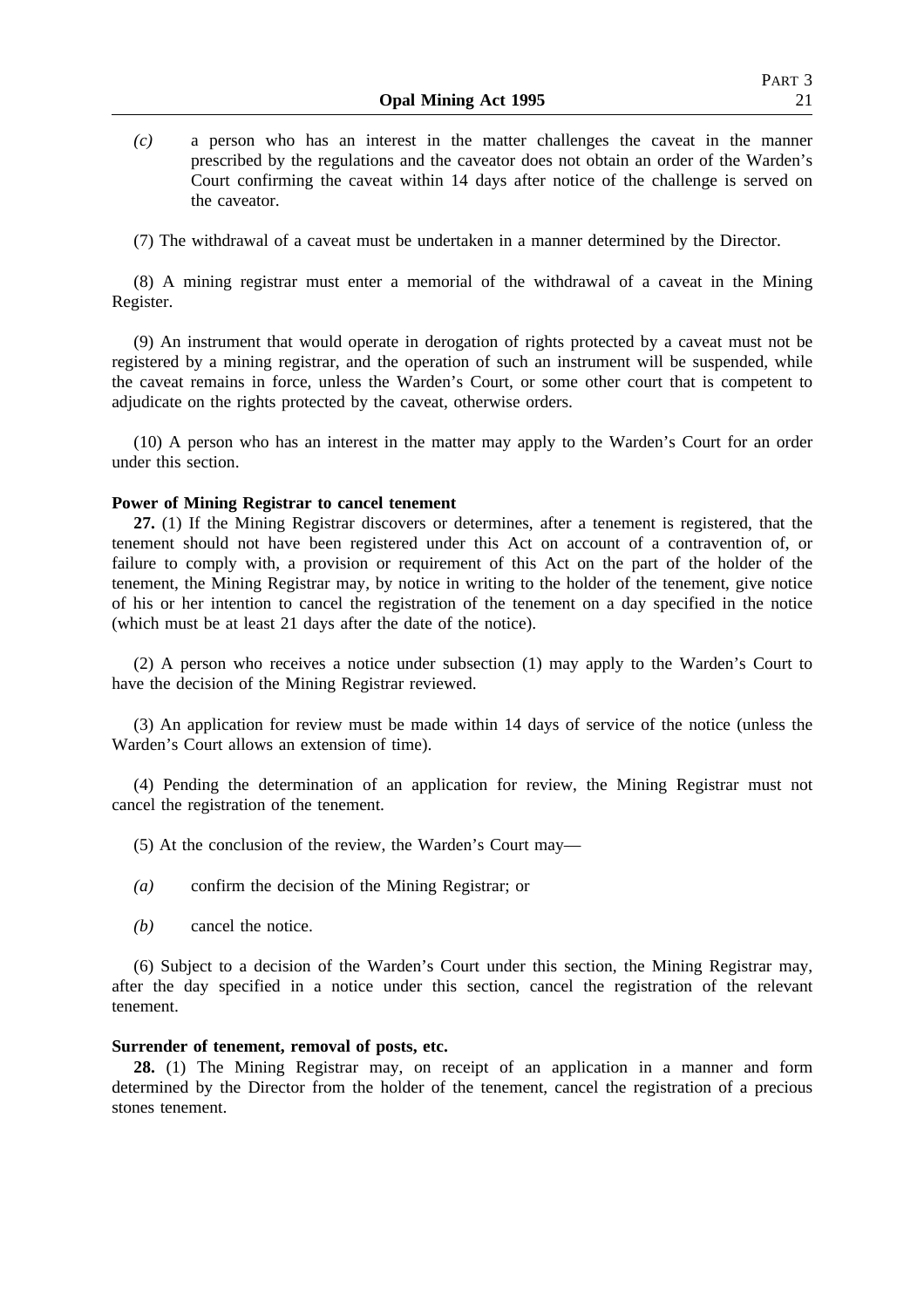*(c)* a person who has an interest in the matter challenges the caveat in the manner prescribed by the regulations and the caveator does not obtain an order of the Warden's Court confirming the caveat within 14 days after notice of the challenge is served on the caveator.

(7) The withdrawal of a caveat must be undertaken in a manner determined by the Director.

(8) A mining registrar must enter a memorial of the withdrawal of a caveat in the Mining Register.

(9) An instrument that would operate in derogation of rights protected by a caveat must not be registered by a mining registrar, and the operation of such an instrument will be suspended, while the caveat remains in force, unless the Warden's Court, or some other court that is competent to adjudicate on the rights protected by the caveat, otherwise orders.

(10) A person who has an interest in the matter may apply to the Warden's Court for an order under this section.

#### **Power of Mining Registrar to cancel tenement**

**27.** (1) If the Mining Registrar discovers or determines, after a tenement is registered, that the tenement should not have been registered under this Act on account of a contravention of, or failure to comply with, a provision or requirement of this Act on the part of the holder of the tenement, the Mining Registrar may, by notice in writing to the holder of the tenement, give notice of his or her intention to cancel the registration of the tenement on a day specified in the notice (which must be at least 21 days after the date of the notice).

(2) A person who receives a notice under subsection (1) may apply to the Warden's Court to have the decision of the Mining Registrar reviewed.

(3) An application for review must be made within 14 days of service of the notice (unless the Warden's Court allows an extension of time).

(4) Pending the determination of an application for review, the Mining Registrar must not cancel the registration of the tenement.

- (5) At the conclusion of the review, the Warden's Court may—
- *(a)* confirm the decision of the Mining Registrar; or
- *(b)* cancel the notice.

(6) Subject to a decision of the Warden's Court under this section, the Mining Registrar may, after the day specified in a notice under this section, cancel the registration of the relevant tenement.

## **Surrender of tenement, removal of posts, etc.**

**28.** (1) The Mining Registrar may, on receipt of an application in a manner and form determined by the Director from the holder of the tenement, cancel the registration of a precious stones tenement.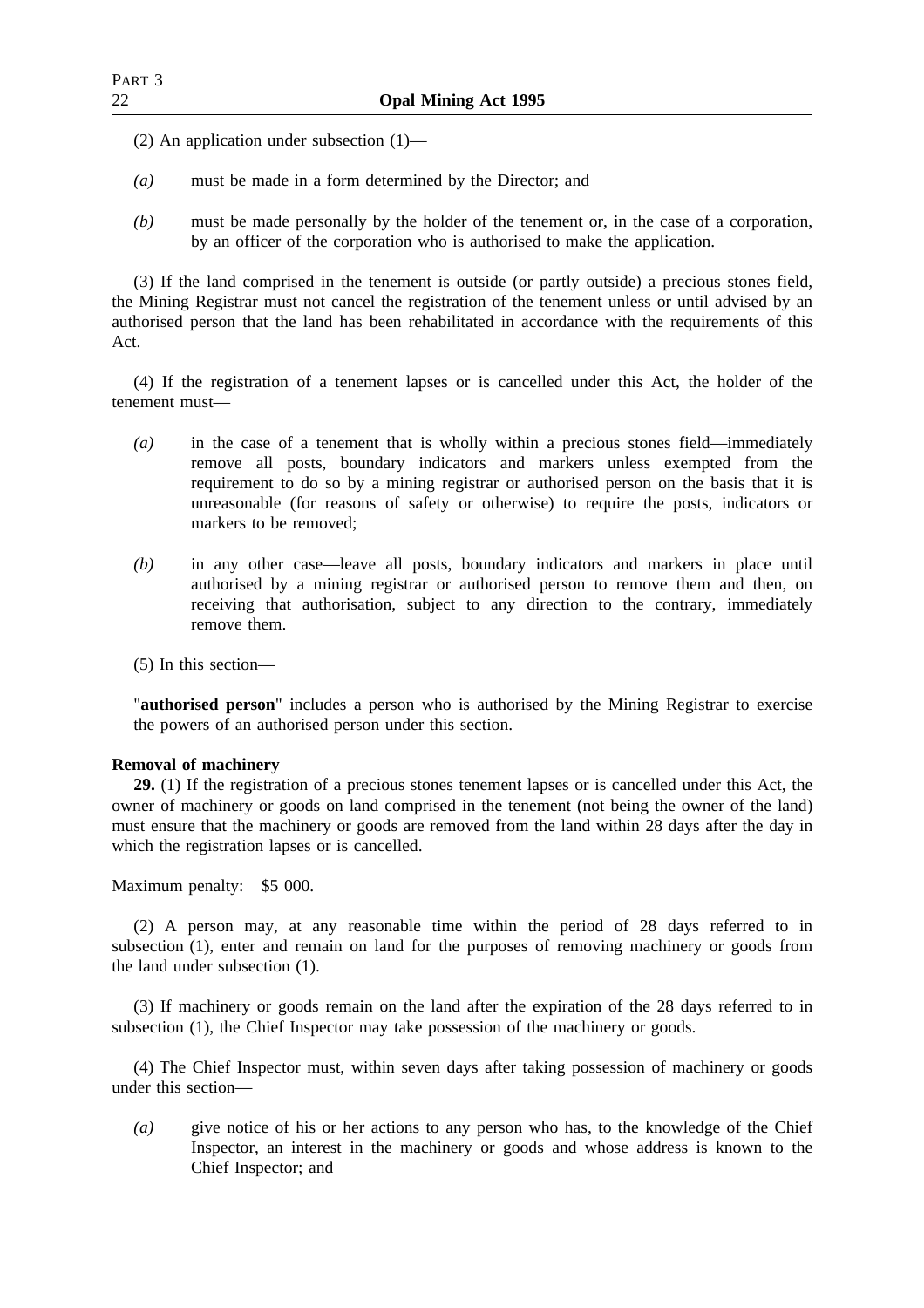- (2) An application under subsection (1)—
- *(a)* must be made in a form determined by the Director; and
- *(b)* must be made personally by the holder of the tenement or, in the case of a corporation, by an officer of the corporation who is authorised to make the application.

(3) If the land comprised in the tenement is outside (or partly outside) a precious stones field, the Mining Registrar must not cancel the registration of the tenement unless or until advised by an authorised person that the land has been rehabilitated in accordance with the requirements of this Act.

(4) If the registration of a tenement lapses or is cancelled under this Act, the holder of the tenement must—

- *(a)* in the case of a tenement that is wholly within a precious stones field—immediately remove all posts, boundary indicators and markers unless exempted from the requirement to do so by a mining registrar or authorised person on the basis that it is unreasonable (for reasons of safety or otherwise) to require the posts, indicators or markers to be removed;
- *(b)* in any other case—leave all posts, boundary indicators and markers in place until authorised by a mining registrar or authorised person to remove them and then, on receiving that authorisation, subject to any direction to the contrary, immediately remove them.
- (5) In this section—

"**authorised person**" includes a person who is authorised by the Mining Registrar to exercise the powers of an authorised person under this section.

## **Removal of machinery**

**29.** (1) If the registration of a precious stones tenement lapses or is cancelled under this Act, the owner of machinery or goods on land comprised in the tenement (not being the owner of the land) must ensure that the machinery or goods are removed from the land within 28 days after the day in which the registration lapses or is cancelled.

Maximum penalty: \$5 000.

(2) A person may, at any reasonable time within the period of 28 days referred to in subsection (1), enter and remain on land for the purposes of removing machinery or goods from the land under subsection (1).

(3) If machinery or goods remain on the land after the expiration of the 28 days referred to in subsection (1), the Chief Inspector may take possession of the machinery or goods.

(4) The Chief Inspector must, within seven days after taking possession of machinery or goods under this section—

*(a)* give notice of his or her actions to any person who has, to the knowledge of the Chief Inspector, an interest in the machinery or goods and whose address is known to the Chief Inspector; and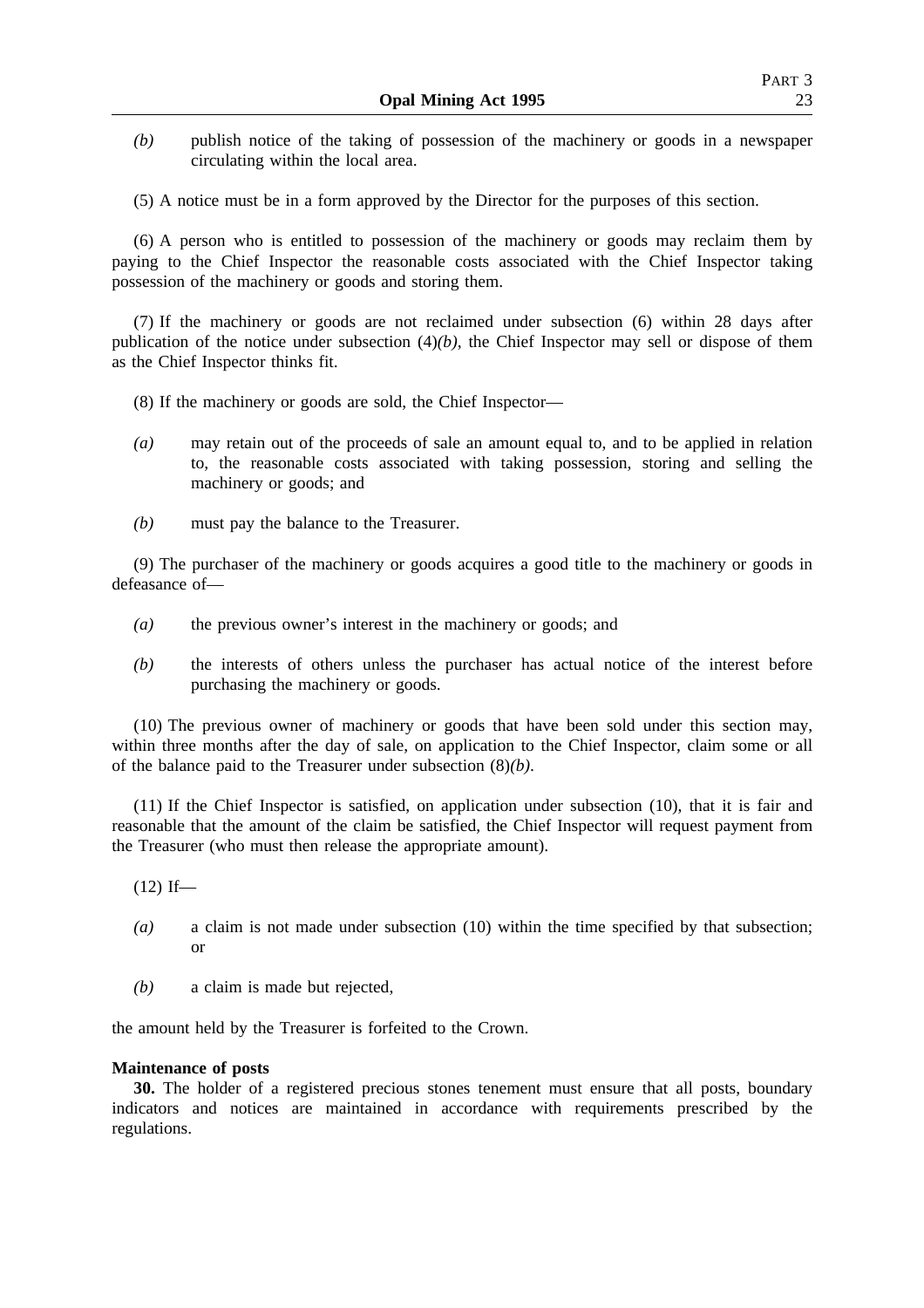- *(b)* publish notice of the taking of possession of the machinery or goods in a newspaper circulating within the local area.
- (5) A notice must be in a form approved by the Director for the purposes of this section.

(6) A person who is entitled to possession of the machinery or goods may reclaim them by paying to the Chief Inspector the reasonable costs associated with the Chief Inspector taking possession of the machinery or goods and storing them.

(7) If the machinery or goods are not reclaimed under subsection (6) within 28 days after publication of the notice under subsection (4)*(b)*, the Chief Inspector may sell or dispose of them as the Chief Inspector thinks fit.

- (8) If the machinery or goods are sold, the Chief Inspector—
- *(a)* may retain out of the proceeds of sale an amount equal to, and to be applied in relation to, the reasonable costs associated with taking possession, storing and selling the machinery or goods; and
- *(b)* must pay the balance to the Treasurer.

(9) The purchaser of the machinery or goods acquires a good title to the machinery or goods in defeasance of—

- *(a)* the previous owner's interest in the machinery or goods; and
- *(b)* the interests of others unless the purchaser has actual notice of the interest before purchasing the machinery or goods.

(10) The previous owner of machinery or goods that have been sold under this section may, within three months after the day of sale, on application to the Chief Inspector, claim some or all of the balance paid to the Treasurer under subsection (8)*(b)*.

(11) If the Chief Inspector is satisfied, on application under subsection (10), that it is fair and reasonable that the amount of the claim be satisfied, the Chief Inspector will request payment from the Treasurer (who must then release the appropriate amount).

 $(12)$  If—

- *(a)* a claim is not made under subsection (10) within the time specified by that subsection; or
- *(b)* a claim is made but rejected,

the amount held by the Treasurer is forfeited to the Crown.

## **Maintenance of posts**

**30.** The holder of a registered precious stones tenement must ensure that all posts, boundary indicators and notices are maintained in accordance with requirements prescribed by the regulations.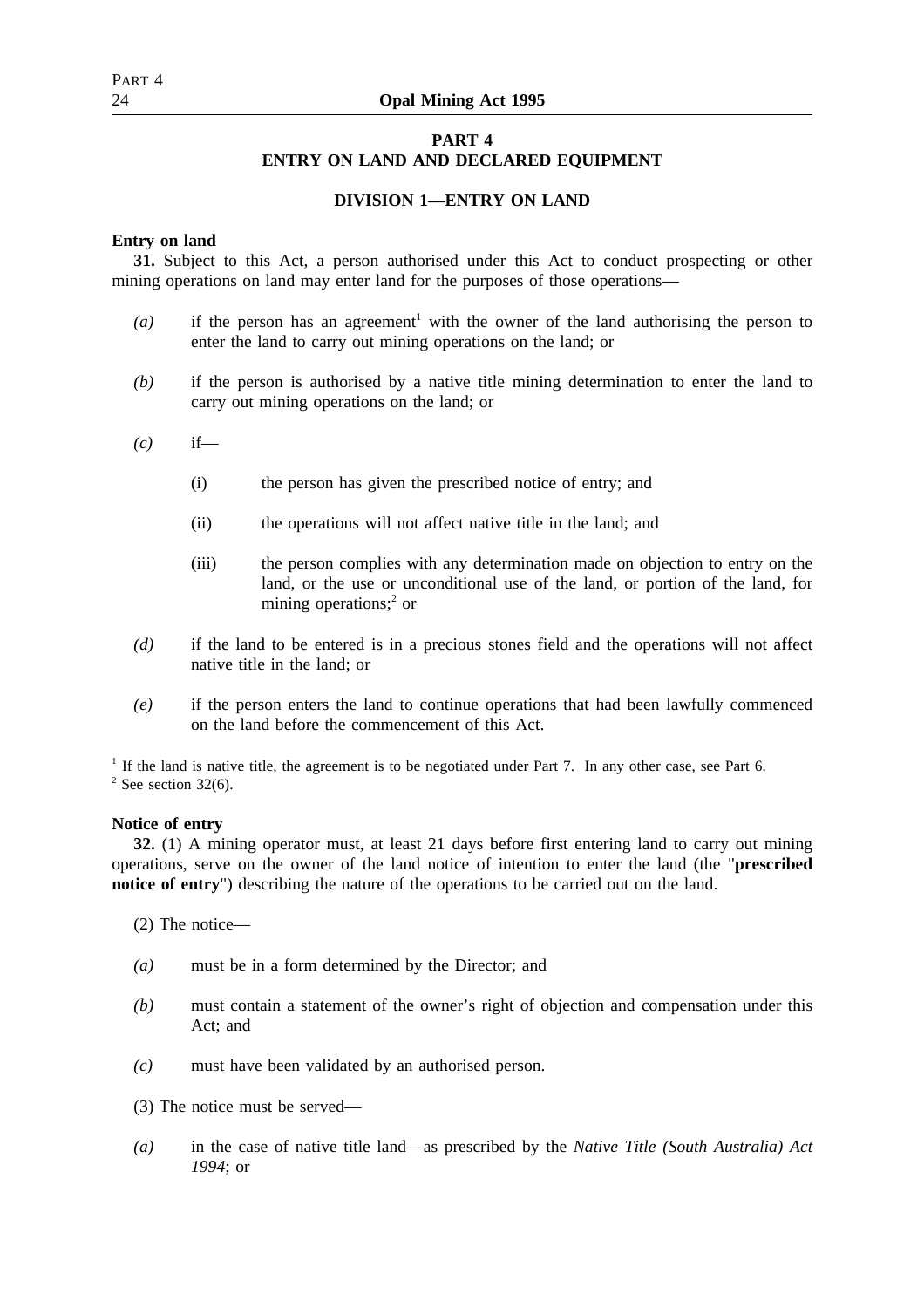# **PART 4 ENTRY ON LAND AND DECLARED EQUIPMENT**

## **DIVISION 1—ENTRY ON LAND**

## **Entry on land**

**31.** Subject to this Act, a person authorised under this Act to conduct prospecting or other mining operations on land may enter land for the purposes of those operations—

- $(a)$  if the person has an agreement<sup>1</sup> with the owner of the land authorising the person to enter the land to carry out mining operations on the land; or
- *(b)* if the person is authorised by a native title mining determination to enter the land to carry out mining operations on the land; or
- *(c)* if—
	- (i) the person has given the prescribed notice of entry; and
	- (ii) the operations will not affect native title in the land; and
	- (iii) the person complies with any determination made on objection to entry on the land, or the use or unconditional use of the land, or portion of the land, for mining operations;<sup>2</sup> or
- *(d)* if the land to be entered is in a precious stones field and the operations will not affect native title in the land; or
- *(e)* if the person enters the land to continue operations that had been lawfully commenced on the land before the commencement of this Act.

<sup>1</sup> If the land is native title, the agreement is to be negotiated under Part 7. In any other case, see Part 6.  $2$  See section 32(6).

#### **Notice of entry**

**32.** (1) A mining operator must, at least 21 days before first entering land to carry out mining operations, serve on the owner of the land notice of intention to enter the land (the "**prescribed notice of entry**") describing the nature of the operations to be carried out on the land.

- (2) The notice—
- *(a)* must be in a form determined by the Director; and
- *(b)* must contain a statement of the owner's right of objection and compensation under this Act; and
- *(c)* must have been validated by an authorised person.
- (3) The notice must be served—
- *(a)* in the case of native title land—as prescribed by the *Native Title (South Australia) Act 1994*; or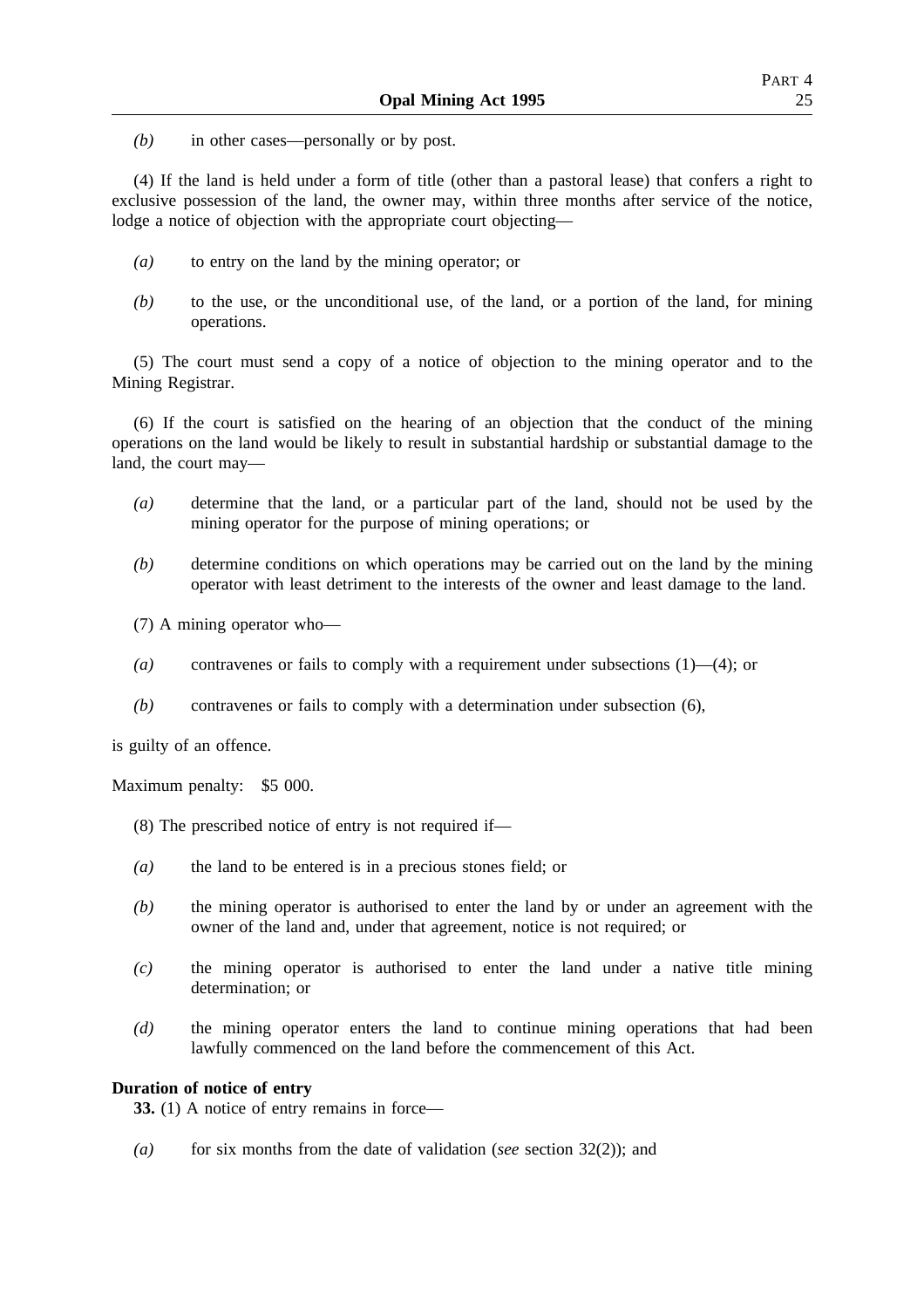*(b)* in other cases—personally or by post.

(4) If the land is held under a form of title (other than a pastoral lease) that confers a right to exclusive possession of the land, the owner may, within three months after service of the notice, lodge a notice of objection with the appropriate court objecting—

- *(a)* to entry on the land by the mining operator; or
- *(b)* to the use, or the unconditional use, of the land, or a portion of the land, for mining operations.

(5) The court must send a copy of a notice of objection to the mining operator and to the Mining Registrar.

(6) If the court is satisfied on the hearing of an objection that the conduct of the mining operations on the land would be likely to result in substantial hardship or substantial damage to the land, the court may—

- *(a)* determine that the land, or a particular part of the land, should not be used by the mining operator for the purpose of mining operations; or
- *(b)* determine conditions on which operations may be carried out on the land by the mining operator with least detriment to the interests of the owner and least damage to the land.
- (7) A mining operator who—
- *(a)* contravenes or fails to comply with a requirement under subsections (1)—(4); or
- *(b)* contravenes or fails to comply with a determination under subsection (6),

is guilty of an offence.

Maximum penalty: \$5 000.

- (8) The prescribed notice of entry is not required if—
- *(a)* the land to be entered is in a precious stones field; or
- *(b)* the mining operator is authorised to enter the land by or under an agreement with the owner of the land and, under that agreement, notice is not required; or
- *(c)* the mining operator is authorised to enter the land under a native title mining determination; or
- *(d)* the mining operator enters the land to continue mining operations that had been lawfully commenced on the land before the commencement of this Act.

## **Duration of notice of entry**

**33.** (1) A notice of entry remains in force—

*(a)* for six months from the date of validation (*see* section 32(2)); and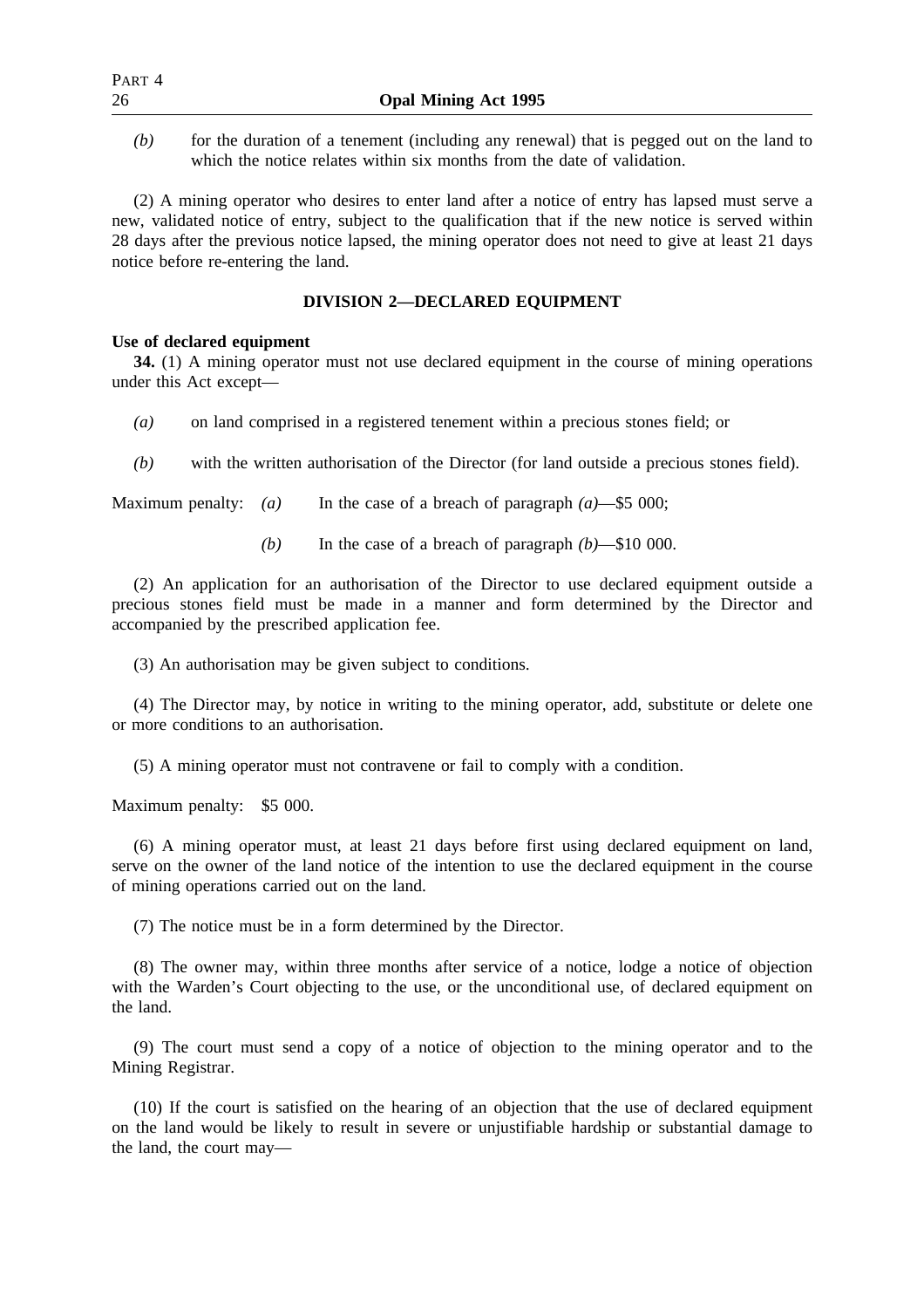*(b)* for the duration of a tenement (including any renewal) that is pegged out on the land to which the notice relates within six months from the date of validation.

(2) A mining operator who desires to enter land after a notice of entry has lapsed must serve a new, validated notice of entry, subject to the qualification that if the new notice is served within 28 days after the previous notice lapsed, the mining operator does not need to give at least 21 days notice before re-entering the land.

## **DIVISION 2—DECLARED EQUIPMENT**

## **Use of declared equipment**

**34.** (1) A mining operator must not use declared equipment in the course of mining operations under this Act except—

- *(a)* on land comprised in a registered tenement within a precious stones field; or
- *(b)* with the written authorisation of the Director (for land outside a precious stones field).

Maximum penalty: *(a)* In the case of a breach of paragraph *(a)*—\$5 000;

*(b)* In the case of a breach of paragraph *(b)*—\$10 000.

(2) An application for an authorisation of the Director to use declared equipment outside a precious stones field must be made in a manner and form determined by the Director and accompanied by the prescribed application fee.

(3) An authorisation may be given subject to conditions.

(4) The Director may, by notice in writing to the mining operator, add, substitute or delete one or more conditions to an authorisation.

(5) A mining operator must not contravene or fail to comply with a condition.

Maximum penalty: \$5 000.

(6) A mining operator must, at least 21 days before first using declared equipment on land, serve on the owner of the land notice of the intention to use the declared equipment in the course of mining operations carried out on the land.

(7) The notice must be in a form determined by the Director.

(8) The owner may, within three months after service of a notice, lodge a notice of objection with the Warden's Court objecting to the use, or the unconditional use, of declared equipment on the land.

(9) The court must send a copy of a notice of objection to the mining operator and to the Mining Registrar.

(10) If the court is satisfied on the hearing of an objection that the use of declared equipment on the land would be likely to result in severe or unjustifiable hardship or substantial damage to the land, the court may—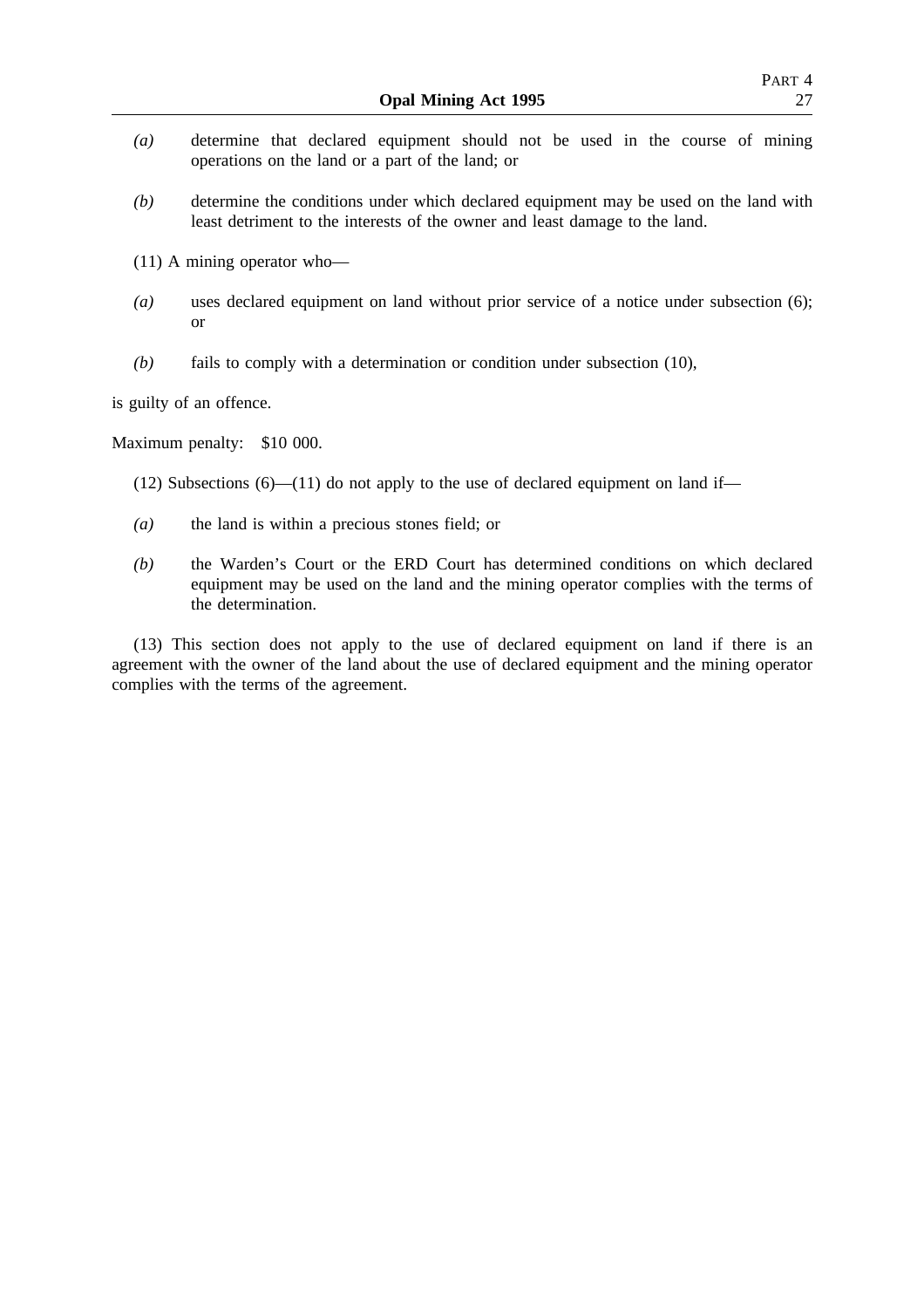- *(a)* determine that declared equipment should not be used in the course of mining operations on the land or a part of the land; or
- *(b)* determine the conditions under which declared equipment may be used on the land with least detriment to the interests of the owner and least damage to the land.

(11) A mining operator who—

- *(a)* uses declared equipment on land without prior service of a notice under subsection (6); or
- *(b)* fails to comply with a determination or condition under subsection (10),

is guilty of an offence.

Maximum penalty: \$10 000.

- (12) Subsections  $(6)$ —(11) do not apply to the use of declared equipment on land if—
- *(a)* the land is within a precious stones field; or
- *(b)* the Warden's Court or the ERD Court has determined conditions on which declared equipment may be used on the land and the mining operator complies with the terms of the determination.

(13) This section does not apply to the use of declared equipment on land if there is an agreement with the owner of the land about the use of declared equipment and the mining operator complies with the terms of the agreement.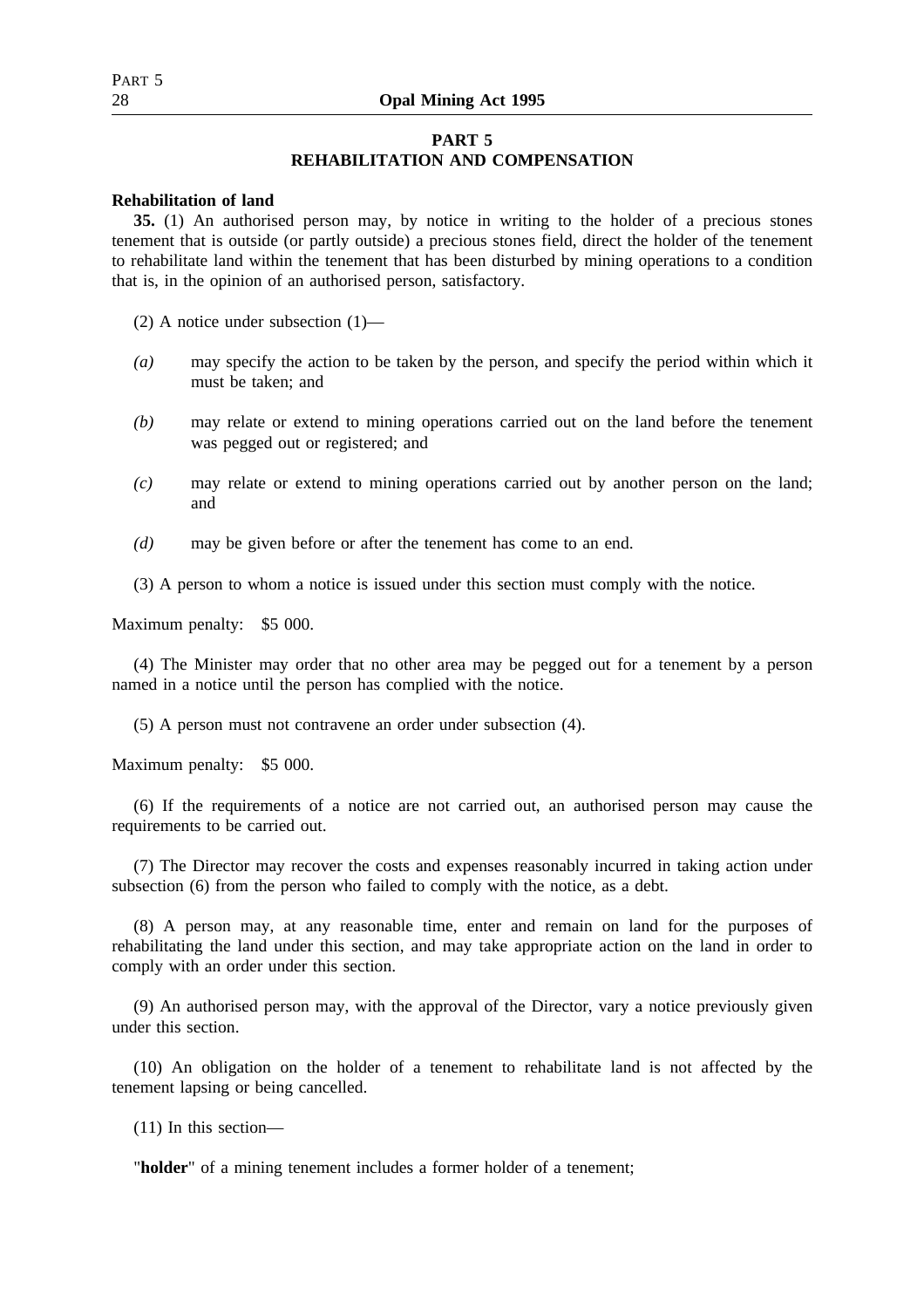# PART 5

## **PART 5 REHABILITATION AND COMPENSATION**

## **Rehabilitation of land**

**35.** (1) An authorised person may, by notice in writing to the holder of a precious stones tenement that is outside (or partly outside) a precious stones field, direct the holder of the tenement to rehabilitate land within the tenement that has been disturbed by mining operations to a condition that is, in the opinion of an authorised person, satisfactory.

(2) A notice under subsection (1)—

- *(a)* may specify the action to be taken by the person, and specify the period within which it must be taken; and
- *(b)* may relate or extend to mining operations carried out on the land before the tenement was pegged out or registered; and
- *(c)* may relate or extend to mining operations carried out by another person on the land; and
- *(d)* may be given before or after the tenement has come to an end.
- (3) A person to whom a notice is issued under this section must comply with the notice.

Maximum penalty: \$5 000.

(4) The Minister may order that no other area may be pegged out for a tenement by a person named in a notice until the person has complied with the notice.

(5) A person must not contravene an order under subsection (4).

Maximum penalty: \$5 000.

(6) If the requirements of a notice are not carried out, an authorised person may cause the requirements to be carried out.

(7) The Director may recover the costs and expenses reasonably incurred in taking action under subsection (6) from the person who failed to comply with the notice, as a debt.

(8) A person may, at any reasonable time, enter and remain on land for the purposes of rehabilitating the land under this section, and may take appropriate action on the land in order to comply with an order under this section.

(9) An authorised person may, with the approval of the Director, vary a notice previously given under this section.

(10) An obligation on the holder of a tenement to rehabilitate land is not affected by the tenement lapsing or being cancelled.

(11) In this section—

"**holder**" of a mining tenement includes a former holder of a tenement;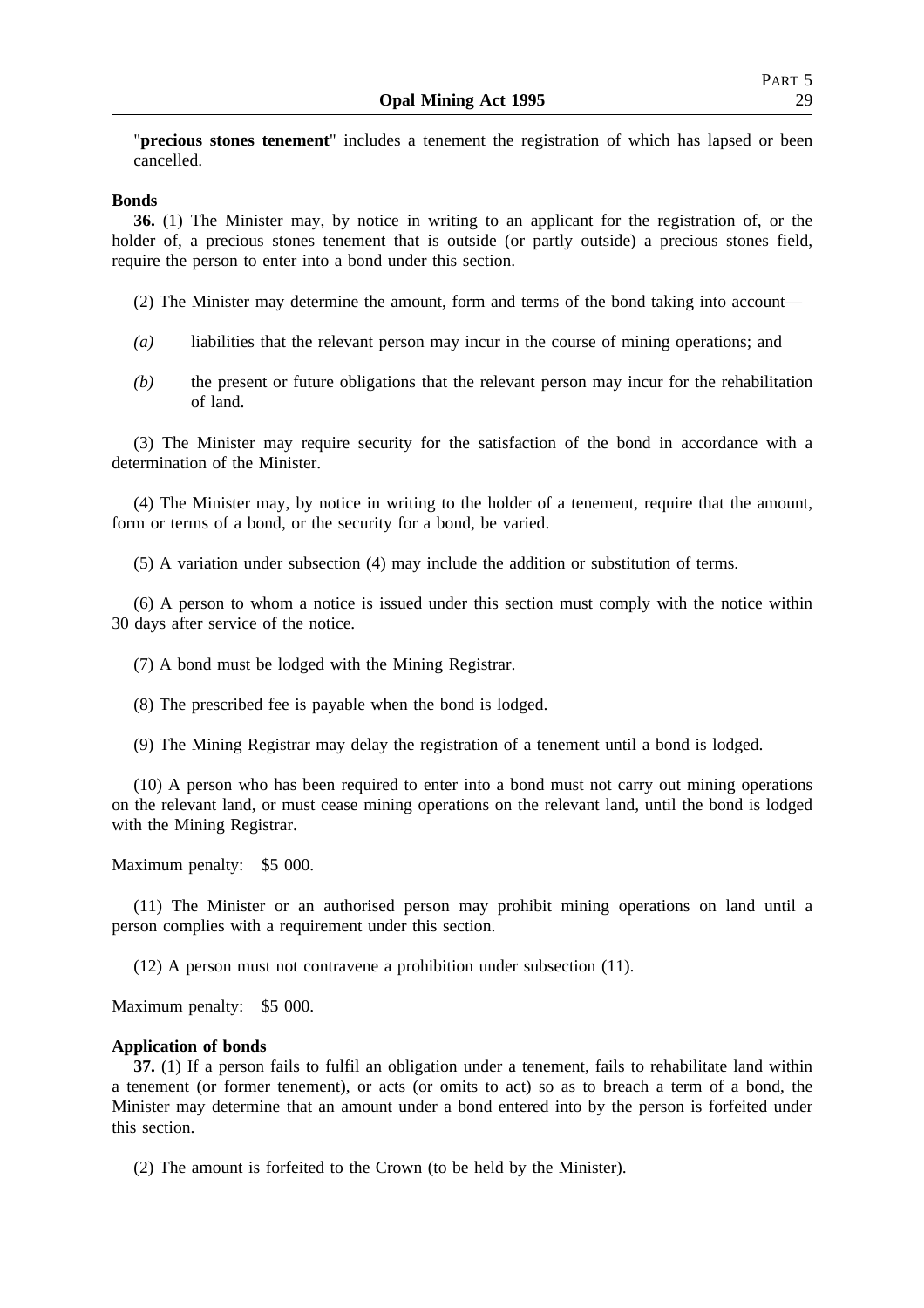"**precious stones tenement**" includes a tenement the registration of which has lapsed or been cancelled.

#### **Bonds**

**36.** (1) The Minister may, by notice in writing to an applicant for the registration of, or the holder of, a precious stones tenement that is outside (or partly outside) a precious stones field, require the person to enter into a bond under this section.

(2) The Minister may determine the amount, form and terms of the bond taking into account—

- *(a)* liabilities that the relevant person may incur in the course of mining operations; and
- *(b)* the present or future obligations that the relevant person may incur for the rehabilitation of land.

(3) The Minister may require security for the satisfaction of the bond in accordance with a determination of the Minister.

(4) The Minister may, by notice in writing to the holder of a tenement, require that the amount, form or terms of a bond, or the security for a bond, be varied.

(5) A variation under subsection (4) may include the addition or substitution of terms.

(6) A person to whom a notice is issued under this section must comply with the notice within 30 days after service of the notice.

(7) A bond must be lodged with the Mining Registrar.

(8) The prescribed fee is payable when the bond is lodged.

(9) The Mining Registrar may delay the registration of a tenement until a bond is lodged.

(10) A person who has been required to enter into a bond must not carry out mining operations on the relevant land, or must cease mining operations on the relevant land, until the bond is lodged with the Mining Registrar.

Maximum penalty: \$5 000.

(11) The Minister or an authorised person may prohibit mining operations on land until a person complies with a requirement under this section.

(12) A person must not contravene a prohibition under subsection (11).

Maximum penalty: \$5 000.

## **Application of bonds**

**37.** (1) If a person fails to fulfil an obligation under a tenement, fails to rehabilitate land within a tenement (or former tenement), or acts (or omits to act) so as to breach a term of a bond, the Minister may determine that an amount under a bond entered into by the person is forfeited under this section.

(2) The amount is forfeited to the Crown (to be held by the Minister).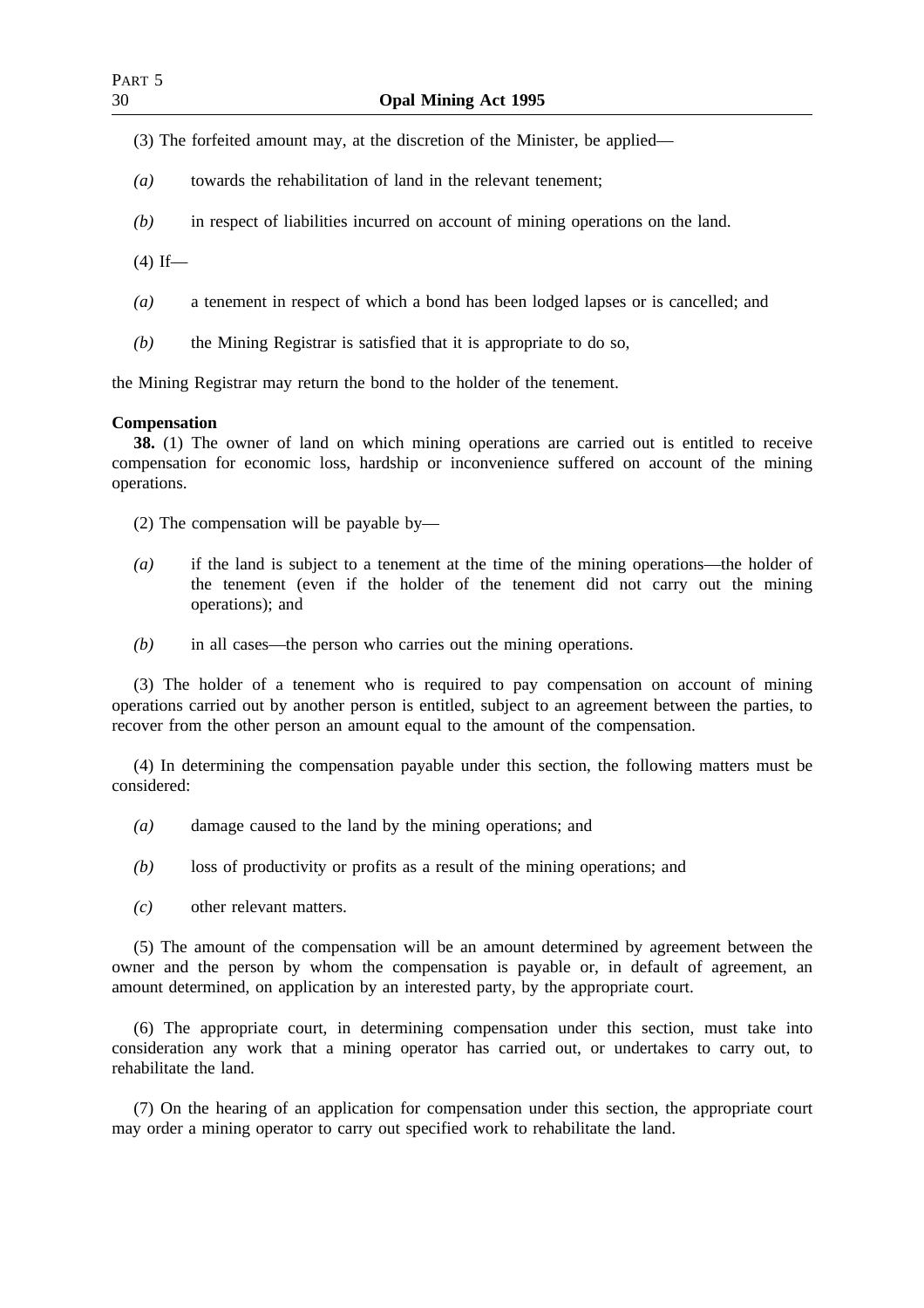- (3) The forfeited amount may, at the discretion of the Minister, be applied—
- *(a)* towards the rehabilitation of land in the relevant tenement;
- *(b)* in respect of liabilities incurred on account of mining operations on the land.
- $(4)$  If—
- *(a)* a tenement in respect of which a bond has been lodged lapses or is cancelled; and
- *(b)* the Mining Registrar is satisfied that it is appropriate to do so,

the Mining Registrar may return the bond to the holder of the tenement.

## **Compensation**

**38.** (1) The owner of land on which mining operations are carried out is entitled to receive compensation for economic loss, hardship or inconvenience suffered on account of the mining operations.

(2) The compensation will be payable by—

- *(a)* if the land is subject to a tenement at the time of the mining operations—the holder of the tenement (even if the holder of the tenement did not carry out the mining operations); and
- *(b)* in all cases—the person who carries out the mining operations.

(3) The holder of a tenement who is required to pay compensation on account of mining operations carried out by another person is entitled, subject to an agreement between the parties, to recover from the other person an amount equal to the amount of the compensation.

(4) In determining the compensation payable under this section, the following matters must be considered:

- *(a)* damage caused to the land by the mining operations; and
- *(b)* loss of productivity or profits as a result of the mining operations; and
- *(c)* other relevant matters.

(5) The amount of the compensation will be an amount determined by agreement between the owner and the person by whom the compensation is payable or, in default of agreement, an amount determined, on application by an interested party, by the appropriate court.

(6) The appropriate court, in determining compensation under this section, must take into consideration any work that a mining operator has carried out, or undertakes to carry out, to rehabilitate the land.

(7) On the hearing of an application for compensation under this section, the appropriate court may order a mining operator to carry out specified work to rehabilitate the land.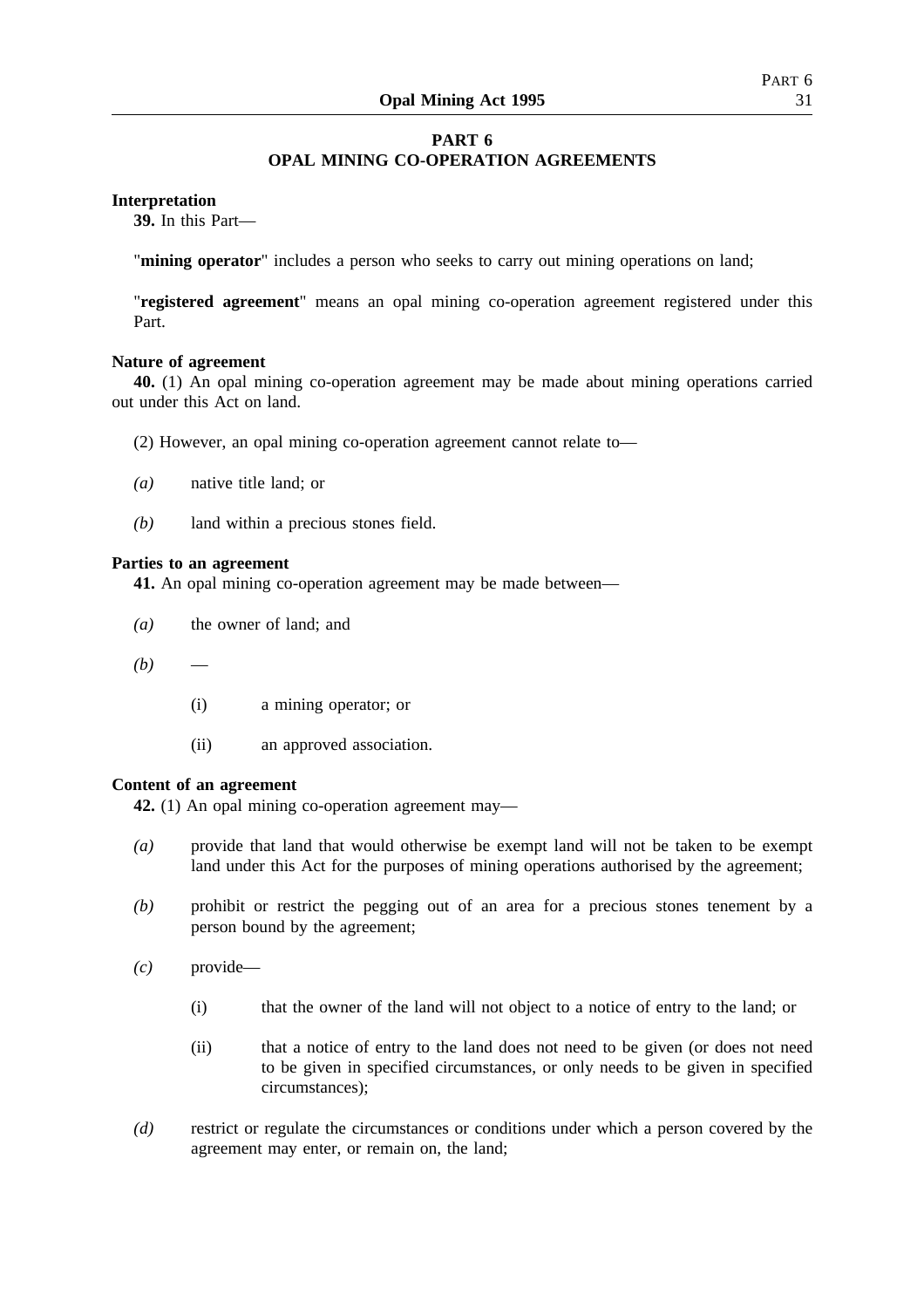# **PART 6 OPAL MINING CO-OPERATION AGREEMENTS**

## **Interpretation**

**39.** In this Part—

"**mining operator**" includes a person who seeks to carry out mining operations on land;

"**registered agreement**" means an opal mining co-operation agreement registered under this Part.

## **Nature of agreement**

**40.** (1) An opal mining co-operation agreement may be made about mining operations carried out under this Act on land.

- (2) However, an opal mining co-operation agreement cannot relate to—
- *(a)* native title land; or
- *(b)* land within a precious stones field.

## **Parties to an agreement**

**41.** An opal mining co-operation agreement may be made between—

- *(a)* the owner of land; and
- $(b)$ 
	- (i) a mining operator; or
	- (ii) an approved association.

## **Content of an agreement**

**42.** (1) An opal mining co-operation agreement may—

- *(a)* provide that land that would otherwise be exempt land will not be taken to be exempt land under this Act for the purposes of mining operations authorised by the agreement;
- *(b)* prohibit or restrict the pegging out of an area for a precious stones tenement by a person bound by the agreement;
- *(c)* provide—
	- (i) that the owner of the land will not object to a notice of entry to the land; or
	- (ii) that a notice of entry to the land does not need to be given (or does not need to be given in specified circumstances, or only needs to be given in specified circumstances);
- *(d)* restrict or regulate the circumstances or conditions under which a person covered by the agreement may enter, or remain on, the land;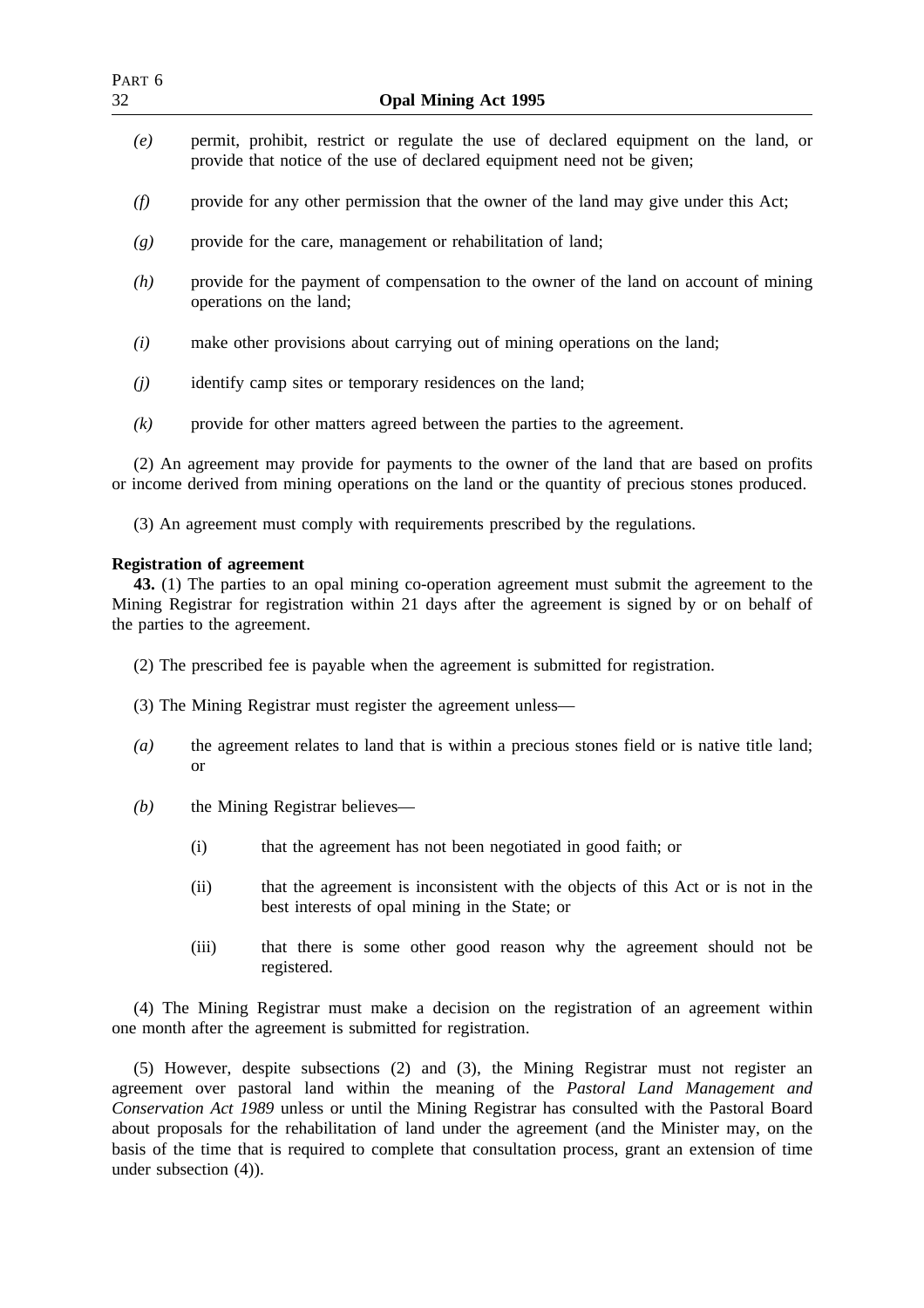| PART 6<br>32 | <b>Opal Mining Act 1995</b>                                                                                                                                                                       |
|--------------|---------------------------------------------------------------------------------------------------------------------------------------------------------------------------------------------------|
| (e)          | permit, prohibit, restrict or regulate the use of declared equipment on the land, or<br>provide that notice of the use of declared equipment need not be given;                                   |
| (f)          | provide for any other permission that the owner of the land may give under this Act;                                                                                                              |
| (g)          | provide for the care, management or rehabilitation of land;                                                                                                                                       |
| (h)          | provide for the payment of compensation to the owner of the land on account of mining<br>operations on the land;                                                                                  |
| (i)          | make other provisions about carrying out of mining operations on the land;                                                                                                                        |
| (j)          | identify camp sites or temporary residences on the land;                                                                                                                                          |
| (k)          | provide for other matters agreed between the parties to the agreement.                                                                                                                            |
|              | (2) An agreement may provide for payments to the owner of the land that are based on profits<br>or income derived from mining operations on the land or the quantity of precious stones produced. |
|              | (3) An agreement must comply with requirements prescribed by the regulations.                                                                                                                     |
|              | <b>Registration of agreement</b>                                                                                                                                                                  |

**43.** (1) The parties to an opal mining co-operation agreement must submit the agreement to the Mining Registrar for registration within 21 days after the agreement is signed by or on behalf of the parties to the agreement.

- (2) The prescribed fee is payable when the agreement is submitted for registration.
- (3) The Mining Registrar must register the agreement unless—
- *(a)* the agreement relates to land that is within a precious stones field or is native title land; or
- *(b)* the Mining Registrar believes—
	- (i) that the agreement has not been negotiated in good faith; or
	- (ii) that the agreement is inconsistent with the objects of this Act or is not in the best interests of opal mining in the State; or
	- (iii) that there is some other good reason why the agreement should not be registered.

(4) The Mining Registrar must make a decision on the registration of an agreement within one month after the agreement is submitted for registration.

(5) However, despite subsections (2) and (3), the Mining Registrar must not register an agreement over pastoral land within the meaning of the *Pastoral Land Management and Conservation Act 1989* unless or until the Mining Registrar has consulted with the Pastoral Board about proposals for the rehabilitation of land under the agreement (and the Minister may, on the basis of the time that is required to complete that consultation process, grant an extension of time under subsection (4)).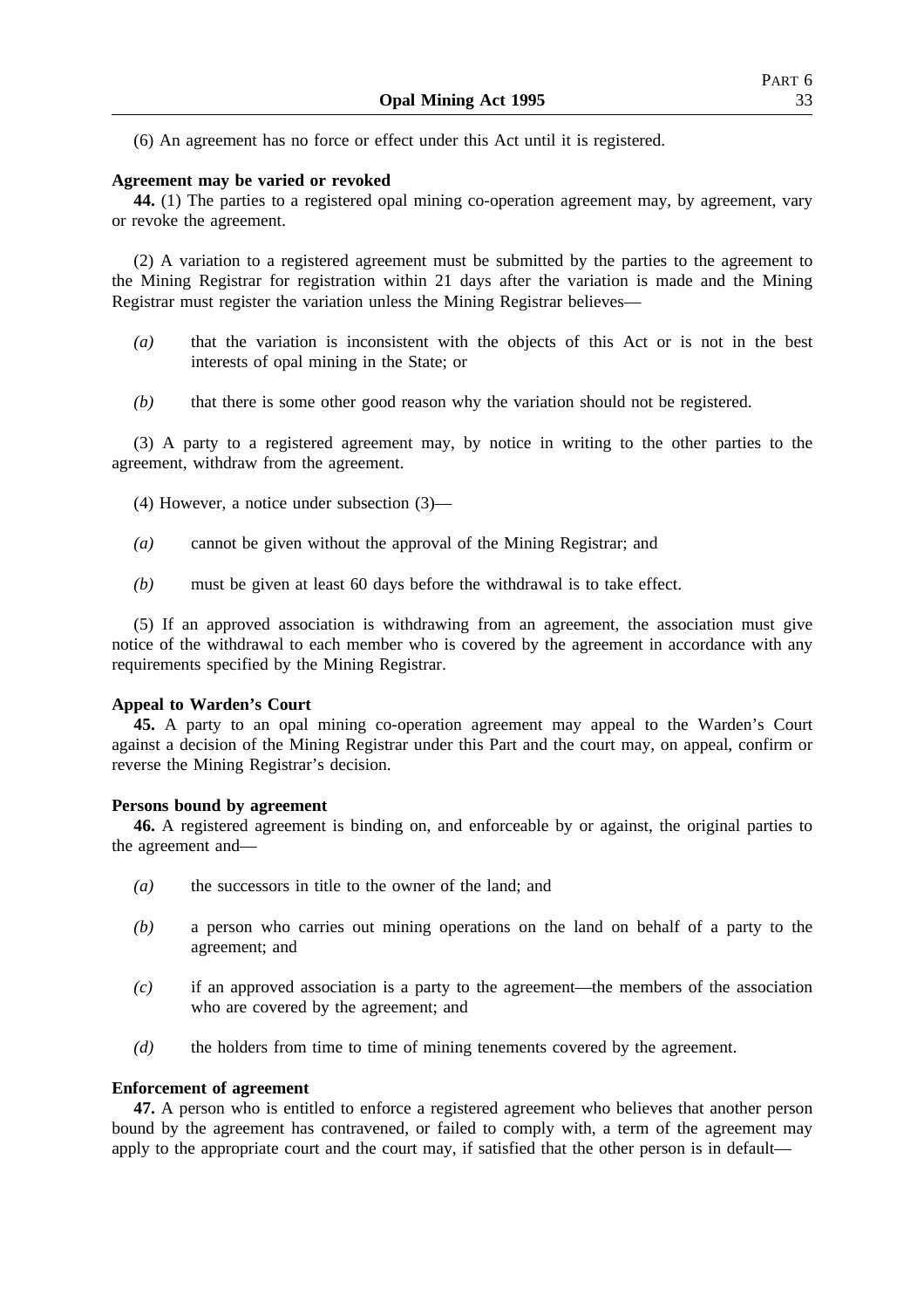(6) An agreement has no force or effect under this Act until it is registered.

## **Agreement may be varied or revoked**

**44.** (1) The parties to a registered opal mining co-operation agreement may, by agreement, vary or revoke the agreement.

(2) A variation to a registered agreement must be submitted by the parties to the agreement to the Mining Registrar for registration within 21 days after the variation is made and the Mining Registrar must register the variation unless the Mining Registrar believes—

- *(a)* that the variation is inconsistent with the objects of this Act or is not in the best interests of opal mining in the State; or
- *(b)* that there is some other good reason why the variation should not be registered.

(3) A party to a registered agreement may, by notice in writing to the other parties to the agreement, withdraw from the agreement.

- (4) However, a notice under subsection (3)—
- *(a)* cannot be given without the approval of the Mining Registrar; and
- *(b)* must be given at least 60 days before the withdrawal is to take effect.

(5) If an approved association is withdrawing from an agreement, the association must give notice of the withdrawal to each member who is covered by the agreement in accordance with any requirements specified by the Mining Registrar.

## **Appeal to Warden's Court**

**45.** A party to an opal mining co-operation agreement may appeal to the Warden's Court against a decision of the Mining Registrar under this Part and the court may, on appeal, confirm or reverse the Mining Registrar's decision.

## **Persons bound by agreement**

**46.** A registered agreement is binding on, and enforceable by or against, the original parties to the agreement and—

- *(a)* the successors in title to the owner of the land; and
- *(b)* a person who carries out mining operations on the land on behalf of a party to the agreement; and
- *(c)* if an approved association is a party to the agreement—the members of the association who are covered by the agreement; and
- *(d)* the holders from time to time of mining tenements covered by the agreement.

## **Enforcement of agreement**

**47.** A person who is entitled to enforce a registered agreement who believes that another person bound by the agreement has contravened, or failed to comply with, a term of the agreement may apply to the appropriate court and the court may, if satisfied that the other person is in default—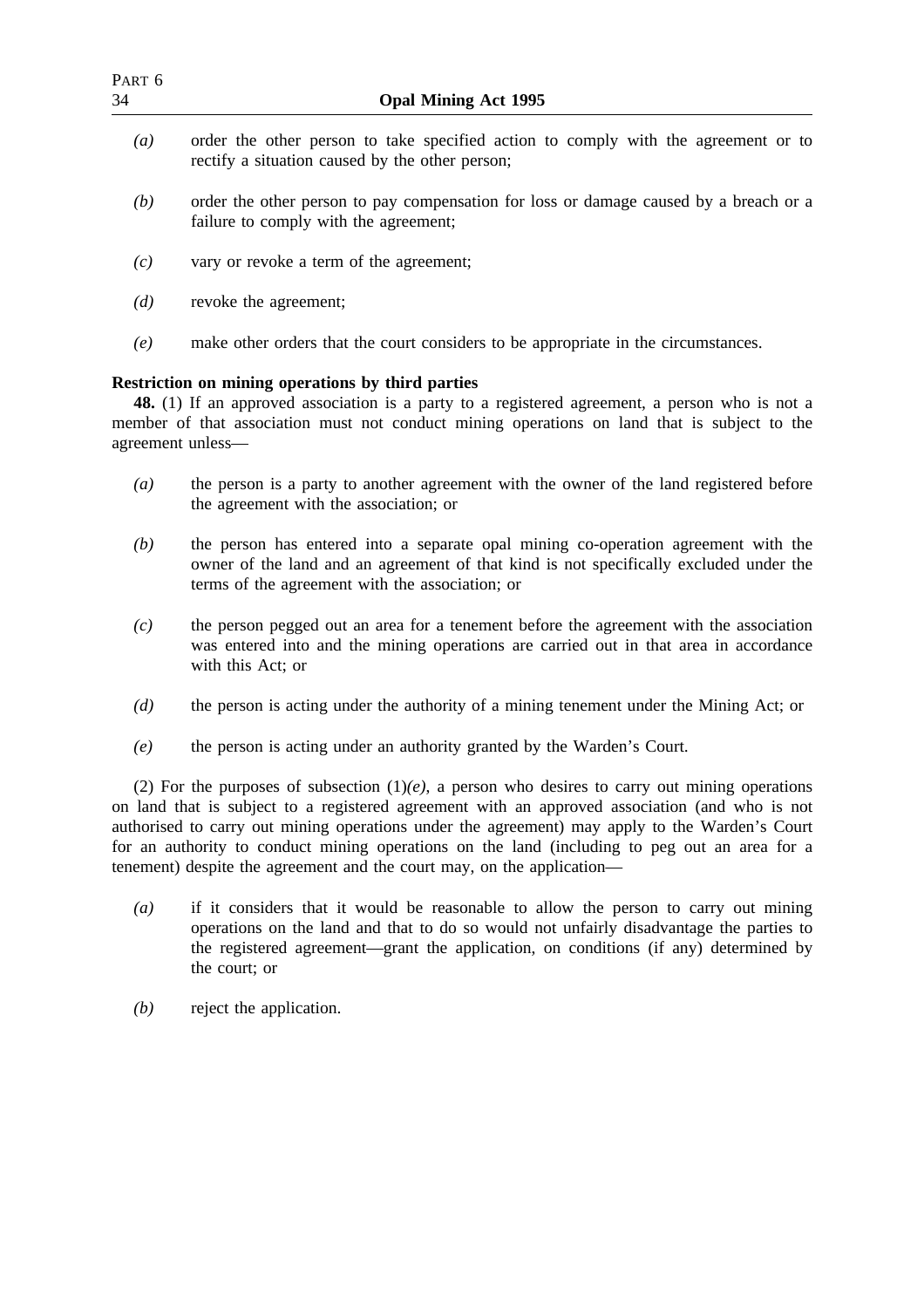| PART <sub>6</sub><br>34 | <b>Opal Mining Act 1995</b>                                                                                                                                                                                                                                                     |
|-------------------------|---------------------------------------------------------------------------------------------------------------------------------------------------------------------------------------------------------------------------------------------------------------------------------|
| (a)                     | order the other person to take specified action to comply with the agreement or to<br>rectify a situation caused by the other person;                                                                                                                                           |
| (b)                     | order the other person to pay compensation for loss or damage caused by a breach or a<br>failure to comply with the agreement;                                                                                                                                                  |
| (c)                     | vary or revoke a term of the agreement;                                                                                                                                                                                                                                         |
| (d)                     | revoke the agreement;                                                                                                                                                                                                                                                           |
| (e)                     | make other orders that the court considers to be appropriate in the circumstances.                                                                                                                                                                                              |
|                         | <b>Restriction on mining operations by third parties</b><br>48. (1) If an approved association is a party to a registered agreement, a person who is not a<br>member of that association must not conduct mining operations on land that is subject to the<br>agreement unless- |
| $\left(a\right)$        | the person is a party to another agreement with the owner of the land registered before<br>the agreement with the association; or                                                                                                                                               |
| (b)                     | the person has entered into a separate opal mining co-operation agreement with the<br>owner of the land and an agreement of that kind is not specifically excluded under the<br>terms of the agreement with the association; or                                                 |
| (c)                     | the person pegged out an area for a tenement before the agreement with the association<br>was entered into and the mining operations are carried out in that area in accordance<br>with this Act; or                                                                            |
| (d)                     | the person is acting under the authority of a mining tenement under the Mining Act; or                                                                                                                                                                                          |

*(e)* the person is acting under an authority granted by the Warden's Court.

(2) For the purposes of subsection  $(1)(e)$ , a person who desires to carry out mining operations on land that is subject to a registered agreement with an approved association (and who is not authorised to carry out mining operations under the agreement) may apply to the Warden's Court for an authority to conduct mining operations on the land (including to peg out an area for a tenement) despite the agreement and the court may, on the application—

- *(a)* if it considers that it would be reasonable to allow the person to carry out mining operations on the land and that to do so would not unfairly disadvantage the parties to the registered agreement—grant the application, on conditions (if any) determined by the court; or
- *(b)* reject the application.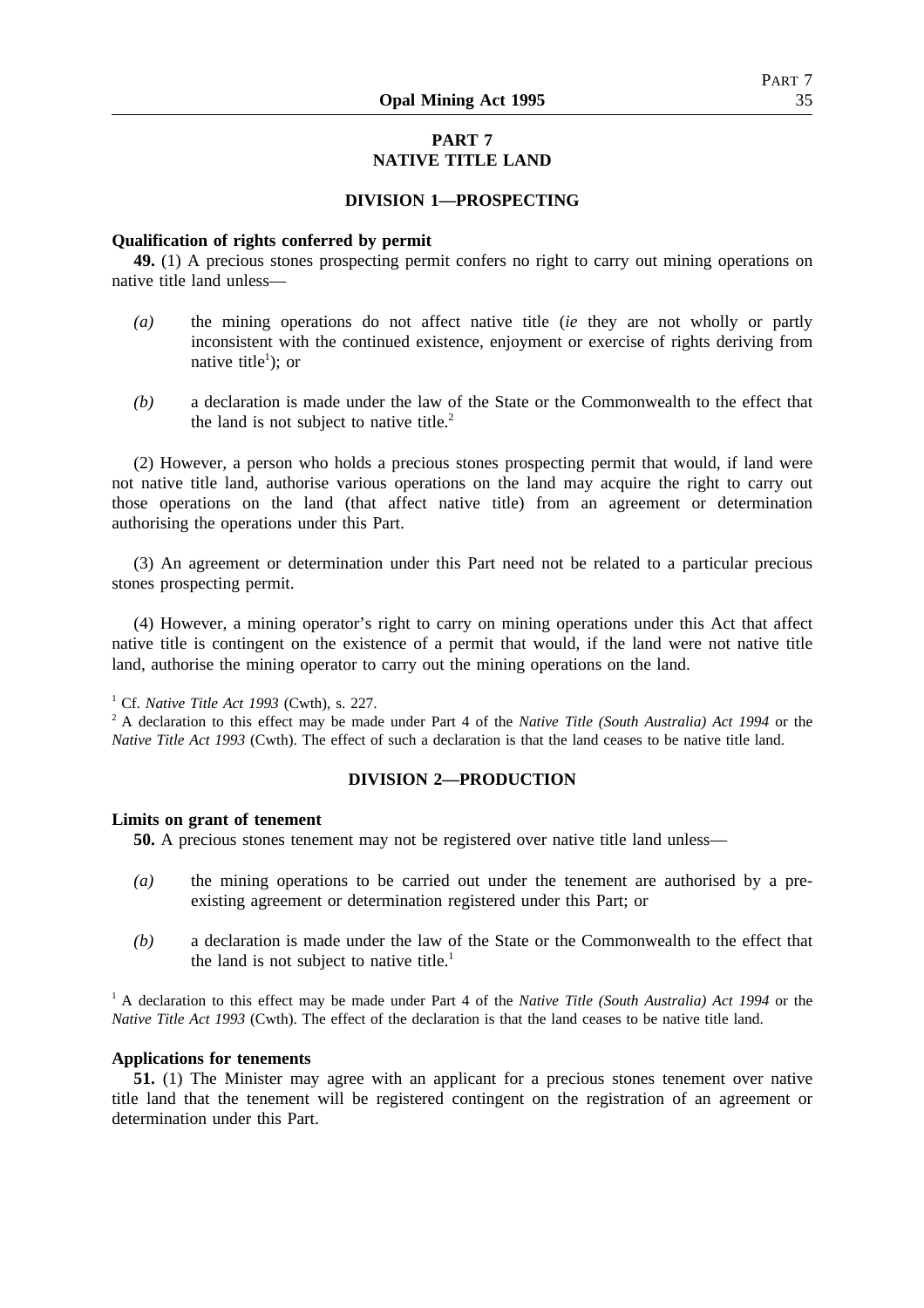# **PART 7 NATIVE TITLE LAND**

#### **DIVISION 1—PROSPECTING**

#### **Qualification of rights conferred by permit**

**49.** (1) A precious stones prospecting permit confers no right to carry out mining operations on native title land unless—

- *(a)* the mining operations do not affect native title (*ie* they are not wholly or partly inconsistent with the continued existence, enjoyment or exercise of rights deriving from native title<sup>1</sup>); or
- *(b)* a declaration is made under the law of the State or the Commonwealth to the effect that the land is not subject to native title. $2$

(2) However, a person who holds a precious stones prospecting permit that would, if land were not native title land, authorise various operations on the land may acquire the right to carry out those operations on the land (that affect native title) from an agreement or determination authorising the operations under this Part.

(3) An agreement or determination under this Part need not be related to a particular precious stones prospecting permit.

(4) However, a mining operator's right to carry on mining operations under this Act that affect native title is contingent on the existence of a permit that would, if the land were not native title land, authorise the mining operator to carry out the mining operations on the land.

<sup>1</sup> Cf. *Native Title Act 1993* (Cwth), s. 227.

<sup>2</sup> A declaration to this effect may be made under Part 4 of the *Native Title (South Australia) Act 1994* or the *Native Title Act 1993* (Cwth). The effect of such a declaration is that the land ceases to be native title land.

#### **DIVISION 2—PRODUCTION**

#### **Limits on grant of tenement**

**50.** A precious stones tenement may not be registered over native title land unless—

- *(a)* the mining operations to be carried out under the tenement are authorised by a preexisting agreement or determination registered under this Part; or
- *(b)* a declaration is made under the law of the State or the Commonwealth to the effect that the land is not subject to native title.<sup>1</sup>

<sup>1</sup> A declaration to this effect may be made under Part 4 of the *Native Title (South Australia) Act 1994* or the *Native Title Act 1993* (Cwth). The effect of the declaration is that the land ceases to be native title land.

#### **Applications for tenements**

**51.** (1) The Minister may agree with an applicant for a precious stones tenement over native title land that the tenement will be registered contingent on the registration of an agreement or determination under this Part.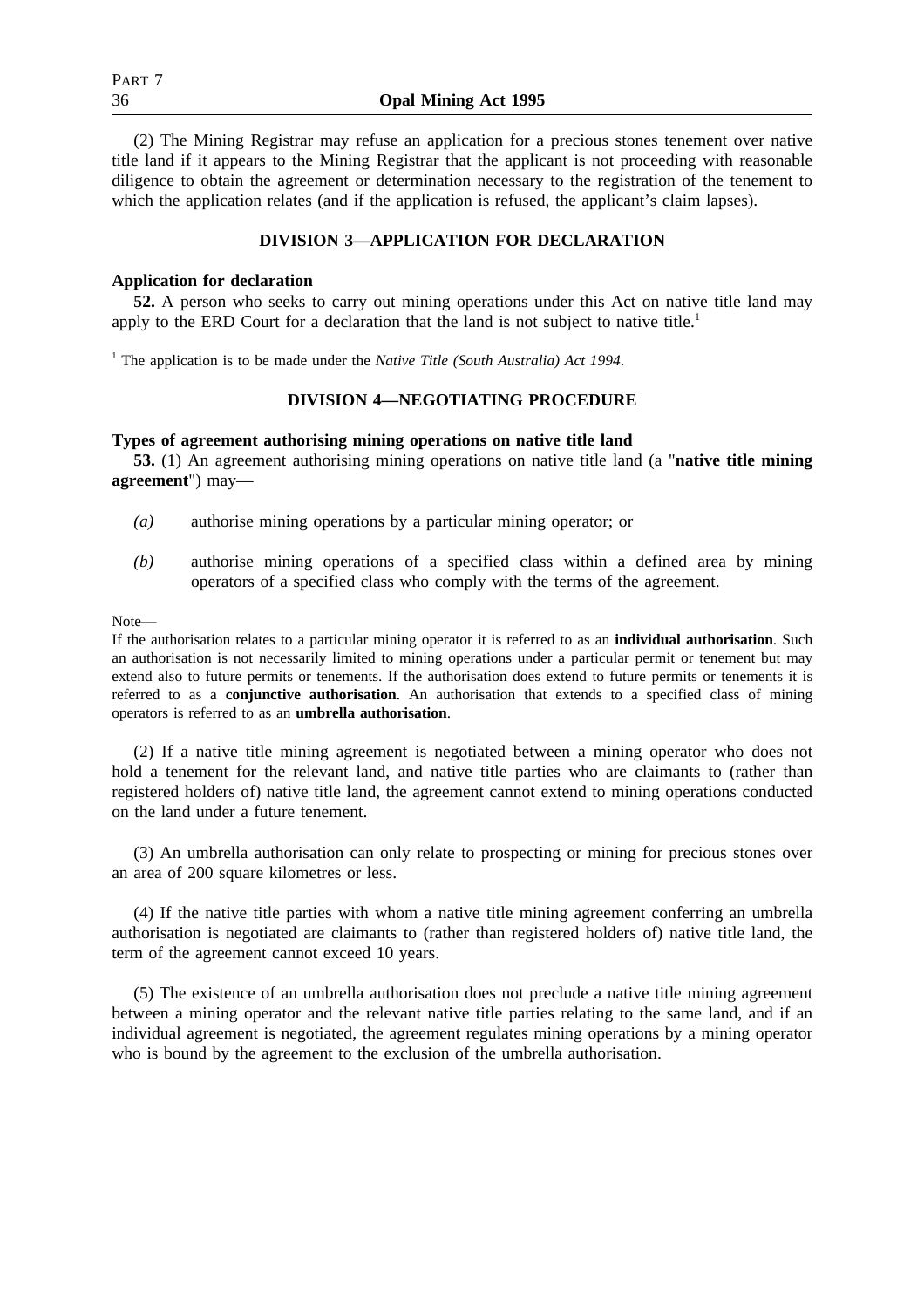(2) The Mining Registrar may refuse an application for a precious stones tenement over native title land if it appears to the Mining Registrar that the applicant is not proceeding with reasonable diligence to obtain the agreement or determination necessary to the registration of the tenement to which the application relates (and if the application is refused, the applicant's claim lapses).

## **DIVISION 3—APPLICATION FOR DECLARATION**

## **Application for declaration**

**52.** A person who seeks to carry out mining operations under this Act on native title land may apply to the ERD Court for a declaration that the land is not subject to native title.<sup>1</sup>

<sup>1</sup> The application is to be made under the *Native Title (South Australia) Act 1994*.

## **DIVISION 4—NEGOTIATING PROCEDURE**

## **Types of agreement authorising mining operations on native title land**

**53.** (1) An agreement authorising mining operations on native title land (a "**native title mining agreement**") may—

- *(a)* authorise mining operations by a particular mining operator; or
- *(b)* authorise mining operations of a specified class within a defined area by mining operators of a specified class who comply with the terms of the agreement.

Note—

If the authorisation relates to a particular mining operator it is referred to as an **individual authorisation**. Such an authorisation is not necessarily limited to mining operations under a particular permit or tenement but may extend also to future permits or tenements. If the authorisation does extend to future permits or tenements it is referred to as a **conjunctive authorisation**. An authorisation that extends to a specified class of mining operators is referred to as an **umbrella authorisation**.

(2) If a native title mining agreement is negotiated between a mining operator who does not hold a tenement for the relevant land, and native title parties who are claimants to (rather than registered holders of) native title land, the agreement cannot extend to mining operations conducted on the land under a future tenement.

(3) An umbrella authorisation can only relate to prospecting or mining for precious stones over an area of 200 square kilometres or less.

(4) If the native title parties with whom a native title mining agreement conferring an umbrella authorisation is negotiated are claimants to (rather than registered holders of) native title land, the term of the agreement cannot exceed 10 years.

(5) The existence of an umbrella authorisation does not preclude a native title mining agreement between a mining operator and the relevant native title parties relating to the same land, and if an individual agreement is negotiated, the agreement regulates mining operations by a mining operator who is bound by the agreement to the exclusion of the umbrella authorisation.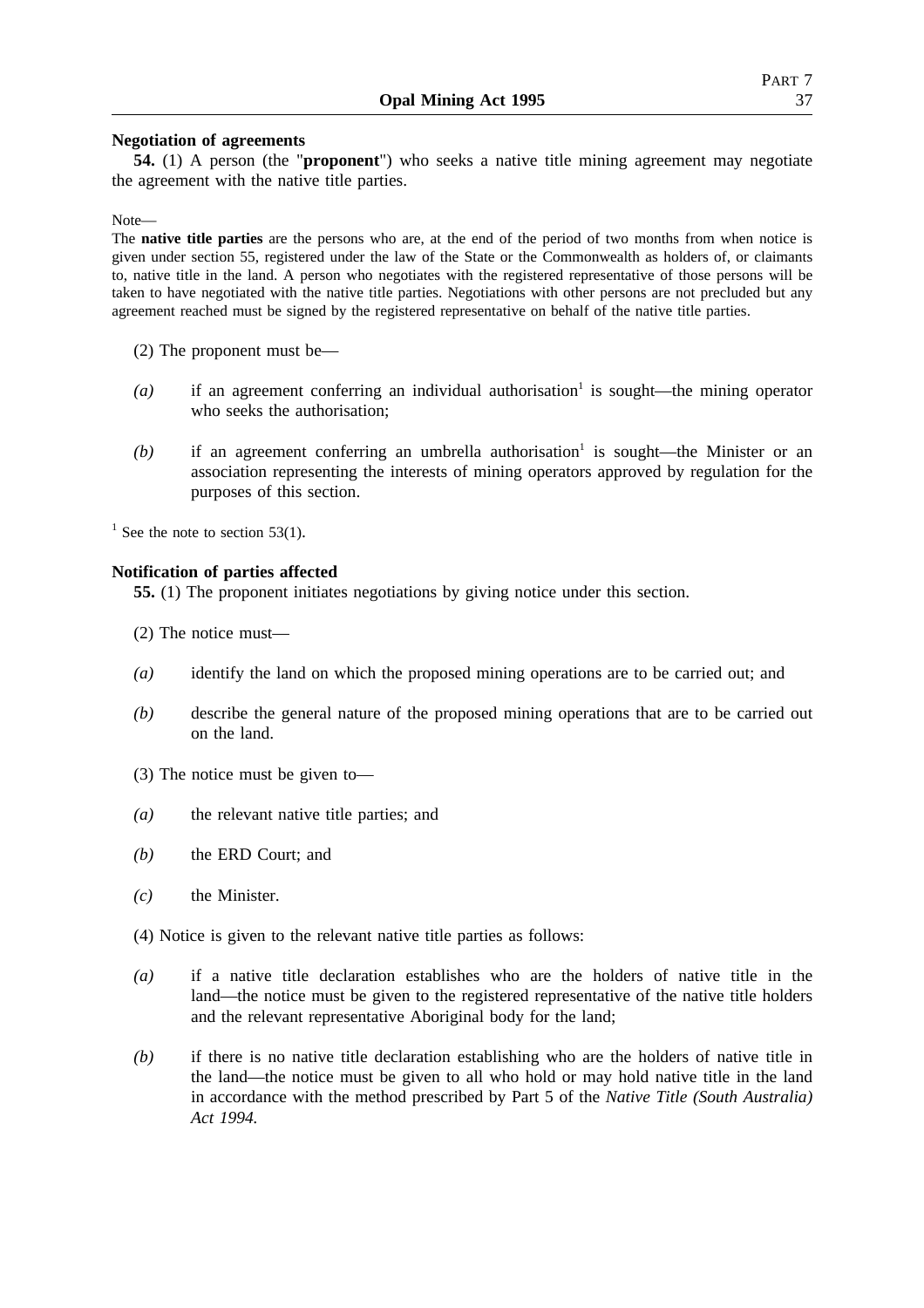## **Negotiation of agreements**

**54.** (1) A person (the "**proponent**") who seeks a native title mining agreement may negotiate the agreement with the native title parties.

Note—

The **native title parties** are the persons who are, at the end of the period of two months from when notice is given under section 55, registered under the law of the State or the Commonwealth as holders of, or claimants to, native title in the land. A person who negotiates with the registered representative of those persons will be taken to have negotiated with the native title parties. Negotiations with other persons are not precluded but any agreement reached must be signed by the registered representative on behalf of the native title parties.

- (2) The proponent must be—
- $(a)$  if an agreement conferring an individual authorisation<sup>1</sup> is sought—the mining operator who seeks the authorisation;
- $(b)$  if an agreement conferring an umbrella authorisation<sup>1</sup> is sought—the Minister or an association representing the interests of mining operators approved by regulation for the purposes of this section.

 $1$  See the note to section 53(1).

## **Notification of parties affected**

**55.** (1) The proponent initiates negotiations by giving notice under this section.

- (2) The notice must—
- *(a)* identify the land on which the proposed mining operations are to be carried out; and
- *(b)* describe the general nature of the proposed mining operations that are to be carried out on the land.
- (3) The notice must be given to—
- *(a)* the relevant native title parties; and
- *(b)* the ERD Court; and
- *(c)* the Minister.
- (4) Notice is given to the relevant native title parties as follows:
- *(a)* if a native title declaration establishes who are the holders of native title in the land—the notice must be given to the registered representative of the native title holders and the relevant representative Aboriginal body for the land;
- *(b)* if there is no native title declaration establishing who are the holders of native title in the land—the notice must be given to all who hold or may hold native title in the land in accordance with the method prescribed by Part 5 of the *Native Title (South Australia) Act 1994.*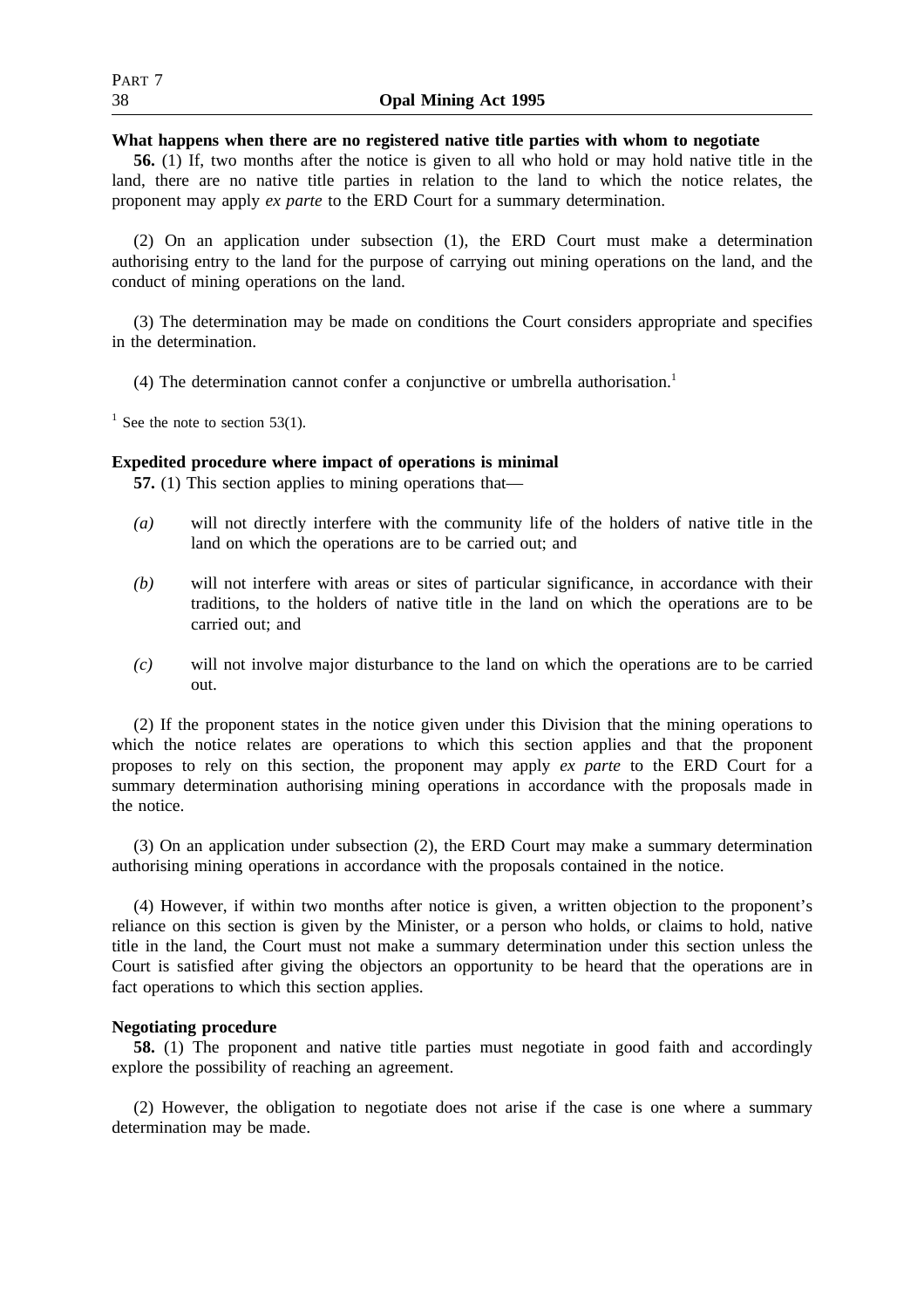#### **What happens when there are no registered native title parties with whom to negotiate**

**56.** (1) If, two months after the notice is given to all who hold or may hold native title in the land, there are no native title parties in relation to the land to which the notice relates, the proponent may apply *ex parte* to the ERD Court for a summary determination.

(2) On an application under subsection (1), the ERD Court must make a determination authorising entry to the land for the purpose of carrying out mining operations on the land, and the conduct of mining operations on the land.

(3) The determination may be made on conditions the Court considers appropriate and specifies in the determination.

(4) The determination cannot confer a conjunctive or umbrella authorisation.1

<sup>1</sup> See the note to section 53(1).

## **Expedited procedure where impact of operations is minimal**

**57.** (1) This section applies to mining operations that—

- *(a)* will not directly interfere with the community life of the holders of native title in the land on which the operations are to be carried out; and
- *(b)* will not interfere with areas or sites of particular significance, in accordance with their traditions, to the holders of native title in the land on which the operations are to be carried out; and
- *(c)* will not involve major disturbance to the land on which the operations are to be carried out.

(2) If the proponent states in the notice given under this Division that the mining operations to which the notice relates are operations to which this section applies and that the proponent proposes to rely on this section, the proponent may apply *ex parte* to the ERD Court for a summary determination authorising mining operations in accordance with the proposals made in the notice.

(3) On an application under subsection (2), the ERD Court may make a summary determination authorising mining operations in accordance with the proposals contained in the notice.

(4) However, if within two months after notice is given, a written objection to the proponent's reliance on this section is given by the Minister, or a person who holds, or claims to hold, native title in the land, the Court must not make a summary determination under this section unless the Court is satisfied after giving the objectors an opportunity to be heard that the operations are in fact operations to which this section applies.

## **Negotiating procedure**

**58.** (1) The proponent and native title parties must negotiate in good faith and accordingly explore the possibility of reaching an agreement.

(2) However, the obligation to negotiate does not arise if the case is one where a summary determination may be made.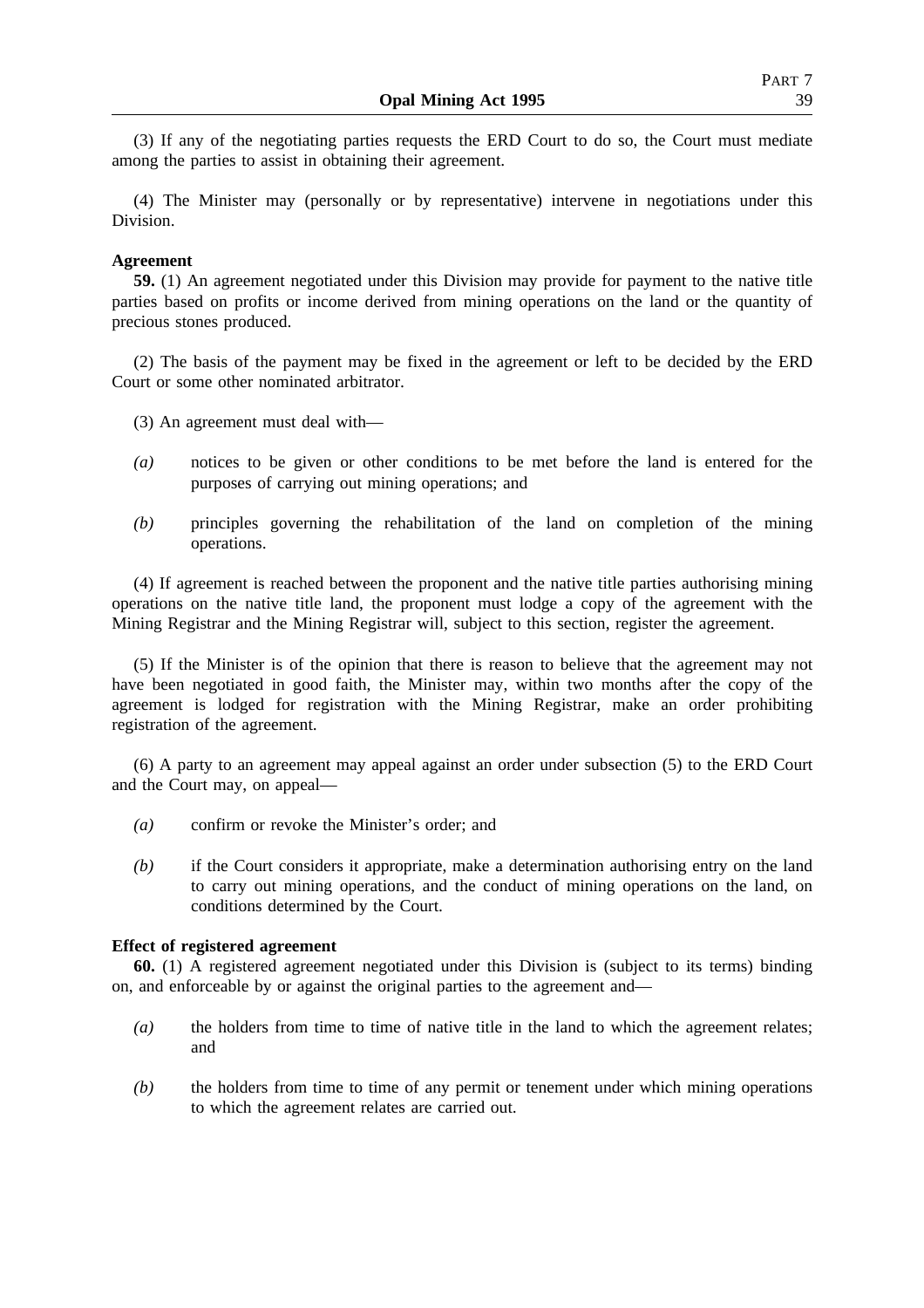(3) If any of the negotiating parties requests the ERD Court to do so, the Court must mediate among the parties to assist in obtaining their agreement.

(4) The Minister may (personally or by representative) intervene in negotiations under this Division.

## **Agreement**

**59.** (1) An agreement negotiated under this Division may provide for payment to the native title parties based on profits or income derived from mining operations on the land or the quantity of precious stones produced.

(2) The basis of the payment may be fixed in the agreement or left to be decided by the ERD Court or some other nominated arbitrator.

(3) An agreement must deal with—

- *(a)* notices to be given or other conditions to be met before the land is entered for the purposes of carrying out mining operations; and
- *(b)* principles governing the rehabilitation of the land on completion of the mining operations.

(4) If agreement is reached between the proponent and the native title parties authorising mining operations on the native title land, the proponent must lodge a copy of the agreement with the Mining Registrar and the Mining Registrar will, subject to this section, register the agreement.

(5) If the Minister is of the opinion that there is reason to believe that the agreement may not have been negotiated in good faith, the Minister may, within two months after the copy of the agreement is lodged for registration with the Mining Registrar, make an order prohibiting registration of the agreement.

(6) A party to an agreement may appeal against an order under subsection (5) to the ERD Court and the Court may, on appeal—

- *(a)* confirm or revoke the Minister's order; and
- *(b)* if the Court considers it appropriate, make a determination authorising entry on the land to carry out mining operations, and the conduct of mining operations on the land, on conditions determined by the Court.

## **Effect of registered agreement**

**60.** (1) A registered agreement negotiated under this Division is (subject to its terms) binding on, and enforceable by or against the original parties to the agreement and—

- *(a)* the holders from time to time of native title in the land to which the agreement relates; and
- *(b)* the holders from time to time of any permit or tenement under which mining operations to which the agreement relates are carried out.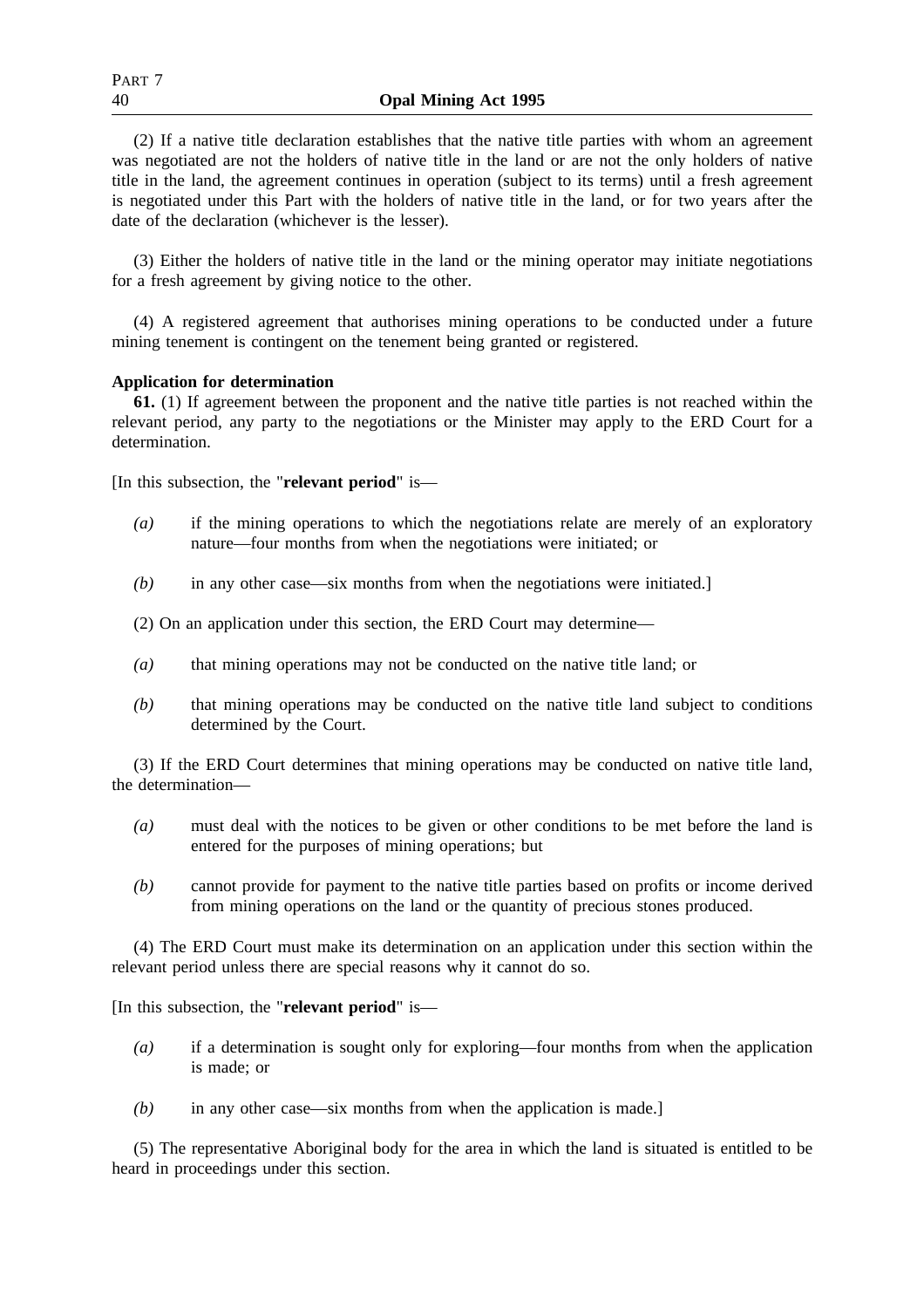(2) If a native title declaration establishes that the native title parties with whom an agreement was negotiated are not the holders of native title in the land or are not the only holders of native title in the land, the agreement continues in operation (subject to its terms) until a fresh agreement is negotiated under this Part with the holders of native title in the land, or for two years after the date of the declaration (whichever is the lesser).

(3) Either the holders of native title in the land or the mining operator may initiate negotiations for a fresh agreement by giving notice to the other.

(4) A registered agreement that authorises mining operations to be conducted under a future mining tenement is contingent on the tenement being granted or registered.

## **Application for determination**

**61.** (1) If agreement between the proponent and the native title parties is not reached within the relevant period, any party to the negotiations or the Minister may apply to the ERD Court for a determination.

[In this subsection, the "**relevant period**" is—

- *(a)* if the mining operations to which the negotiations relate are merely of an exploratory nature—four months from when the negotiations were initiated; or
- *(b)* in any other case—six months from when the negotiations were initiated.]

(2) On an application under this section, the ERD Court may determine—

- *(a)* that mining operations may not be conducted on the native title land; or
- *(b)* that mining operations may be conducted on the native title land subject to conditions determined by the Court.

(3) If the ERD Court determines that mining operations may be conducted on native title land, the determination—

- *(a)* must deal with the notices to be given or other conditions to be met before the land is entered for the purposes of mining operations; but
- *(b)* cannot provide for payment to the native title parties based on profits or income derived from mining operations on the land or the quantity of precious stones produced.

(4) The ERD Court must make its determination on an application under this section within the relevant period unless there are special reasons why it cannot do so.

[In this subsection, the "**relevant period**" is—

- *(a)* if a determination is sought only for exploring—four months from when the application is made; or
- *(b)* in any other case—six months from when the application is made.]

(5) The representative Aboriginal body for the area in which the land is situated is entitled to be heard in proceedings under this section.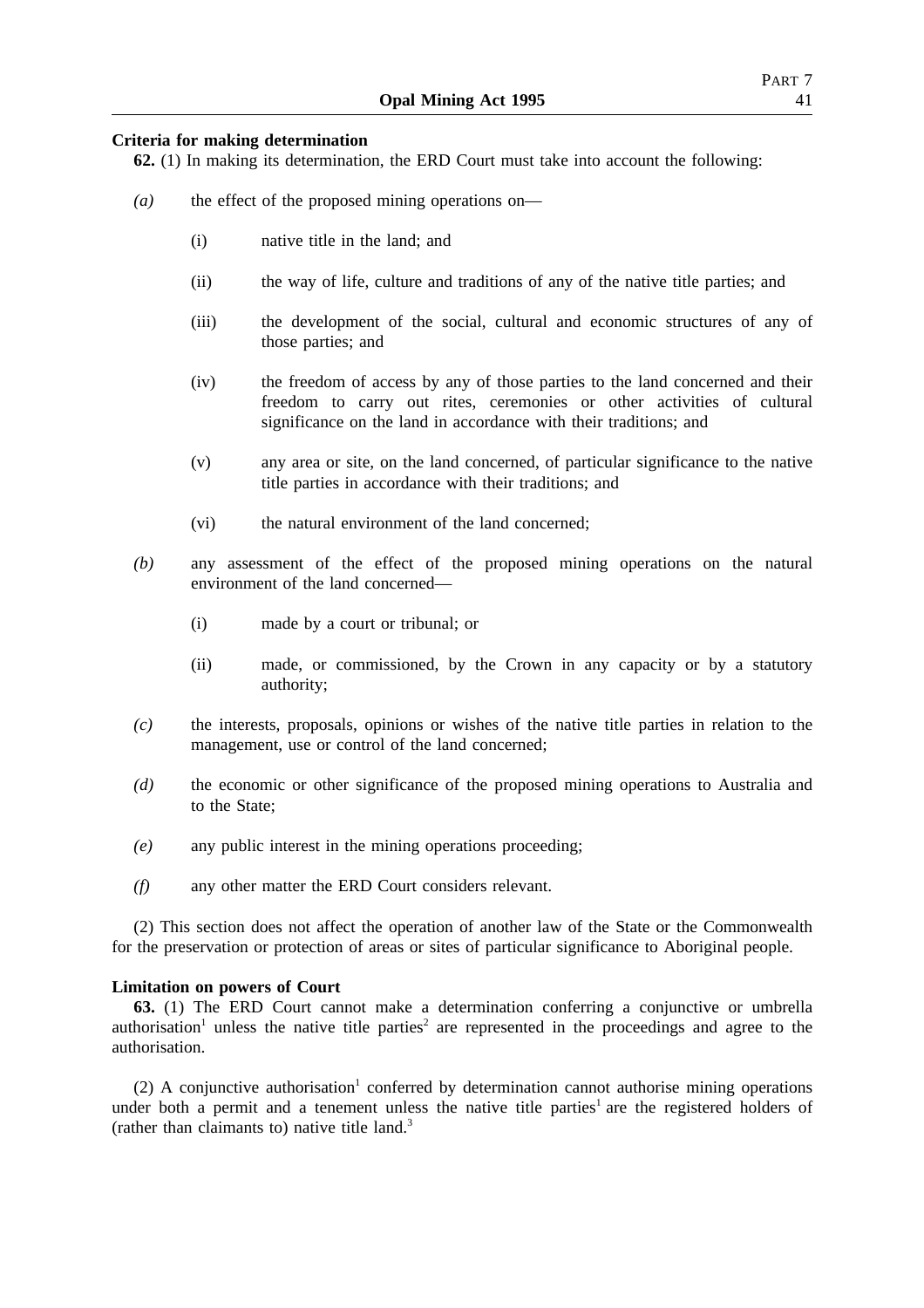## **Criteria for making determination**

**62.** (1) In making its determination, the ERD Court must take into account the following:

- *(a)* the effect of the proposed mining operations on—
	- (i) native title in the land; and
	- (ii) the way of life, culture and traditions of any of the native title parties; and
	- (iii) the development of the social, cultural and economic structures of any of those parties; and
	- (iv) the freedom of access by any of those parties to the land concerned and their freedom to carry out rites, ceremonies or other activities of cultural significance on the land in accordance with their traditions; and
	- (v) any area or site, on the land concerned, of particular significance to the native title parties in accordance with their traditions; and
	- (vi) the natural environment of the land concerned;
- *(b)* any assessment of the effect of the proposed mining operations on the natural environment of the land concerned—
	- (i) made by a court or tribunal; or
	- (ii) made, or commissioned, by the Crown in any capacity or by a statutory authority;
- *(c)* the interests, proposals, opinions or wishes of the native title parties in relation to the management, use or control of the land concerned;
- *(d)* the economic or other significance of the proposed mining operations to Australia and to the State;
- *(e)* any public interest in the mining operations proceeding;
- *(f)* any other matter the ERD Court considers relevant.

(2) This section does not affect the operation of another law of the State or the Commonwealth for the preservation or protection of areas or sites of particular significance to Aboriginal people.

## **Limitation on powers of Court**

**63.** (1) The ERD Court cannot make a determination conferring a conjunctive or umbrella authorisation<sup>1</sup> unless the native title parties<sup>2</sup> are represented in the proceedings and agree to the authorisation.

(2) A conjunctive authorisation<sup>1</sup> conferred by determination cannot authorise mining operations under both a permit and a tenement unless the native title parties<sup>1</sup> are the registered holders of (rather than claimants to) native title land.3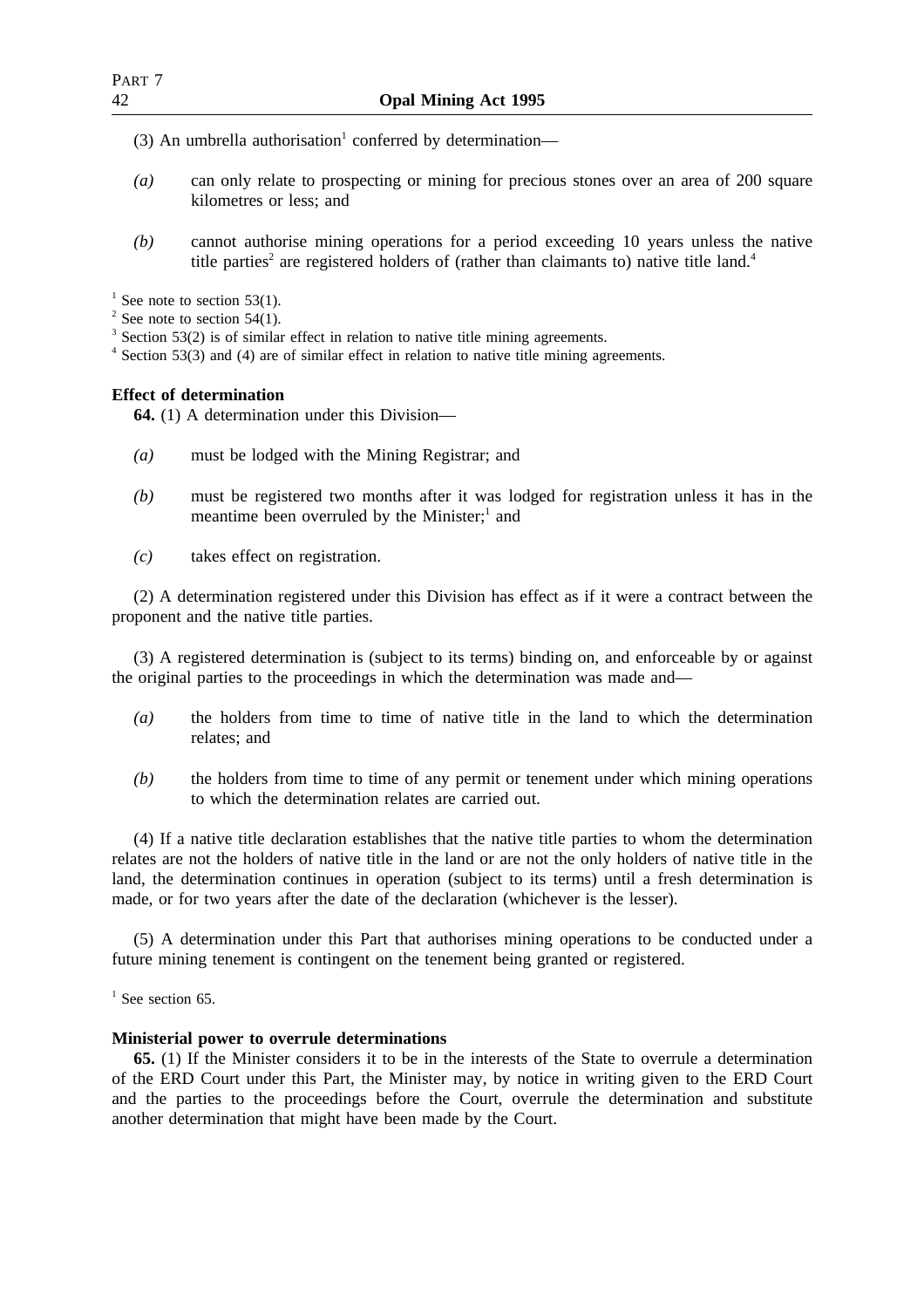- (3) An umbrella authorisation<sup>1</sup> conferred by determination—
- *(a)* can only relate to prospecting or mining for precious stones over an area of 200 square kilometres or less; and
- *(b)* cannot authorise mining operations for a period exceeding 10 years unless the native title parties<sup>2</sup> are registered holders of (rather than claimants to) native title land.<sup>4</sup>

 $1$  See note to section 53(1).

 $2$  See note to section 54(1).

<sup>3</sup> Section 53(2) is of similar effect in relation to native title mining agreements.

<sup>4</sup> Section 53(3) and (4) are of similar effect in relation to native title mining agreements.

## **Effect of determination**

**64.** (1) A determination under this Division—

- *(a)* must be lodged with the Mining Registrar; and
- *(b)* must be registered two months after it was lodged for registration unless it has in the meantime been overruled by the Minister; $<sup>1</sup>$  and</sup>
- *(c)* takes effect on registration.

(2) A determination registered under this Division has effect as if it were a contract between the proponent and the native title parties.

(3) A registered determination is (subject to its terms) binding on, and enforceable by or against the original parties to the proceedings in which the determination was made and—

- *(a)* the holders from time to time of native title in the land to which the determination relates; and
- *(b)* the holders from time to time of any permit or tenement under which mining operations to which the determination relates are carried out.

(4) If a native title declaration establishes that the native title parties to whom the determination relates are not the holders of native title in the land or are not the only holders of native title in the land, the determination continues in operation (subject to its terms) until a fresh determination is made, or for two years after the date of the declaration (whichever is the lesser).

(5) A determination under this Part that authorises mining operations to be conducted under a future mining tenement is contingent on the tenement being granted or registered.

 $<sup>1</sup>$  See section 65.</sup>

#### **Ministerial power to overrule determinations**

**65.** (1) If the Minister considers it to be in the interests of the State to overrule a determination of the ERD Court under this Part, the Minister may, by notice in writing given to the ERD Court and the parties to the proceedings before the Court, overrule the determination and substitute another determination that might have been made by the Court.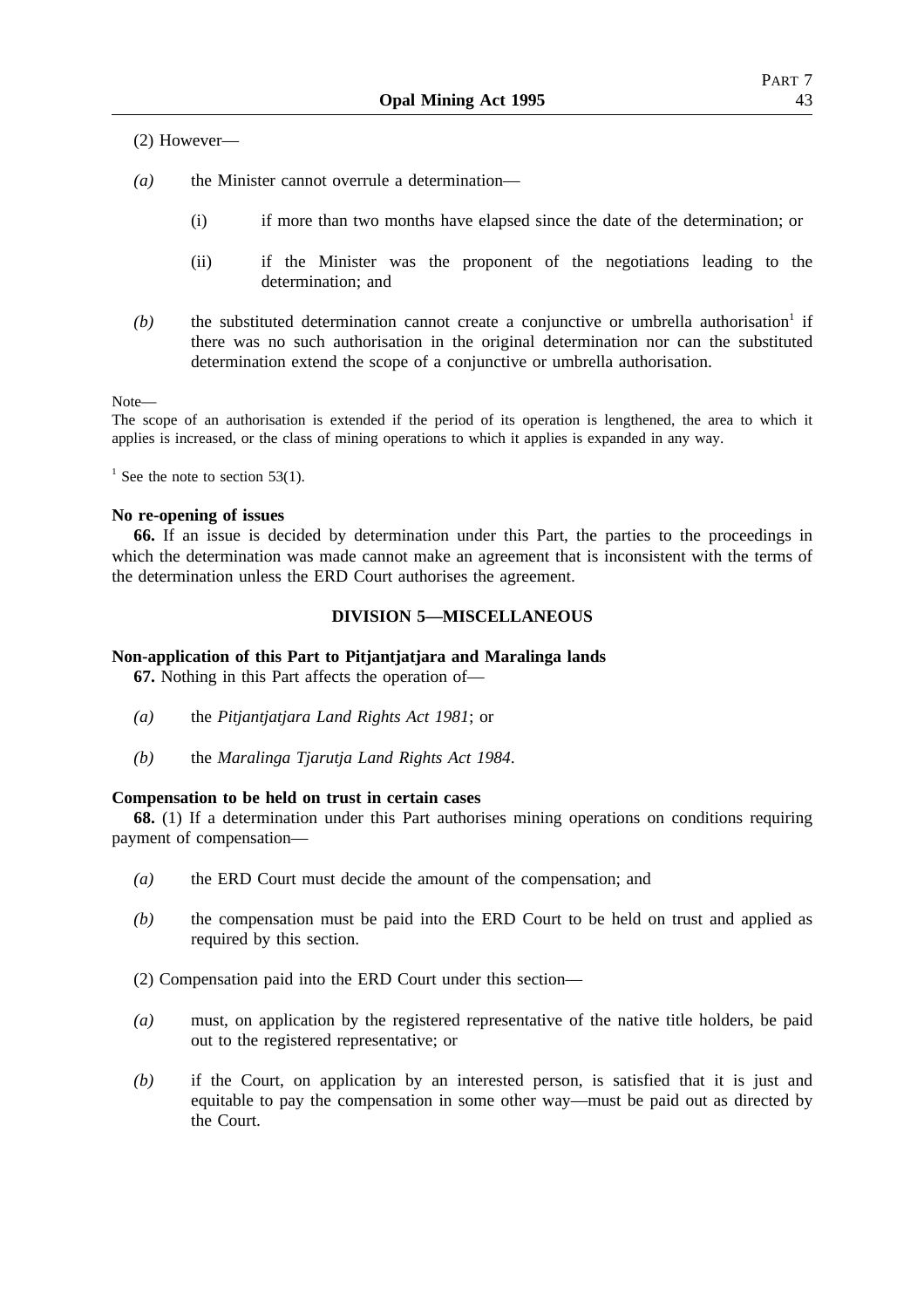(2) However—

- *(a)* the Minister cannot overrule a determination—
	- (i) if more than two months have elapsed since the date of the determination; or
	- (ii) if the Minister was the proponent of the negotiations leading to the determination; and
- $(b)$  the substituted determination cannot create a conjunctive or umbrella authorisation<sup>1</sup> if there was no such authorisation in the original determination nor can the substituted determination extend the scope of a conjunctive or umbrella authorisation.

Note—

The scope of an authorisation is extended if the period of its operation is lengthened, the area to which it applies is increased, or the class of mining operations to which it applies is expanded in any way.

 $1$  See the note to section 53(1).

#### **No re-opening of issues**

**66.** If an issue is decided by determination under this Part, the parties to the proceedings in which the determination was made cannot make an agreement that is inconsistent with the terms of the determination unless the ERD Court authorises the agreement.

## **DIVISION 5—MISCELLANEOUS**

## **Non-application of this Part to Pitjantjatjara and Maralinga lands**

**67.** Nothing in this Part affects the operation of—

- *(a)* the *Pitjantjatjara Land Rights Act 1981*; or
- *(b)* the *Maralinga Tjarutja Land Rights Act 1984*.

## **Compensation to be held on trust in certain cases**

**68.** (1) If a determination under this Part authorises mining operations on conditions requiring payment of compensation—

- *(a)* the ERD Court must decide the amount of the compensation; and
- *(b)* the compensation must be paid into the ERD Court to be held on trust and applied as required by this section.

(2) Compensation paid into the ERD Court under this section—

- *(a)* must, on application by the registered representative of the native title holders, be paid out to the registered representative; or
- *(b)* if the Court, on application by an interested person, is satisfied that it is just and equitable to pay the compensation in some other way—must be paid out as directed by the Court.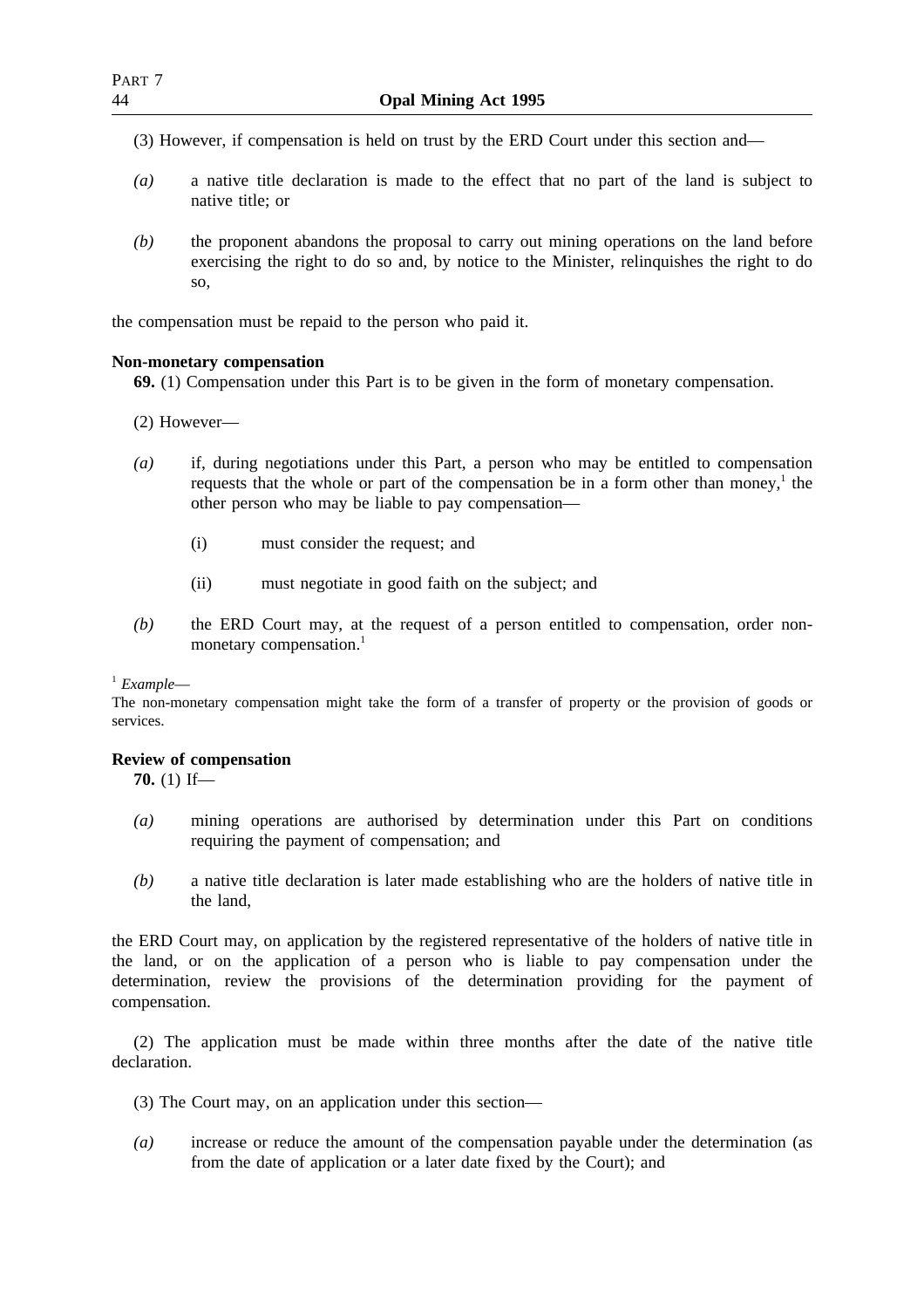- (3) However, if compensation is held on trust by the ERD Court under this section and—
- *(a)* a native title declaration is made to the effect that no part of the land is subject to native title; or
- *(b)* the proponent abandons the proposal to carry out mining operations on the land before exercising the right to do so and, by notice to the Minister, relinquishes the right to do so,

the compensation must be repaid to the person who paid it.

## **Non-monetary compensation**

**69.** (1) Compensation under this Part is to be given in the form of monetary compensation.

- (2) However—
- *(a)* if, during negotiations under this Part, a person who may be entitled to compensation requests that the whole or part of the compensation be in a form other than money,<sup>1</sup> the other person who may be liable to pay compensation—
	- (i) must consider the request; and
	- (ii) must negotiate in good faith on the subject; and
- *(b)* the ERD Court may, at the request of a person entitled to compensation, order nonmonetary compensation.<sup>1</sup>

## <sup>1</sup> *Example*—

The non-monetary compensation might take the form of a transfer of property or the provision of goods or services.

## **Review of compensation**

**70.** (1) If—

- *(a)* mining operations are authorised by determination under this Part on conditions requiring the payment of compensation; and
- *(b)* a native title declaration is later made establishing who are the holders of native title in the land,

the ERD Court may, on application by the registered representative of the holders of native title in the land, or on the application of a person who is liable to pay compensation under the determination, review the provisions of the determination providing for the payment of compensation.

(2) The application must be made within three months after the date of the native title declaration.

- (3) The Court may, on an application under this section—
- *(a)* increase or reduce the amount of the compensation payable under the determination (as from the date of application or a later date fixed by the Court); and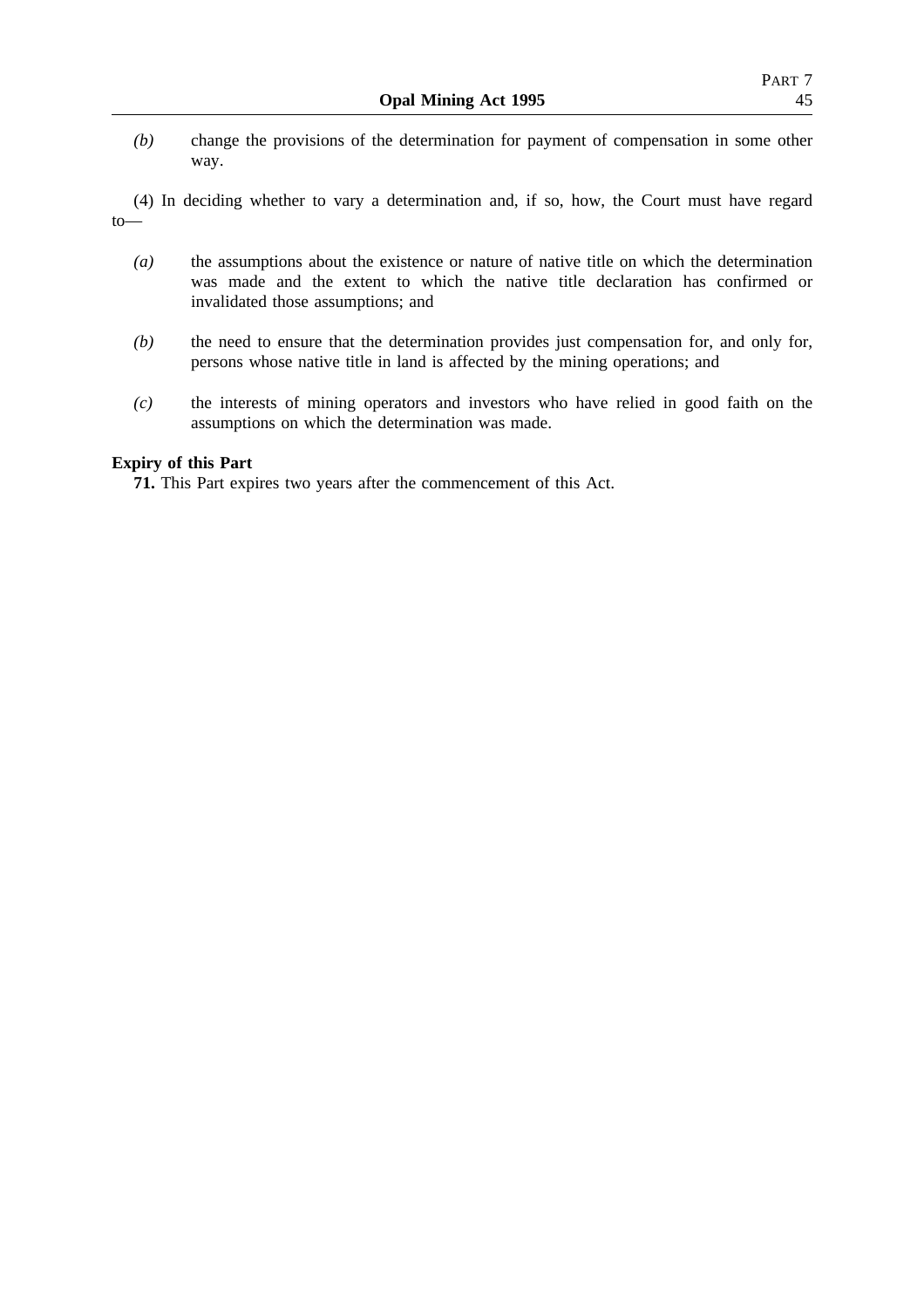- *(b)* change the provisions of the determination for payment of compensation in some other way.
- (4) In deciding whether to vary a determination and, if so, how, the Court must have regard to—
	- *(a)* the assumptions about the existence or nature of native title on which the determination was made and the extent to which the native title declaration has confirmed or invalidated those assumptions; and
	- *(b)* the need to ensure that the determination provides just compensation for, and only for, persons whose native title in land is affected by the mining operations; and
	- *(c)* the interests of mining operators and investors who have relied in good faith on the assumptions on which the determination was made.

## **Expiry of this Part**

**71.** This Part expires two years after the commencement of this Act.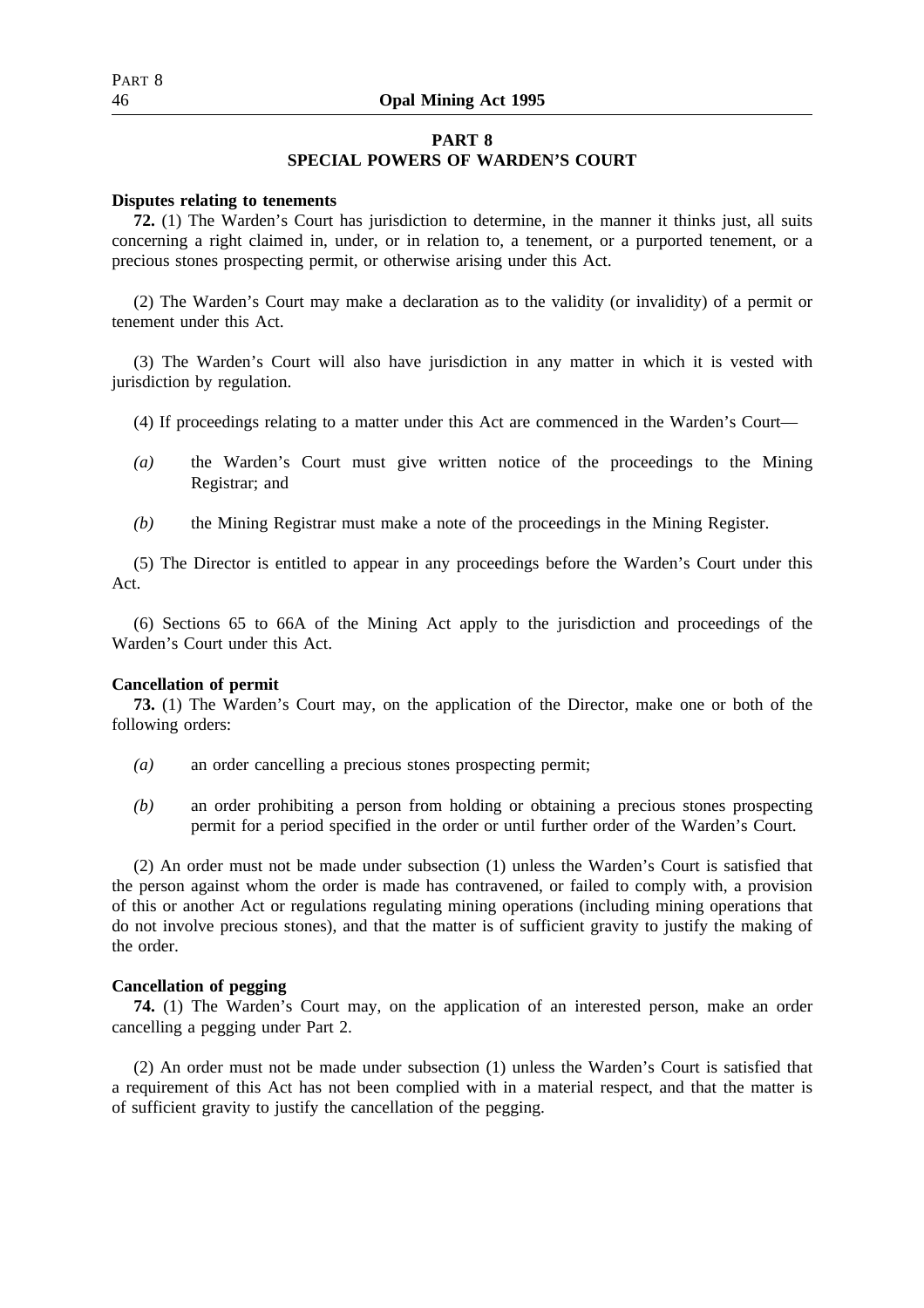## 46 **Opal Mining Act 1995**

## **PART 8**

## **SPECIAL POWERS OF WARDEN'S COURT**

#### **Disputes relating to tenements**

**72.** (1) The Warden's Court has jurisdiction to determine, in the manner it thinks just, all suits concerning a right claimed in, under, or in relation to, a tenement, or a purported tenement, or a precious stones prospecting permit, or otherwise arising under this Act.

(2) The Warden's Court may make a declaration as to the validity (or invalidity) of a permit or tenement under this Act.

(3) The Warden's Court will also have jurisdiction in any matter in which it is vested with jurisdiction by regulation.

- (4) If proceedings relating to a matter under this Act are commenced in the Warden's Court—
- *(a)* the Warden's Court must give written notice of the proceedings to the Mining Registrar; and
- *(b)* the Mining Registrar must make a note of the proceedings in the Mining Register.

(5) The Director is entitled to appear in any proceedings before the Warden's Court under this Act.

(6) Sections 65 to 66A of the Mining Act apply to the jurisdiction and proceedings of the Warden's Court under this Act.

#### **Cancellation of permit**

**73.** (1) The Warden's Court may, on the application of the Director, make one or both of the following orders:

- *(a)* an order cancelling a precious stones prospecting permit;
- *(b)* an order prohibiting a person from holding or obtaining a precious stones prospecting permit for a period specified in the order or until further order of the Warden's Court.

(2) An order must not be made under subsection (1) unless the Warden's Court is satisfied that the person against whom the order is made has contravened, or failed to comply with, a provision of this or another Act or regulations regulating mining operations (including mining operations that do not involve precious stones), and that the matter is of sufficient gravity to justify the making of the order.

## **Cancellation of pegging**

**74.** (1) The Warden's Court may, on the application of an interested person, make an order cancelling a pegging under Part 2.

(2) An order must not be made under subsection (1) unless the Warden's Court is satisfied that a requirement of this Act has not been complied with in a material respect, and that the matter is of sufficient gravity to justify the cancellation of the pegging.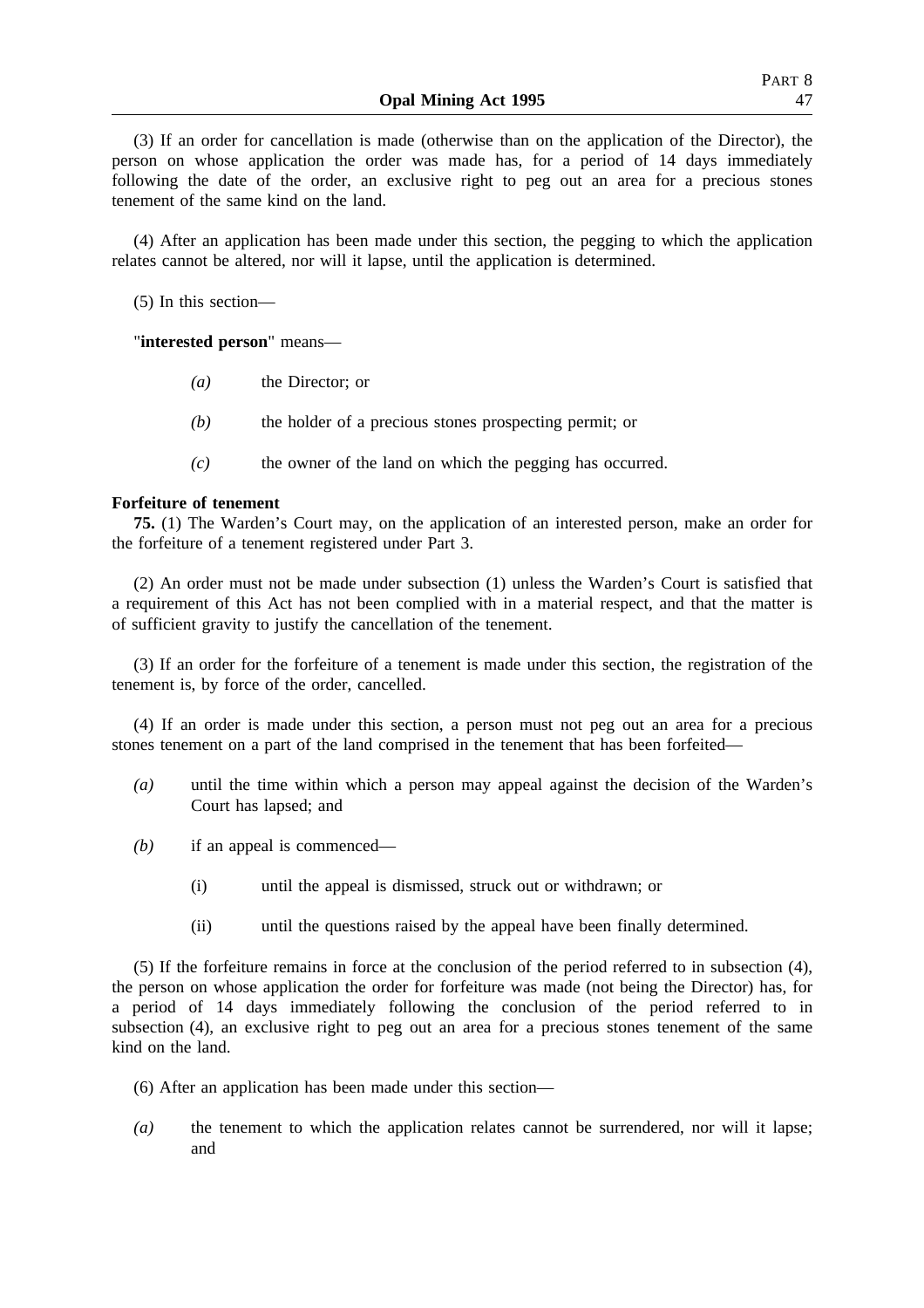(3) If an order for cancellation is made (otherwise than on the application of the Director), the person on whose application the order was made has, for a period of 14 days immediately following the date of the order, an exclusive right to peg out an area for a precious stones tenement of the same kind on the land.

(4) After an application has been made under this section, the pegging to which the application relates cannot be altered, nor will it lapse, until the application is determined.

(5) In this section—

"**interested person**" means—

- *(a)* the Director; or
- *(b)* the holder of a precious stones prospecting permit; or
- *(c)* the owner of the land on which the pegging has occurred.

## **Forfeiture of tenement**

**75.** (1) The Warden's Court may, on the application of an interested person, make an order for the forfeiture of a tenement registered under Part 3.

(2) An order must not be made under subsection (1) unless the Warden's Court is satisfied that a requirement of this Act has not been complied with in a material respect, and that the matter is of sufficient gravity to justify the cancellation of the tenement.

(3) If an order for the forfeiture of a tenement is made under this section, the registration of the tenement is, by force of the order, cancelled.

(4) If an order is made under this section, a person must not peg out an area for a precious stones tenement on a part of the land comprised in the tenement that has been forfeited—

- *(a)* until the time within which a person may appeal against the decision of the Warden's Court has lapsed; and
- *(b)* if an appeal is commenced—
	- (i) until the appeal is dismissed, struck out or withdrawn; or
	- (ii) until the questions raised by the appeal have been finally determined.

(5) If the forfeiture remains in force at the conclusion of the period referred to in subsection (4), the person on whose application the order for forfeiture was made (not being the Director) has, for a period of 14 days immediately following the conclusion of the period referred to in subsection (4), an exclusive right to peg out an area for a precious stones tenement of the same kind on the land.

- (6) After an application has been made under this section—
- *(a)* the tenement to which the application relates cannot be surrendered, nor will it lapse; and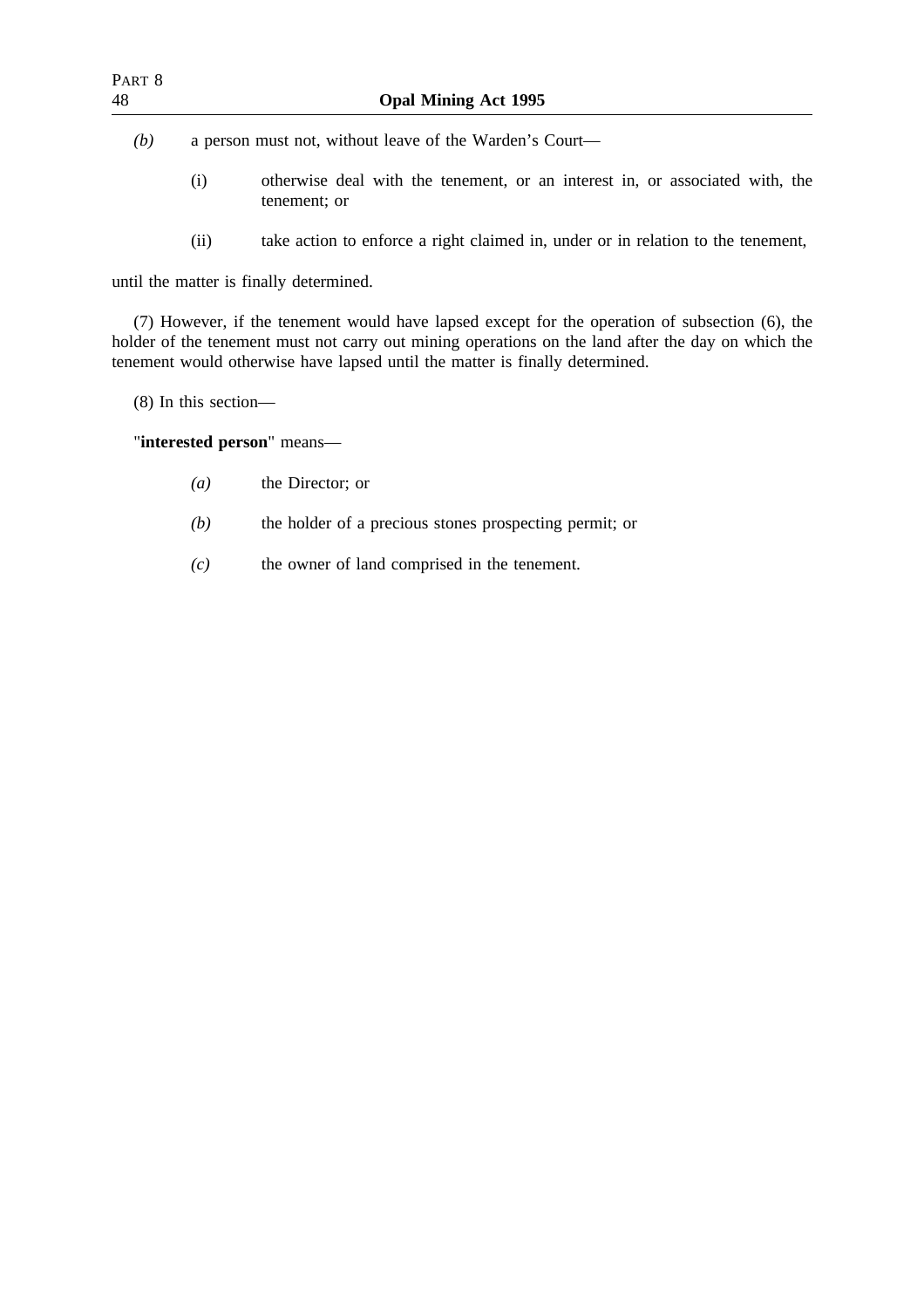*(b)* a person must not, without leave of the Warden's Court—

- (i) otherwise deal with the tenement, or an interest in, or associated with, the tenement; or
- (ii) take action to enforce a right claimed in, under or in relation to the tenement,

until the matter is finally determined.

(7) However, if the tenement would have lapsed except for the operation of subsection (6), the holder of the tenement must not carry out mining operations on the land after the day on which the tenement would otherwise have lapsed until the matter is finally determined.

(8) In this section—

"**interested person**" means—

- *(a)* the Director; or
- *(b)* the holder of a precious stones prospecting permit; or
- *(c)* the owner of land comprised in the tenement.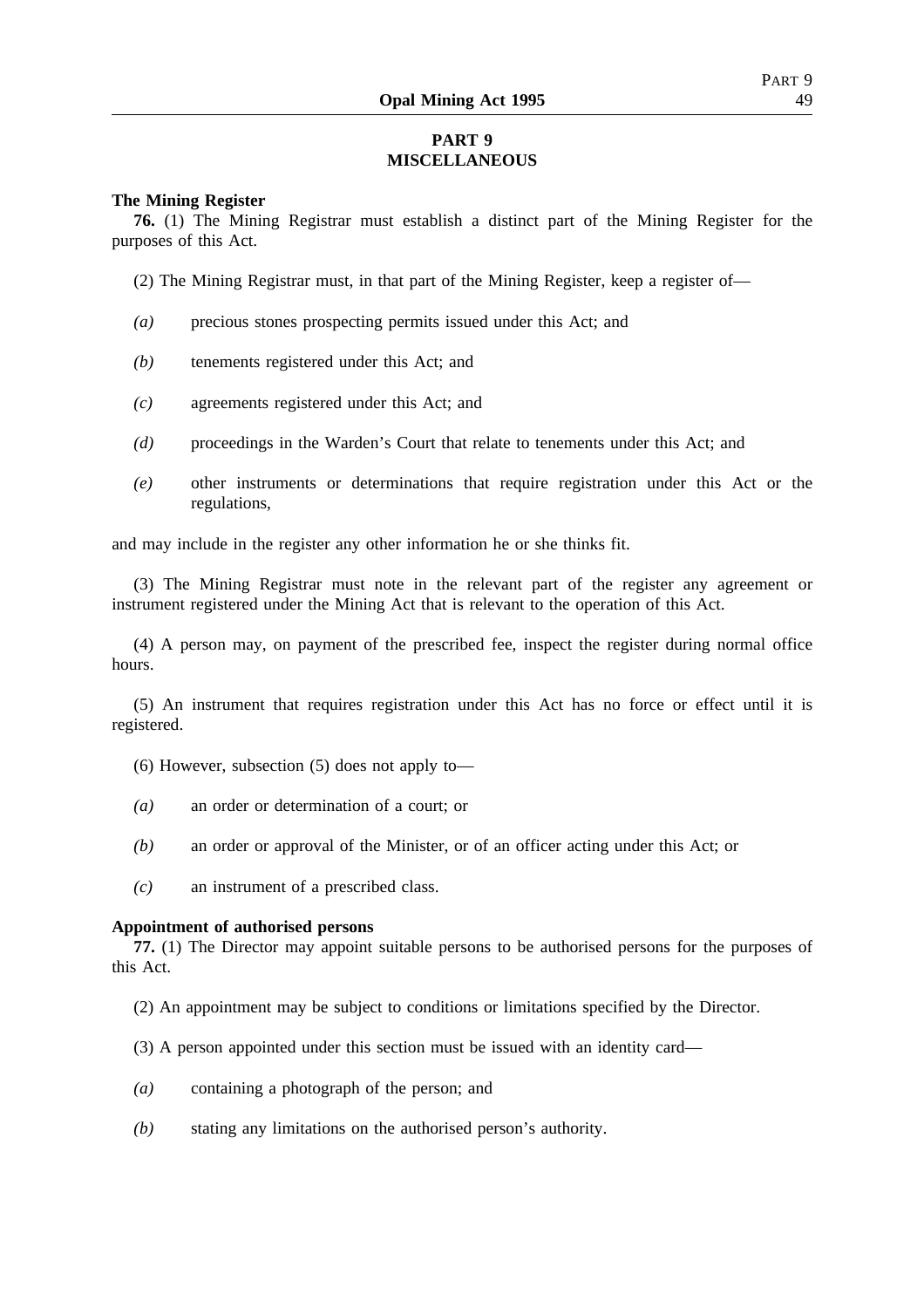# **PART 9 MISCELLANEOUS**

## **The Mining Register**

**76.** (1) The Mining Registrar must establish a distinct part of the Mining Register for the purposes of this Act.

- (2) The Mining Registrar must, in that part of the Mining Register, keep a register of—
- *(a)* precious stones prospecting permits issued under this Act; and
- *(b)* tenements registered under this Act; and
- *(c)* agreements registered under this Act; and
- *(d)* proceedings in the Warden's Court that relate to tenements under this Act; and
- *(e)* other instruments or determinations that require registration under this Act or the regulations,

and may include in the register any other information he or she thinks fit.

(3) The Mining Registrar must note in the relevant part of the register any agreement or instrument registered under the Mining Act that is relevant to the operation of this Act.

(4) A person may, on payment of the prescribed fee, inspect the register during normal office hours.

(5) An instrument that requires registration under this Act has no force or effect until it is registered.

- (6) However, subsection (5) does not apply to—
- *(a)* an order or determination of a court; or
- *(b)* an order or approval of the Minister, or of an officer acting under this Act; or
- *(c)* an instrument of a prescribed class.

#### **Appointment of authorised persons**

**77.** (1) The Director may appoint suitable persons to be authorised persons for the purposes of this Act.

- (2) An appointment may be subject to conditions or limitations specified by the Director.
- (3) A person appointed under this section must be issued with an identity card—
- *(a)* containing a photograph of the person; and
- *(b)* stating any limitations on the authorised person's authority.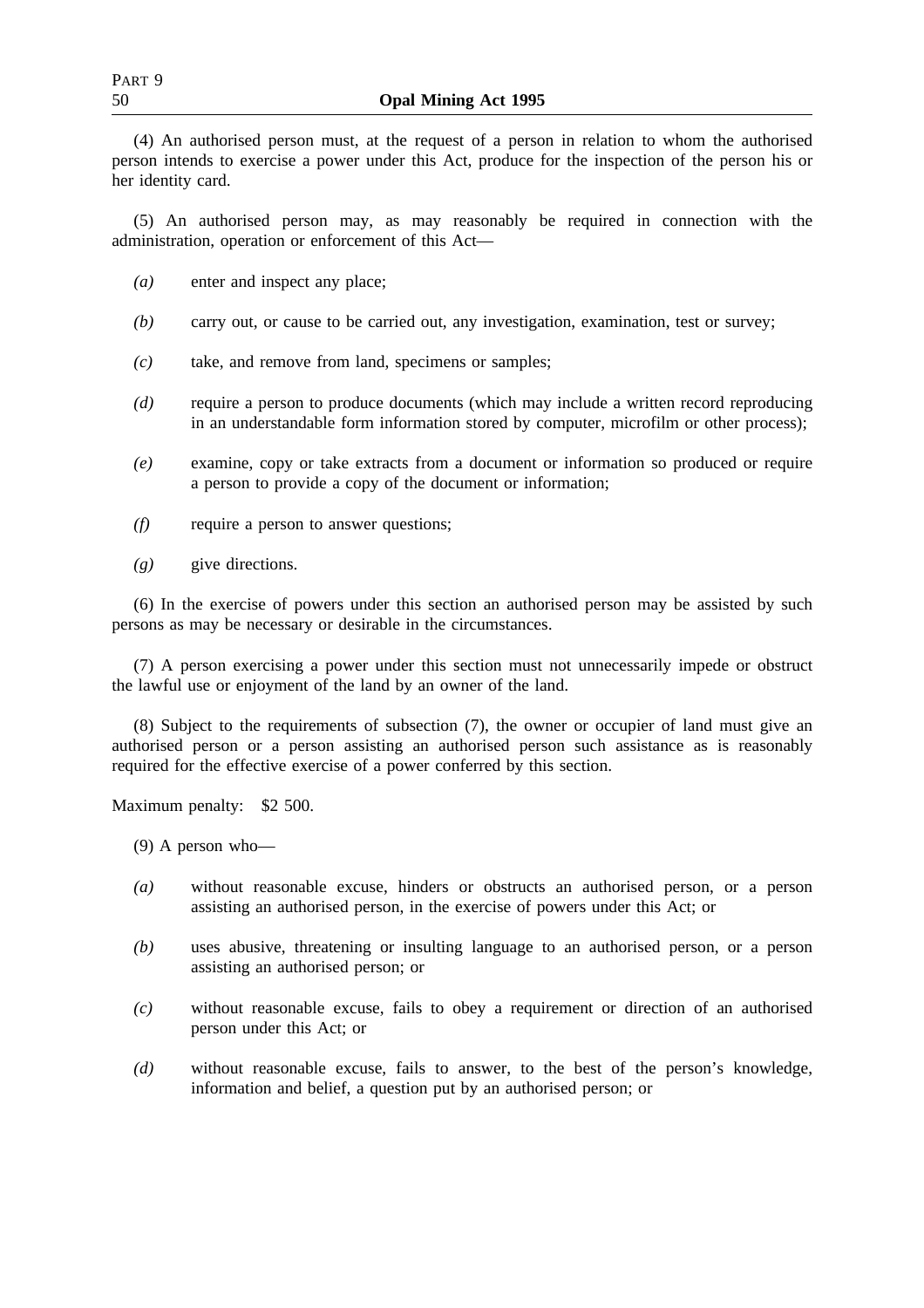(4) An authorised person must, at the request of a person in relation to whom the authorised person intends to exercise a power under this Act, produce for the inspection of the person his or her identity card.

(5) An authorised person may, as may reasonably be required in connection with the administration, operation or enforcement of this Act—

- *(a)* enter and inspect any place;
- *(b)* carry out, or cause to be carried out, any investigation, examination, test or survey;
- *(c)* take, and remove from land, specimens or samples;
- *(d)* require a person to produce documents (which may include a written record reproducing in an understandable form information stored by computer, microfilm or other process);
- *(e)* examine, copy or take extracts from a document or information so produced or require a person to provide a copy of the document or information;
- *(f)* require a person to answer questions;
- *(g)* give directions.

(6) In the exercise of powers under this section an authorised person may be assisted by such persons as may be necessary or desirable in the circumstances.

(7) A person exercising a power under this section must not unnecessarily impede or obstruct the lawful use or enjoyment of the land by an owner of the land.

(8) Subject to the requirements of subsection (7), the owner or occupier of land must give an authorised person or a person assisting an authorised person such assistance as is reasonably required for the effective exercise of a power conferred by this section.

Maximum penalty: \$2 500.

- (9) A person who—
- *(a)* without reasonable excuse, hinders or obstructs an authorised person, or a person assisting an authorised person, in the exercise of powers under this Act; or
- *(b)* uses abusive, threatening or insulting language to an authorised person, or a person assisting an authorised person; or
- *(c)* without reasonable excuse, fails to obey a requirement or direction of an authorised person under this Act; or
- *(d)* without reasonable excuse, fails to answer, to the best of the person's knowledge, information and belief, a question put by an authorised person; or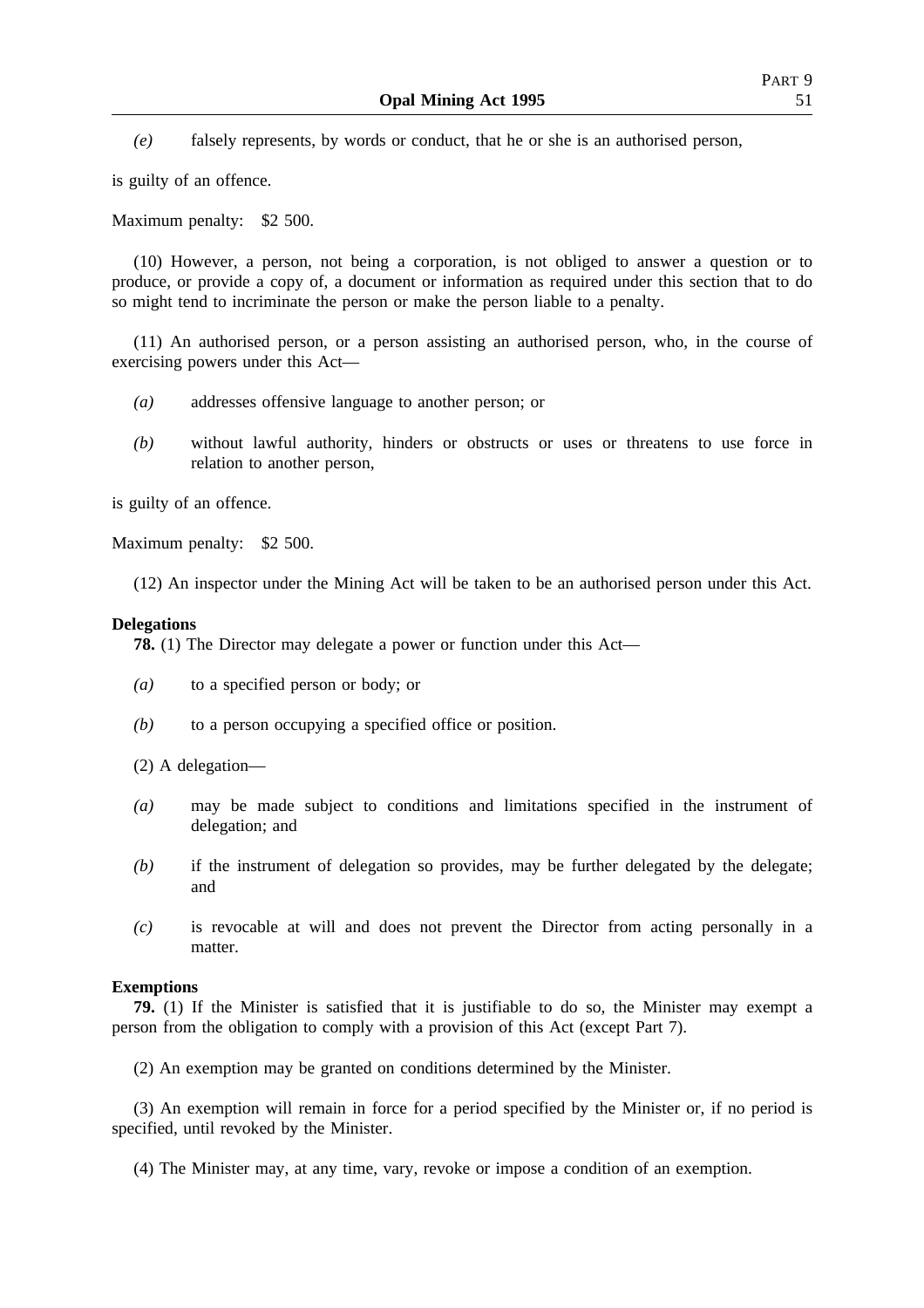*(e)* falsely represents, by words or conduct, that he or she is an authorised person,

is guilty of an offence.

Maximum penalty: \$2 500.

(10) However, a person, not being a corporation, is not obliged to answer a question or to produce, or provide a copy of, a document or information as required under this section that to do so might tend to incriminate the person or make the person liable to a penalty.

(11) An authorised person, or a person assisting an authorised person, who, in the course of exercising powers under this Act—

- *(a)* addresses offensive language to another person; or
- *(b)* without lawful authority, hinders or obstructs or uses or threatens to use force in relation to another person,

is guilty of an offence.

Maximum penalty: \$2 500.

(12) An inspector under the Mining Act will be taken to be an authorised person under this Act.

#### **Delegations**

**78.** (1) The Director may delegate a power or function under this Act—

- *(a)* to a specified person or body; or
- *(b)* to a person occupying a specified office or position.

(2) A delegation—

- *(a)* may be made subject to conditions and limitations specified in the instrument of delegation; and
- *(b)* if the instrument of delegation so provides, may be further delegated by the delegate; and
- *(c)* is revocable at will and does not prevent the Director from acting personally in a matter.

#### **Exemptions**

**79.** (1) If the Minister is satisfied that it is justifiable to do so, the Minister may exempt a person from the obligation to comply with a provision of this Act (except Part 7).

(2) An exemption may be granted on conditions determined by the Minister.

(3) An exemption will remain in force for a period specified by the Minister or, if no period is specified, until revoked by the Minister.

(4) The Minister may, at any time, vary, revoke or impose a condition of an exemption.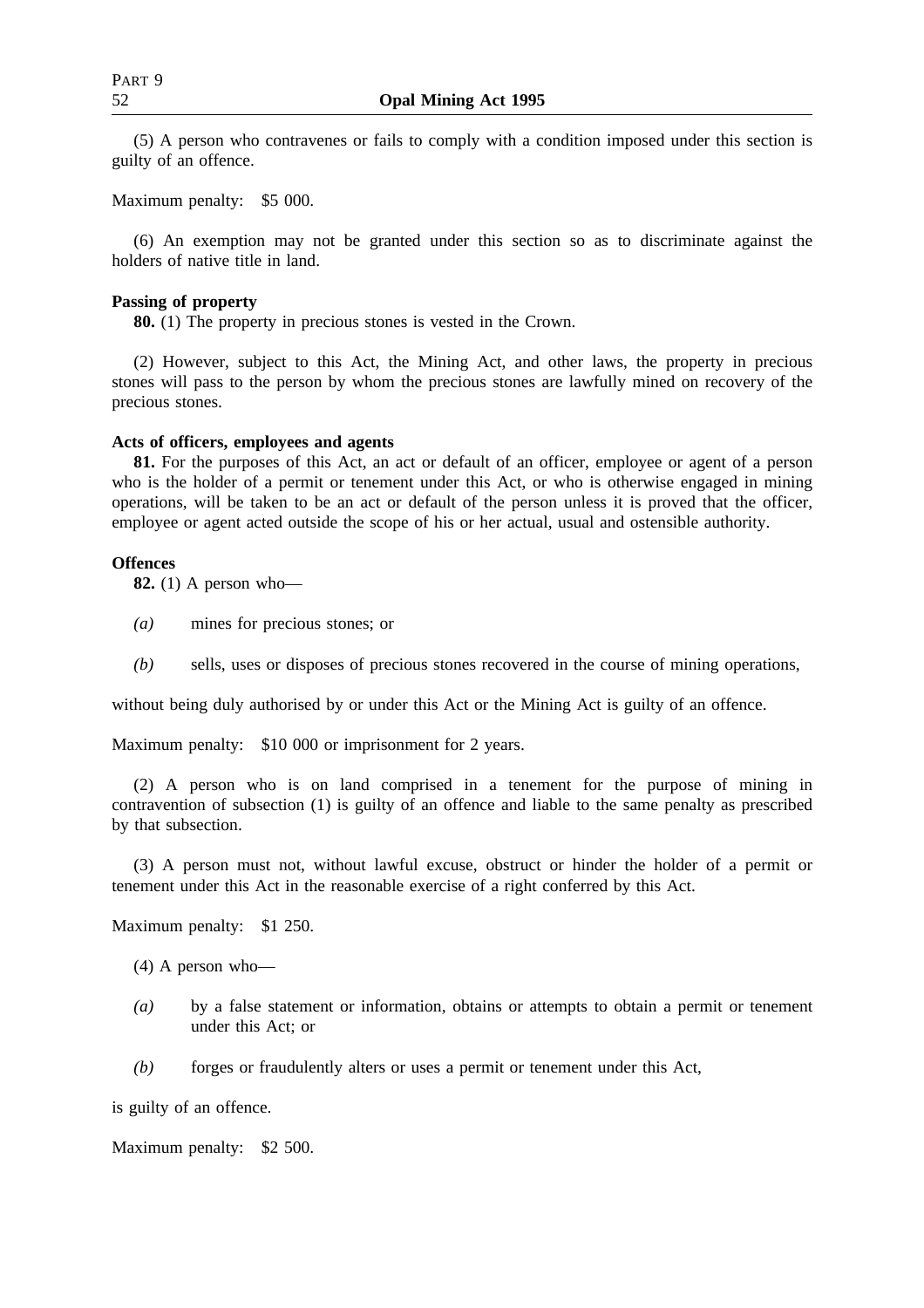(5) A person who contravenes or fails to comply with a condition imposed under this section is guilty of an offence.

Maximum penalty: \$5 000.

(6) An exemption may not be granted under this section so as to discriminate against the holders of native title in land.

#### **Passing of property**

**80.** (1) The property in precious stones is vested in the Crown.

(2) However, subject to this Act, the Mining Act, and other laws, the property in precious stones will pass to the person by whom the precious stones are lawfully mined on recovery of the precious stones.

#### **Acts of officers, employees and agents**

**81.** For the purposes of this Act, an act or default of an officer, employee or agent of a person who is the holder of a permit or tenement under this Act, or who is otherwise engaged in mining operations, will be taken to be an act or default of the person unless it is proved that the officer, employee or agent acted outside the scope of his or her actual, usual and ostensible authority.

#### **Offences**

**82.** (1) A person who—

- *(a)* mines for precious stones; or
- *(b)* sells, uses or disposes of precious stones recovered in the course of mining operations,

without being duly authorised by or under this Act or the Mining Act is guilty of an offence.

Maximum penalty: \$10 000 or imprisonment for 2 years.

(2) A person who is on land comprised in a tenement for the purpose of mining in contravention of subsection (1) is guilty of an offence and liable to the same penalty as prescribed by that subsection.

(3) A person must not, without lawful excuse, obstruct or hinder the holder of a permit or tenement under this Act in the reasonable exercise of a right conferred by this Act.

Maximum penalty: \$1 250.

- (4) A person who—
- *(a)* by a false statement or information, obtains or attempts to obtain a permit or tenement under this Act; or
- *(b)* forges or fraudulently alters or uses a permit or tenement under this Act,

is guilty of an offence.

Maximum penalty: \$2 500.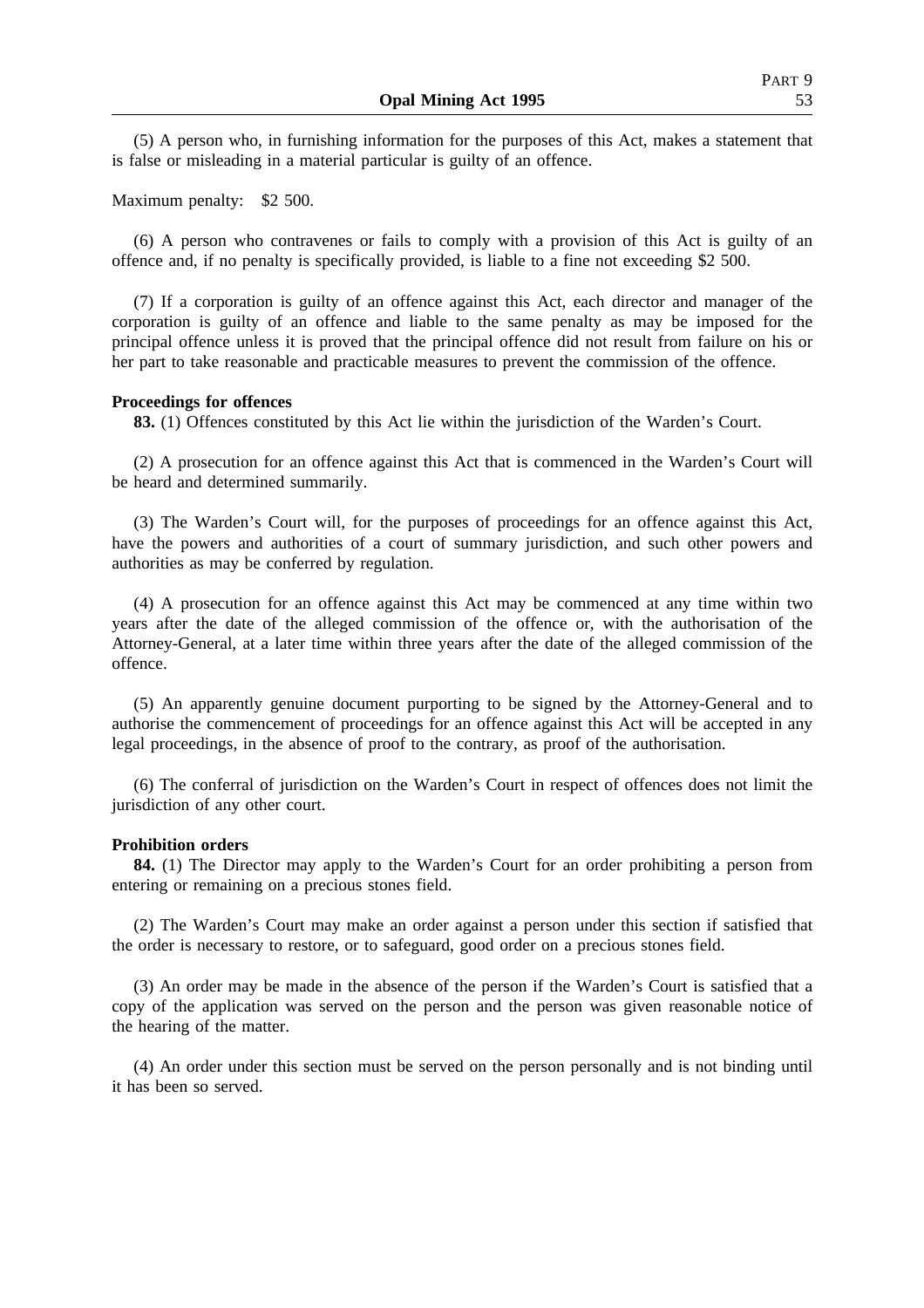(5) A person who, in furnishing information for the purposes of this Act, makes a statement that is false or misleading in a material particular is guilty of an offence.

Maximum penalty: \$2 500.

(6) A person who contravenes or fails to comply with a provision of this Act is guilty of an offence and, if no penalty is specifically provided, is liable to a fine not exceeding \$2 500.

(7) If a corporation is guilty of an offence against this Act, each director and manager of the corporation is guilty of an offence and liable to the same penalty as may be imposed for the principal offence unless it is proved that the principal offence did not result from failure on his or her part to take reasonable and practicable measures to prevent the commission of the offence.

## **Proceedings for offences**

**83.** (1) Offences constituted by this Act lie within the jurisdiction of the Warden's Court.

(2) A prosecution for an offence against this Act that is commenced in the Warden's Court will be heard and determined summarily.

(3) The Warden's Court will, for the purposes of proceedings for an offence against this Act, have the powers and authorities of a court of summary jurisdiction, and such other powers and authorities as may be conferred by regulation.

(4) A prosecution for an offence against this Act may be commenced at any time within two years after the date of the alleged commission of the offence or, with the authorisation of the Attorney-General, at a later time within three years after the date of the alleged commission of the offence.

(5) An apparently genuine document purporting to be signed by the Attorney-General and to authorise the commencement of proceedings for an offence against this Act will be accepted in any legal proceedings, in the absence of proof to the contrary, as proof of the authorisation.

(6) The conferral of jurisdiction on the Warden's Court in respect of offences does not limit the jurisdiction of any other court.

#### **Prohibition orders**

**84.** (1) The Director may apply to the Warden's Court for an order prohibiting a person from entering or remaining on a precious stones field.

(2) The Warden's Court may make an order against a person under this section if satisfied that the order is necessary to restore, or to safeguard, good order on a precious stones field.

(3) An order may be made in the absence of the person if the Warden's Court is satisfied that a copy of the application was served on the person and the person was given reasonable notice of the hearing of the matter.

(4) An order under this section must be served on the person personally and is not binding until it has been so served.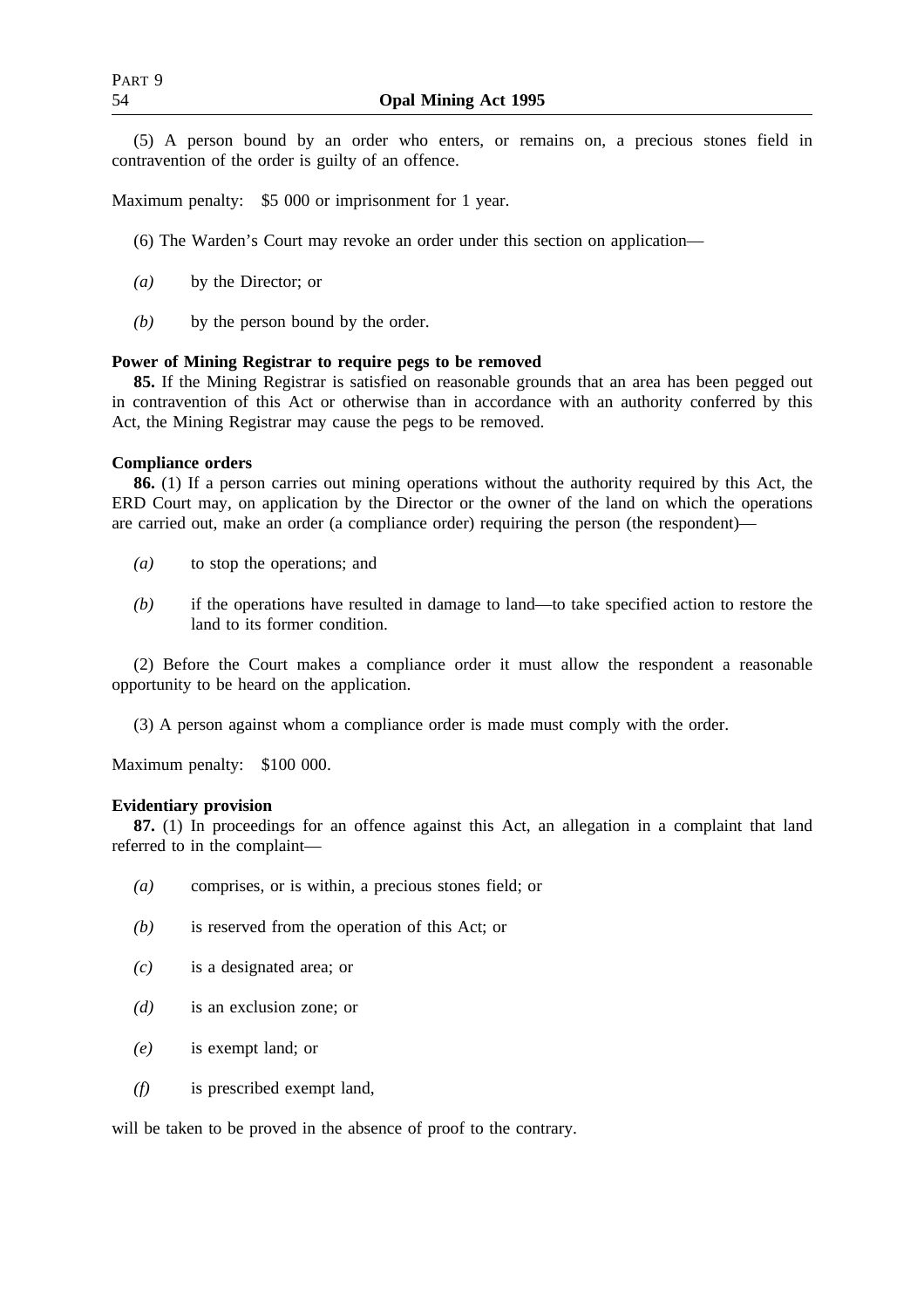(5) A person bound by an order who enters, or remains on, a precious stones field in contravention of the order is guilty of an offence.

Maximum penalty: \$5 000 or imprisonment for 1 year.

- (6) The Warden's Court may revoke an order under this section on application—
- *(a)* by the Director; or
- *(b)* by the person bound by the order.

## **Power of Mining Registrar to require pegs to be removed**

**85.** If the Mining Registrar is satisfied on reasonable grounds that an area has been pegged out in contravention of this Act or otherwise than in accordance with an authority conferred by this Act, the Mining Registrar may cause the pegs to be removed.

## **Compliance orders**

**86.** (1) If a person carries out mining operations without the authority required by this Act, the ERD Court may, on application by the Director or the owner of the land on which the operations are carried out, make an order (a compliance order) requiring the person (the respondent)—

- *(a)* to stop the operations; and
- *(b)* if the operations have resulted in damage to land—to take specified action to restore the land to its former condition.

(2) Before the Court makes a compliance order it must allow the respondent a reasonable opportunity to be heard on the application.

(3) A person against whom a compliance order is made must comply with the order.

Maximum penalty: \$100 000.

## **Evidentiary provision**

**87.** (1) In proceedings for an offence against this Act, an allegation in a complaint that land referred to in the complaint—

- *(a)* comprises, or is within, a precious stones field; or
- *(b)* is reserved from the operation of this Act; or
- *(c)* is a designated area; or
- *(d)* is an exclusion zone; or
- *(e)* is exempt land; or
- *(f)* is prescribed exempt land,

will be taken to be proved in the absence of proof to the contrary.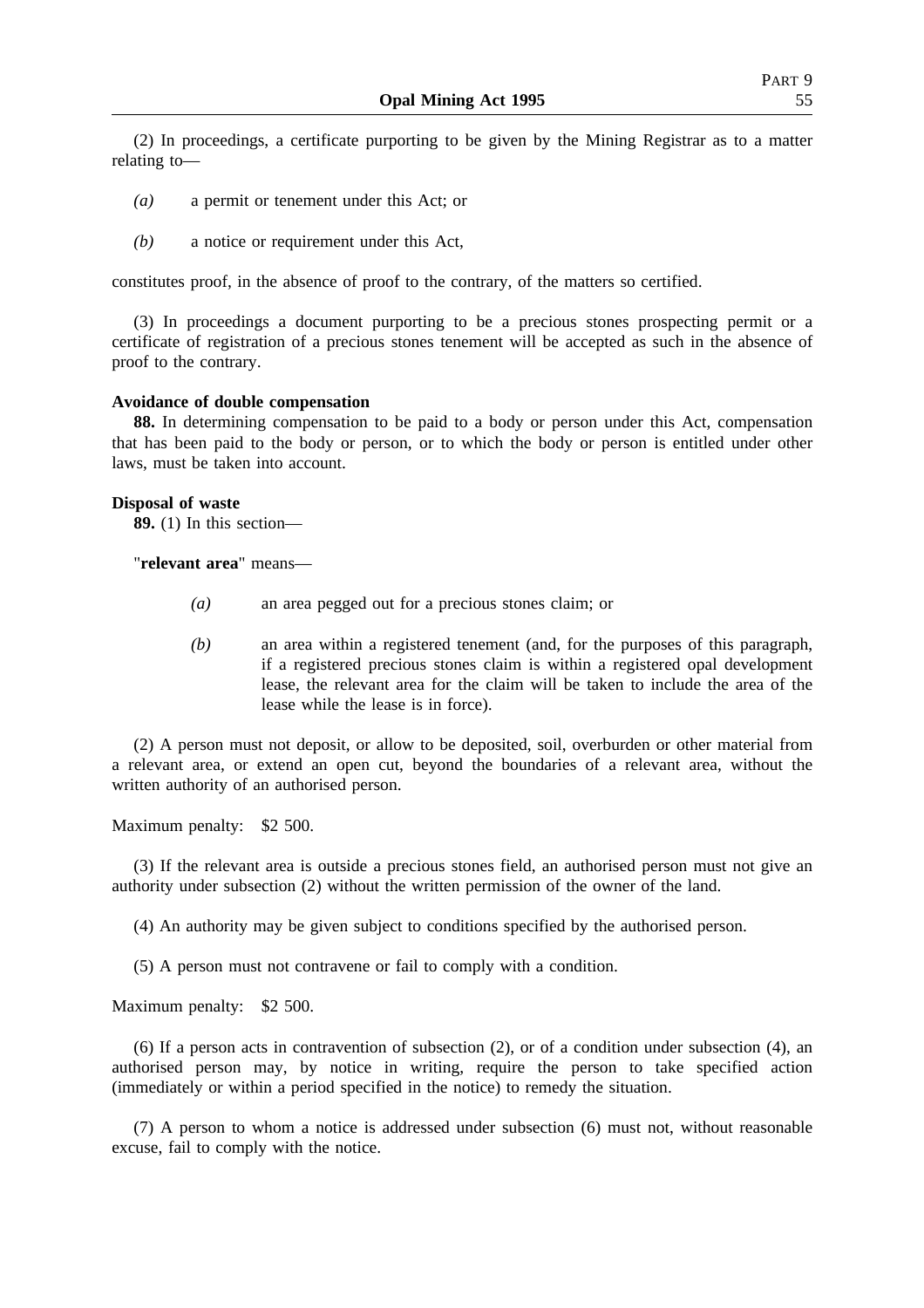(2) In proceedings, a certificate purporting to be given by the Mining Registrar as to a matter relating to—

- *(a)* a permit or tenement under this Act; or
- *(b)* a notice or requirement under this Act,

constitutes proof, in the absence of proof to the contrary, of the matters so certified.

(3) In proceedings a document purporting to be a precious stones prospecting permit or a certificate of registration of a precious stones tenement will be accepted as such in the absence of proof to the contrary.

#### **Avoidance of double compensation**

**88.** In determining compensation to be paid to a body or person under this Act, compensation that has been paid to the body or person, or to which the body or person is entitled under other laws, must be taken into account.

#### **Disposal of waste**

**89.** (1) In this section—

"**relevant area**" means—

- *(a)* an area pegged out for a precious stones claim; or
- *(b)* an area within a registered tenement (and, for the purposes of this paragraph, if a registered precious stones claim is within a registered opal development lease, the relevant area for the claim will be taken to include the area of the lease while the lease is in force).

(2) A person must not deposit, or allow to be deposited, soil, overburden or other material from a relevant area, or extend an open cut, beyond the boundaries of a relevant area, without the written authority of an authorised person.

Maximum penalty: \$2 500.

(3) If the relevant area is outside a precious stones field, an authorised person must not give an authority under subsection (2) without the written permission of the owner of the land.

(4) An authority may be given subject to conditions specified by the authorised person.

(5) A person must not contravene or fail to comply with a condition.

Maximum penalty: \$2 500.

(6) If a person acts in contravention of subsection (2), or of a condition under subsection (4), an authorised person may, by notice in writing, require the person to take specified action (immediately or within a period specified in the notice) to remedy the situation.

(7) A person to whom a notice is addressed under subsection (6) must not, without reasonable excuse, fail to comply with the notice.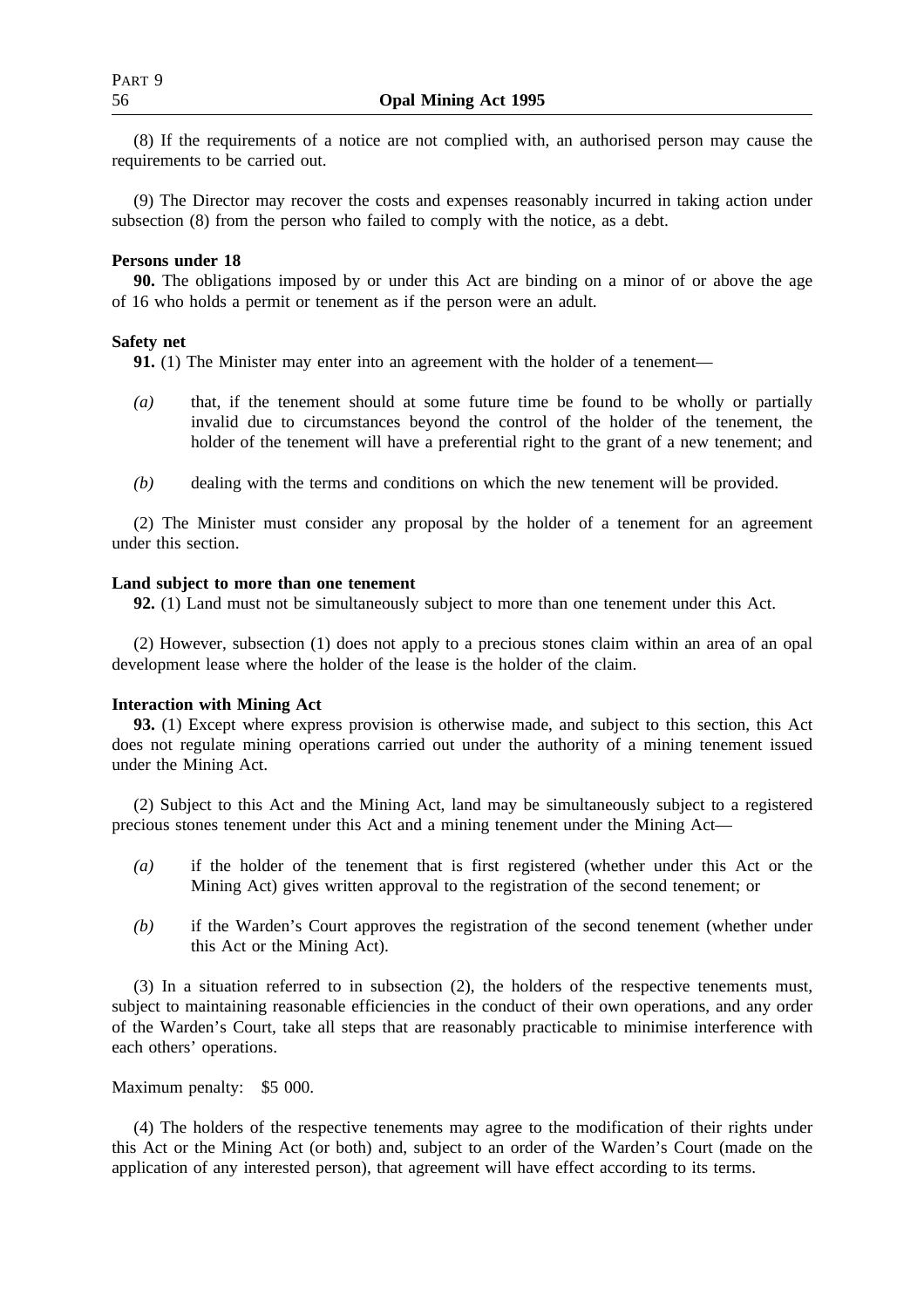(8) If the requirements of a notice are not complied with, an authorised person may cause the requirements to be carried out.

(9) The Director may recover the costs and expenses reasonably incurred in taking action under subsection (8) from the person who failed to comply with the notice, as a debt.

## **Persons under 18**

**90.** The obligations imposed by or under this Act are binding on a minor of or above the age of 16 who holds a permit or tenement as if the person were an adult.

## **Safety net**

**91.** (1) The Minister may enter into an agreement with the holder of a tenement—

- *(a)* that, if the tenement should at some future time be found to be wholly or partially invalid due to circumstances beyond the control of the holder of the tenement, the holder of the tenement will have a preferential right to the grant of a new tenement; and
- *(b)* dealing with the terms and conditions on which the new tenement will be provided.

(2) The Minister must consider any proposal by the holder of a tenement for an agreement under this section.

#### **Land subject to more than one tenement**

**92.** (1) Land must not be simultaneously subject to more than one tenement under this Act.

(2) However, subsection (1) does not apply to a precious stones claim within an area of an opal development lease where the holder of the lease is the holder of the claim.

## **Interaction with Mining Act**

**93.** (1) Except where express provision is otherwise made, and subject to this section, this Act does not regulate mining operations carried out under the authority of a mining tenement issued under the Mining Act.

(2) Subject to this Act and the Mining Act, land may be simultaneously subject to a registered precious stones tenement under this Act and a mining tenement under the Mining Act—

- *(a)* if the holder of the tenement that is first registered (whether under this Act or the Mining Act) gives written approval to the registration of the second tenement; or
- *(b)* if the Warden's Court approves the registration of the second tenement (whether under this Act or the Mining Act).

(3) In a situation referred to in subsection (2), the holders of the respective tenements must, subject to maintaining reasonable efficiencies in the conduct of their own operations, and any order of the Warden's Court, take all steps that are reasonably practicable to minimise interference with each others' operations.

Maximum penalty: \$5 000.

(4) The holders of the respective tenements may agree to the modification of their rights under this Act or the Mining Act (or both) and, subject to an order of the Warden's Court (made on the application of any interested person), that agreement will have effect according to its terms.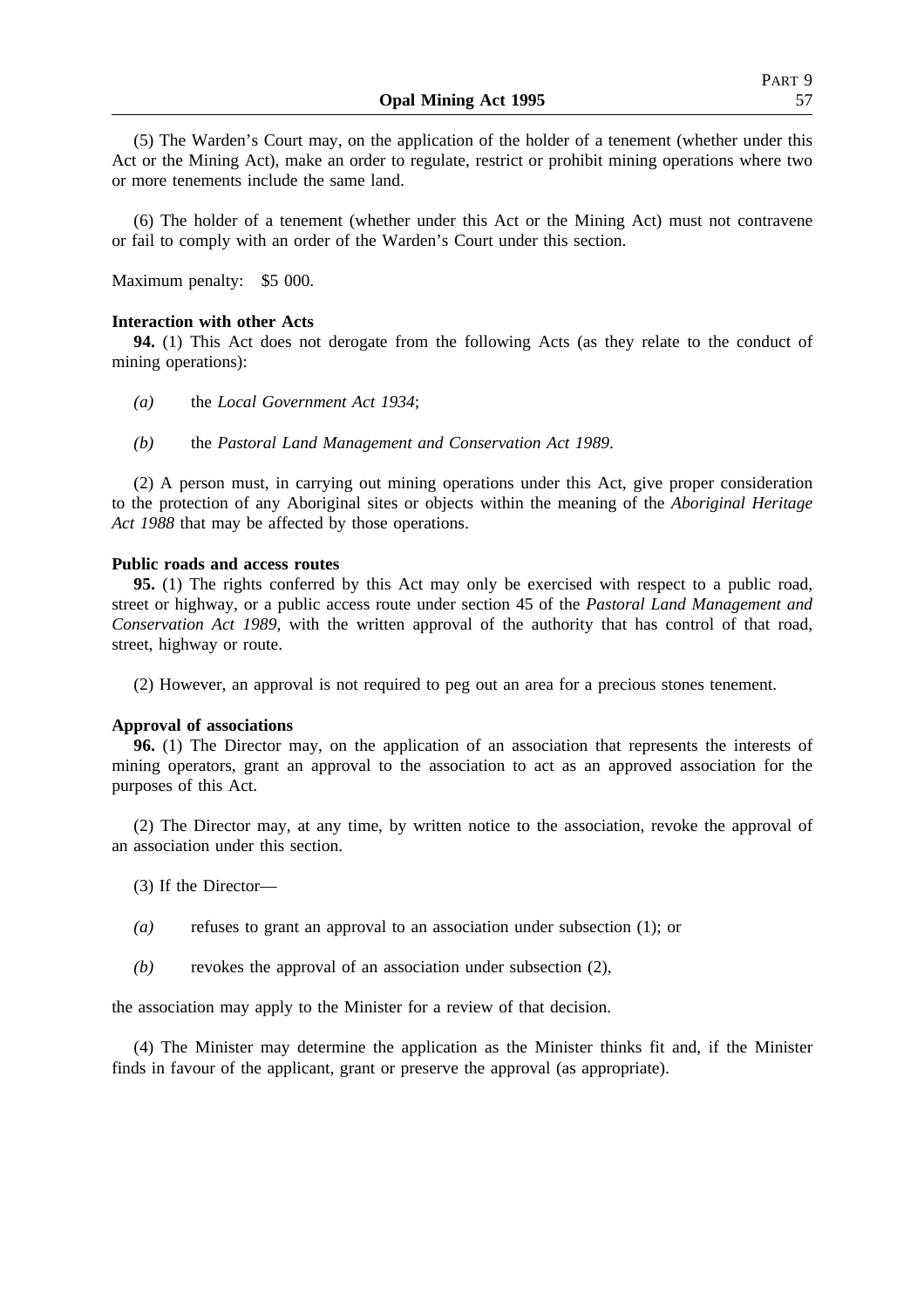(5) The Warden's Court may, on the application of the holder of a tenement (whether under this Act or the Mining Act), make an order to regulate, restrict or prohibit mining operations where two or more tenements include the same land.

(6) The holder of a tenement (whether under this Act or the Mining Act) must not contravene or fail to comply with an order of the Warden's Court under this section.

Maximum penalty: \$5 000.

#### **Interaction with other Acts**

**94.** (1) This Act does not derogate from the following Acts (as they relate to the conduct of mining operations):

- *(a)* the *Local Government Act 1934*;
- *(b)* the *Pastoral Land Management and Conservation Act 1989*.

(2) A person must, in carrying out mining operations under this Act, give proper consideration to the protection of any Aboriginal sites or objects within the meaning of the *Aboriginal Heritage Act 1988* that may be affected by those operations.

#### **Public roads and access routes**

**95.** (1) The rights conferred by this Act may only be exercised with respect to a public road, street or highway, or a public access route under section 45 of the *Pastoral Land Management and Conservation Act 1989*, with the written approval of the authority that has control of that road, street, highway or route.

(2) However, an approval is not required to peg out an area for a precious stones tenement.

#### **Approval of associations**

**96.** (1) The Director may, on the application of an association that represents the interests of mining operators, grant an approval to the association to act as an approved association for the purposes of this Act.

(2) The Director may, at any time, by written notice to the association, revoke the approval of an association under this section.

(3) If the Director—

- *(a)* refuses to grant an approval to an association under subsection (1); or
- *(b)* revokes the approval of an association under subsection (2),

the association may apply to the Minister for a review of that decision.

(4) The Minister may determine the application as the Minister thinks fit and, if the Minister finds in favour of the applicant, grant or preserve the approval (as appropriate).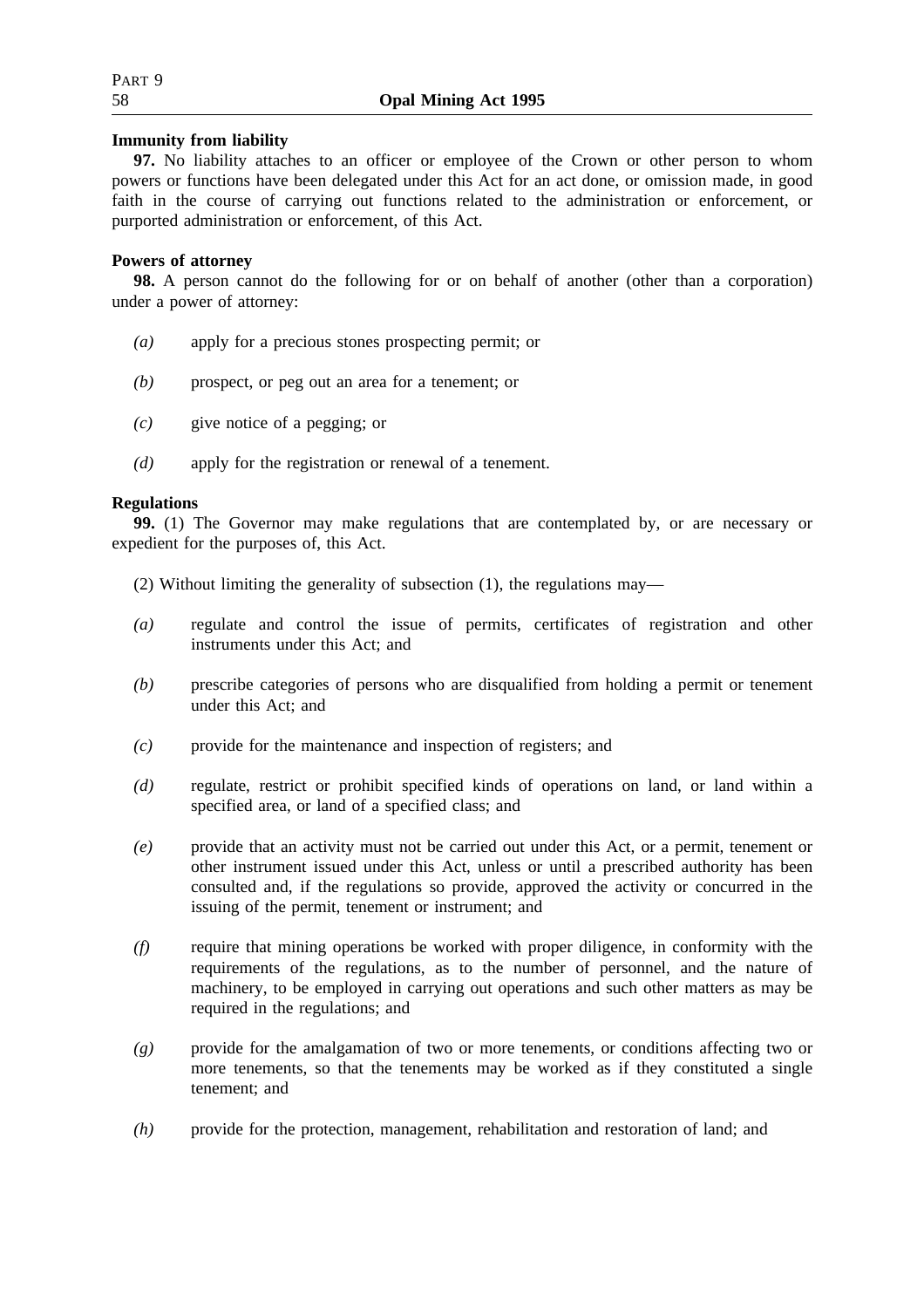## **Immunity from liability**

**97.** No liability attaches to an officer or employee of the Crown or other person to whom powers or functions have been delegated under this Act for an act done, or omission made, in good faith in the course of carrying out functions related to the administration or enforcement, or purported administration or enforcement, of this Act.

## **Powers of attorney**

**98.** A person cannot do the following for or on behalf of another (other than a corporation) under a power of attorney:

- *(a)* apply for a precious stones prospecting permit; or
- *(b)* prospect, or peg out an area for a tenement; or
- *(c)* give notice of a pegging; or
- *(d)* apply for the registration or renewal of a tenement.

## **Regulations**

**99.** (1) The Governor may make regulations that are contemplated by, or are necessary or expedient for the purposes of, this Act.

- (2) Without limiting the generality of subsection (1), the regulations may—
- *(a)* regulate and control the issue of permits, certificates of registration and other instruments under this Act; and
- *(b)* prescribe categories of persons who are disqualified from holding a permit or tenement under this Act; and
- *(c)* provide for the maintenance and inspection of registers; and
- *(d)* regulate, restrict or prohibit specified kinds of operations on land, or land within a specified area, or land of a specified class; and
- *(e)* provide that an activity must not be carried out under this Act, or a permit, tenement or other instrument issued under this Act, unless or until a prescribed authority has been consulted and, if the regulations so provide, approved the activity or concurred in the issuing of the permit, tenement or instrument; and
- *(f)* require that mining operations be worked with proper diligence, in conformity with the requirements of the regulations, as to the number of personnel, and the nature of machinery, to be employed in carrying out operations and such other matters as may be required in the regulations; and
- *(g)* provide for the amalgamation of two or more tenements, or conditions affecting two or more tenements, so that the tenements may be worked as if they constituted a single tenement; and
- *(h)* provide for the protection, management, rehabilitation and restoration of land; and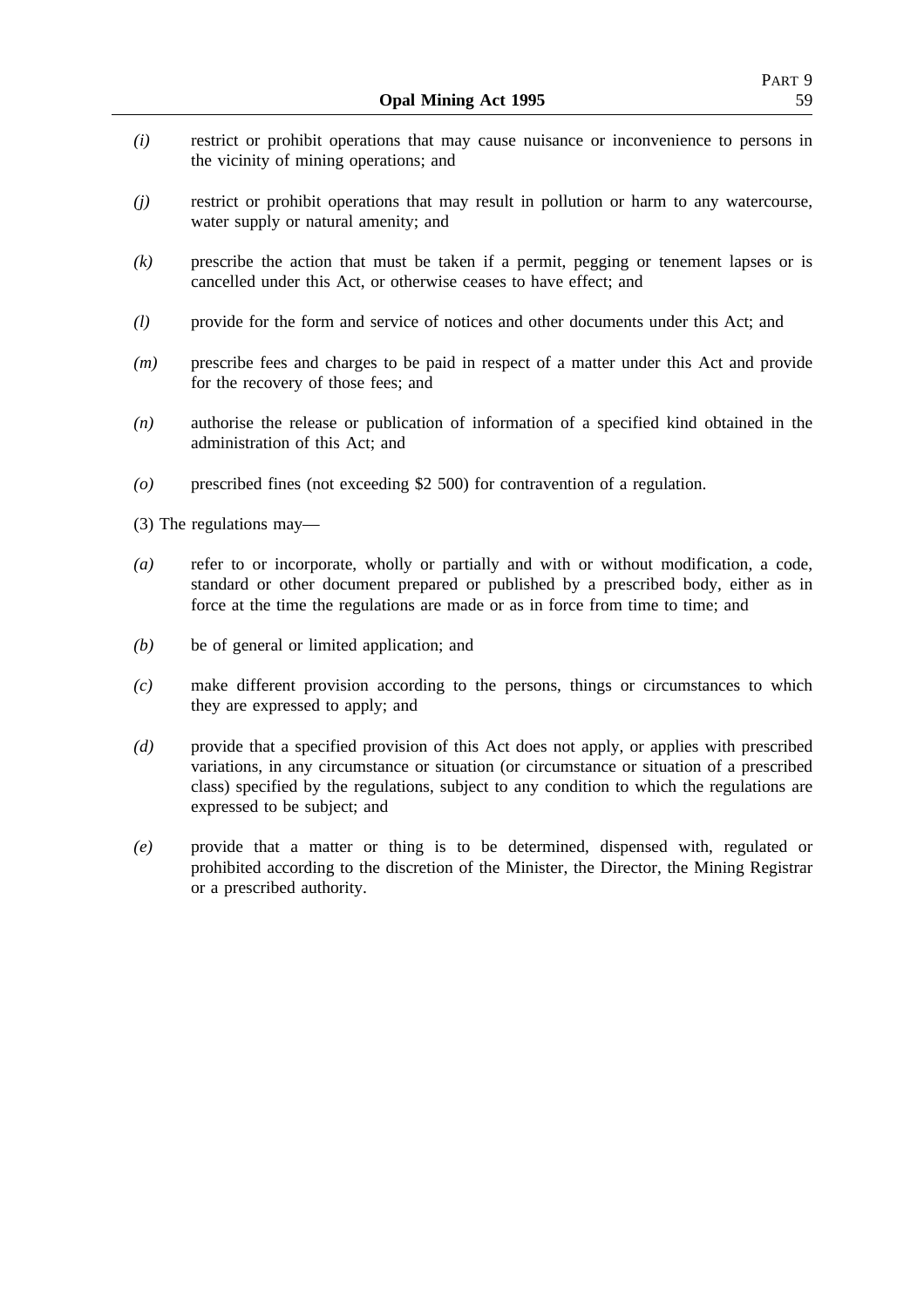- *(i)* restrict or prohibit operations that may cause nuisance or inconvenience to persons in the vicinity of mining operations; and
- *(j)* restrict or prohibit operations that may result in pollution or harm to any watercourse, water supply or natural amenity; and
- *(k)* prescribe the action that must be taken if a permit, pegging or tenement lapses or is cancelled under this Act, or otherwise ceases to have effect; and
- *(l)* provide for the form and service of notices and other documents under this Act; and
- *(m)* prescribe fees and charges to be paid in respect of a matter under this Act and provide for the recovery of those fees; and
- *(n)* authorise the release or publication of information of a specified kind obtained in the administration of this Act; and
- *(o)* prescribed fines (not exceeding \$2 500) for contravention of a regulation.

(3) The regulations may—

- *(a)* refer to or incorporate, wholly or partially and with or without modification, a code, standard or other document prepared or published by a prescribed body, either as in force at the time the regulations are made or as in force from time to time; and
- *(b)* be of general or limited application; and
- *(c)* make different provision according to the persons, things or circumstances to which they are expressed to apply; and
- *(d)* provide that a specified provision of this Act does not apply, or applies with prescribed variations, in any circumstance or situation (or circumstance or situation of a prescribed class) specified by the regulations, subject to any condition to which the regulations are expressed to be subject; and
- *(e)* provide that a matter or thing is to be determined, dispensed with, regulated or prohibited according to the discretion of the Minister, the Director, the Mining Registrar or a prescribed authority.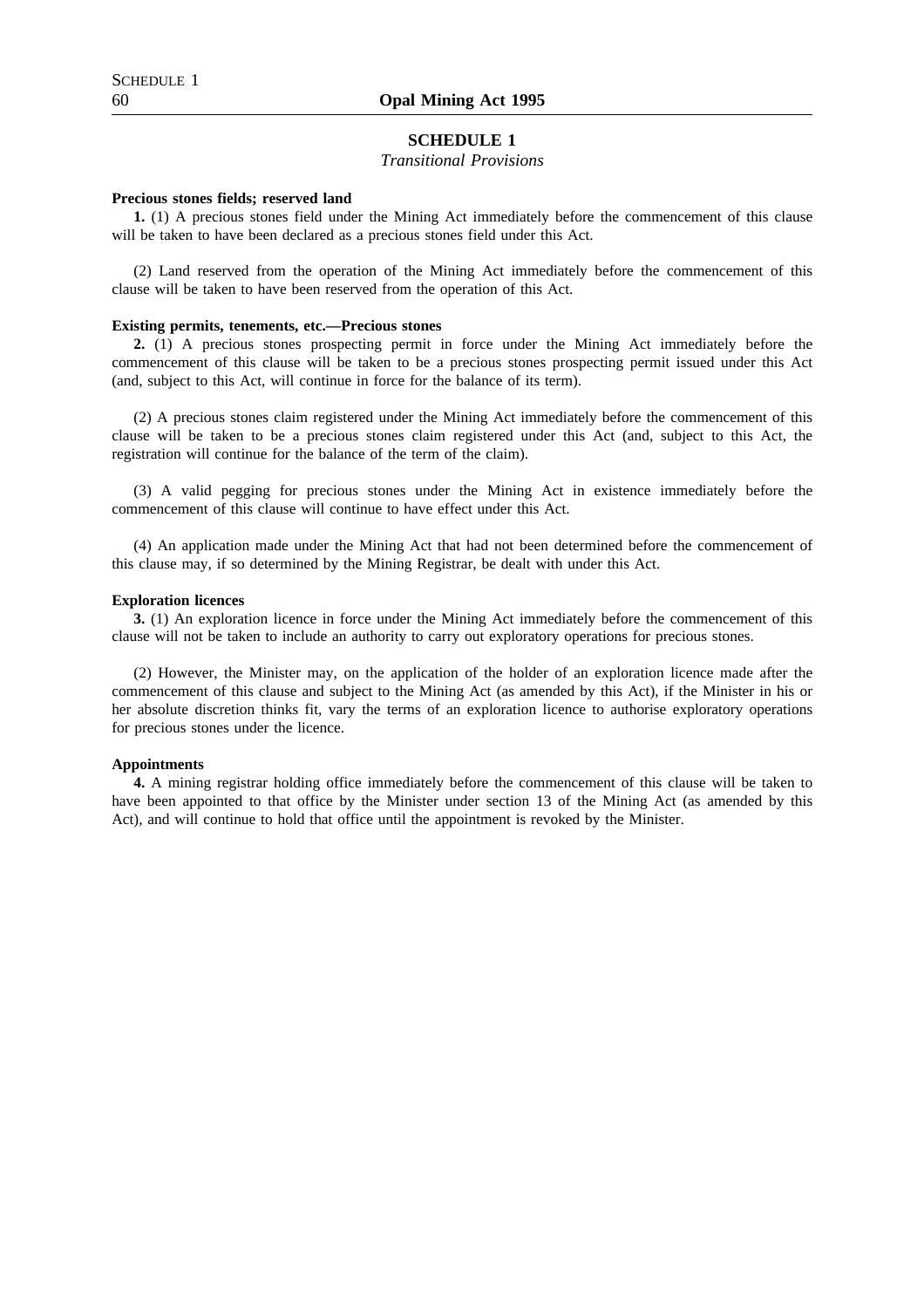## **SCHEDULE 1**

## *Transitional Provisions*

#### **Precious stones fields; reserved land**

**1.** (1) A precious stones field under the Mining Act immediately before the commencement of this clause will be taken to have been declared as a precious stones field under this Act.

(2) Land reserved from the operation of the Mining Act immediately before the commencement of this clause will be taken to have been reserved from the operation of this Act.

#### **Existing permits, tenements, etc.—Precious stones**

**2.** (1) A precious stones prospecting permit in force under the Mining Act immediately before the commencement of this clause will be taken to be a precious stones prospecting permit issued under this Act (and, subject to this Act, will continue in force for the balance of its term).

(2) A precious stones claim registered under the Mining Act immediately before the commencement of this clause will be taken to be a precious stones claim registered under this Act (and, subject to this Act, the registration will continue for the balance of the term of the claim).

(3) A valid pegging for precious stones under the Mining Act in existence immediately before the commencement of this clause will continue to have effect under this Act.

(4) An application made under the Mining Act that had not been determined before the commencement of this clause may, if so determined by the Mining Registrar, be dealt with under this Act.

#### **Exploration licences**

**3.** (1) An exploration licence in force under the Mining Act immediately before the commencement of this clause will not be taken to include an authority to carry out exploratory operations for precious stones.

(2) However, the Minister may, on the application of the holder of an exploration licence made after the commencement of this clause and subject to the Mining Act (as amended by this Act), if the Minister in his or her absolute discretion thinks fit, vary the terms of an exploration licence to authorise exploratory operations for precious stones under the licence.

#### **Appointments**

**4.** A mining registrar holding office immediately before the commencement of this clause will be taken to have been appointed to that office by the Minister under section 13 of the Mining Act (as amended by this Act), and will continue to hold that office until the appointment is revoked by the Minister.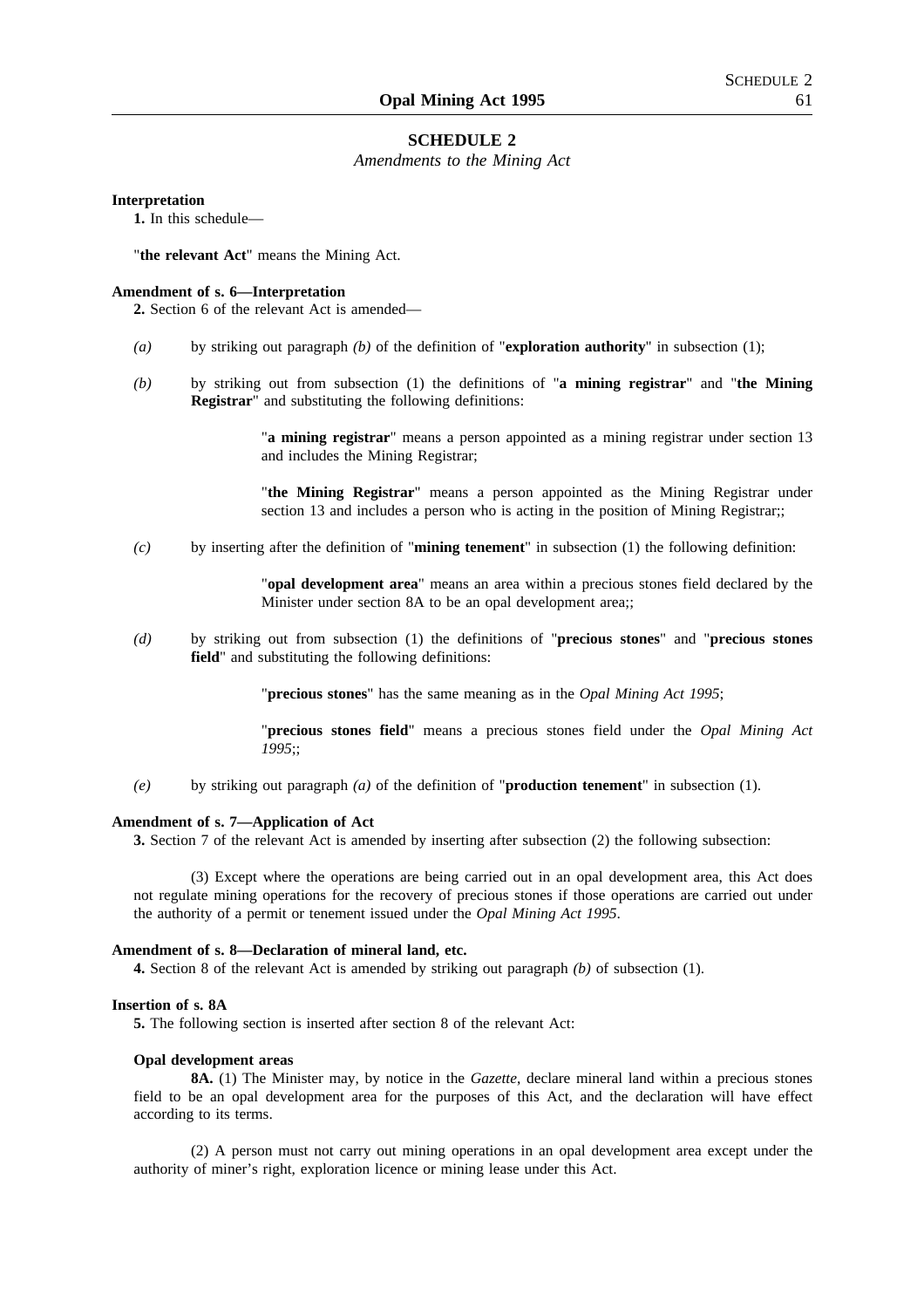#### **SCHEDULE 2**

*Amendments to the Mining Act*

#### **Interpretation**

**1.** In this schedule—

"**the relevant Act**" means the Mining Act.

#### **Amendment of s. 6—Interpretation**

**2.** Section 6 of the relevant Act is amended—

- *(a)* by striking out paragraph *(b)* of the definition of "**exploration authority**" in subsection (1);
- *(b)* by striking out from subsection (1) the definitions of "**a mining registrar**" and "**the Mining Registrar**" and substituting the following definitions:

"**a mining registrar**" means a person appointed as a mining registrar under section 13 and includes the Mining Registrar;

"**the Mining Registrar**" means a person appointed as the Mining Registrar under section 13 and includes a person who is acting in the position of Mining Registrar;;

*(c)* by inserting after the definition of "**mining tenement**" in subsection (1) the following definition:

"**opal development area**" means an area within a precious stones field declared by the Minister under section 8A to be an opal development area;;

*(d)* by striking out from subsection (1) the definitions of "**precious stones**" and "**precious stones field**" and substituting the following definitions:

"**precious stones**" has the same meaning as in the *Opal Mining Act 1995*;

"**precious stones field**" means a precious stones field under the *Opal Mining Act 1995*;;

*(e)* by striking out paragraph *(a)* of the definition of "**production tenement**" in subsection (1).

#### **Amendment of s. 7—Application of Act**

**3.** Section 7 of the relevant Act is amended by inserting after subsection (2) the following subsection:

(3) Except where the operations are being carried out in an opal development area, this Act does not regulate mining operations for the recovery of precious stones if those operations are carried out under the authority of a permit or tenement issued under the *Opal Mining Act 1995*.

#### **Amendment of s. 8—Declaration of mineral land, etc.**

**4.** Section 8 of the relevant Act is amended by striking out paragraph *(b)* of subsection (1).

#### **Insertion of s. 8A**

**5.** The following section is inserted after section 8 of the relevant Act:

#### **Opal development areas**

**8A.** (1) The Minister may, by notice in the *Gazette*, declare mineral land within a precious stones field to be an opal development area for the purposes of this Act, and the declaration will have effect according to its terms.

(2) A person must not carry out mining operations in an opal development area except under the authority of miner's right, exploration licence or mining lease under this Act.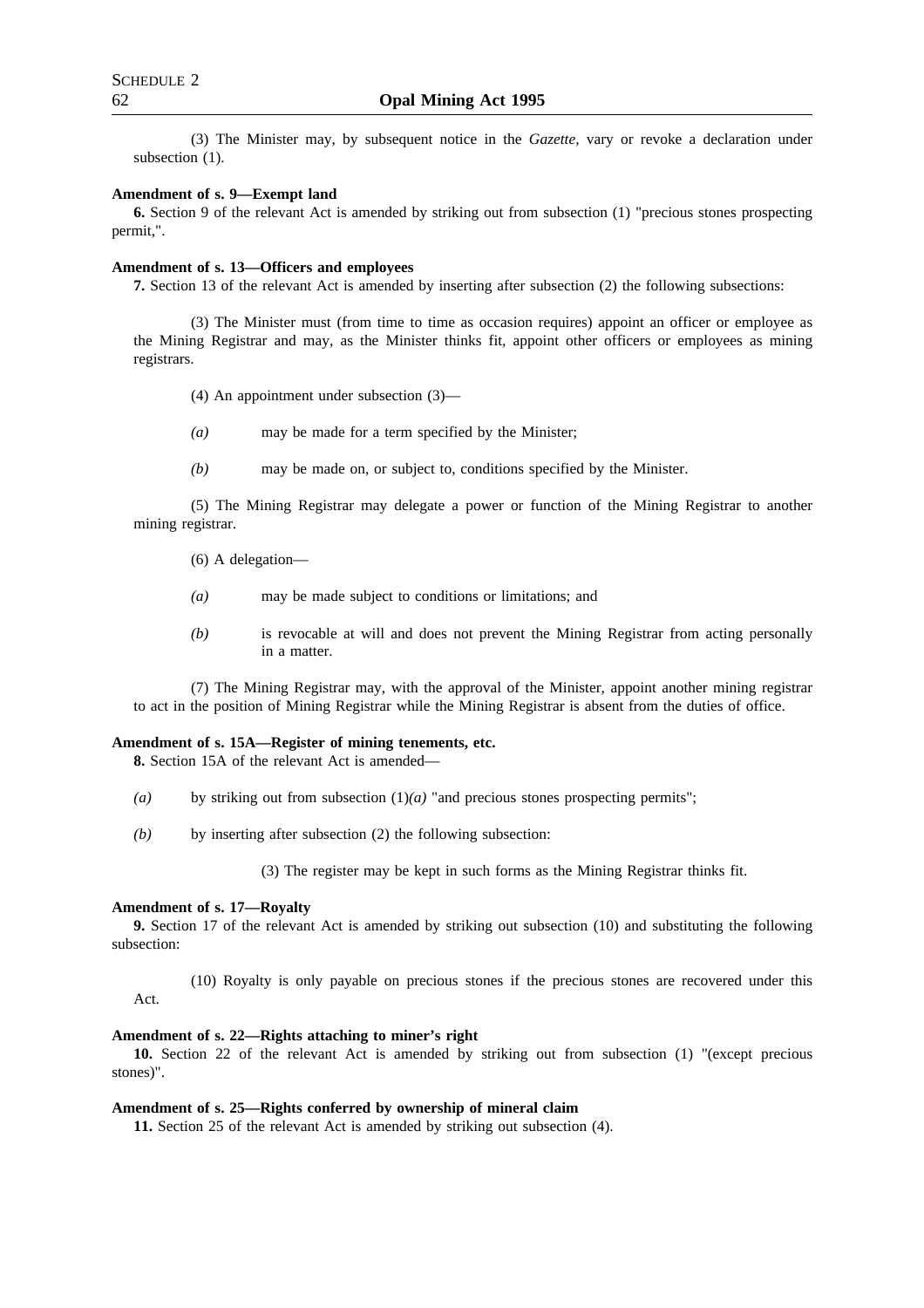(3) The Minister may, by subsequent notice in the *Gazette*, vary or revoke a declaration under subsection  $(1)$ .

#### **Amendment of s. 9—Exempt land**

**6.** Section 9 of the relevant Act is amended by striking out from subsection (1) "precious stones prospecting permit,".

## **Amendment of s. 13—Officers and employees**

**7.** Section 13 of the relevant Act is amended by inserting after subsection (2) the following subsections:

(3) The Minister must (from time to time as occasion requires) appoint an officer or employee as the Mining Registrar and may, as the Minister thinks fit, appoint other officers or employees as mining registrars.

(4) An appointment under subsection (3)—

- *(a)* may be made for a term specified by the Minister;
- *(b)* may be made on, or subject to, conditions specified by the Minister.

(5) The Mining Registrar may delegate a power or function of the Mining Registrar to another mining registrar.

(6) A delegation—

- *(a)* may be made subject to conditions or limitations; and
- *(b)* is revocable at will and does not prevent the Mining Registrar from acting personally in a matter.

(7) The Mining Registrar may, with the approval of the Minister, appoint another mining registrar to act in the position of Mining Registrar while the Mining Registrar is absent from the duties of office.

#### **Amendment of s. 15A—Register of mining tenements, etc.**

**8.** Section 15A of the relevant Act is amended—

- (a) by striking out from subsection  $(1)(a)$  "and precious stones prospecting permits";
- *(b)* by inserting after subsection (2) the following subsection:

(3) The register may be kept in such forms as the Mining Registrar thinks fit.

#### **Amendment of s. 17—Royalty**

**9.** Section 17 of the relevant Act is amended by striking out subsection (10) and substituting the following subsection:

(10) Royalty is only payable on precious stones if the precious stones are recovered under this Act.

#### **Amendment of s. 22—Rights attaching to miner's right**

**10.** Section 22 of the relevant Act is amended by striking out from subsection (1) "(except precious stones)".

#### **Amendment of s. 25—Rights conferred by ownership of mineral claim**

**11.** Section 25 of the relevant Act is amended by striking out subsection (4).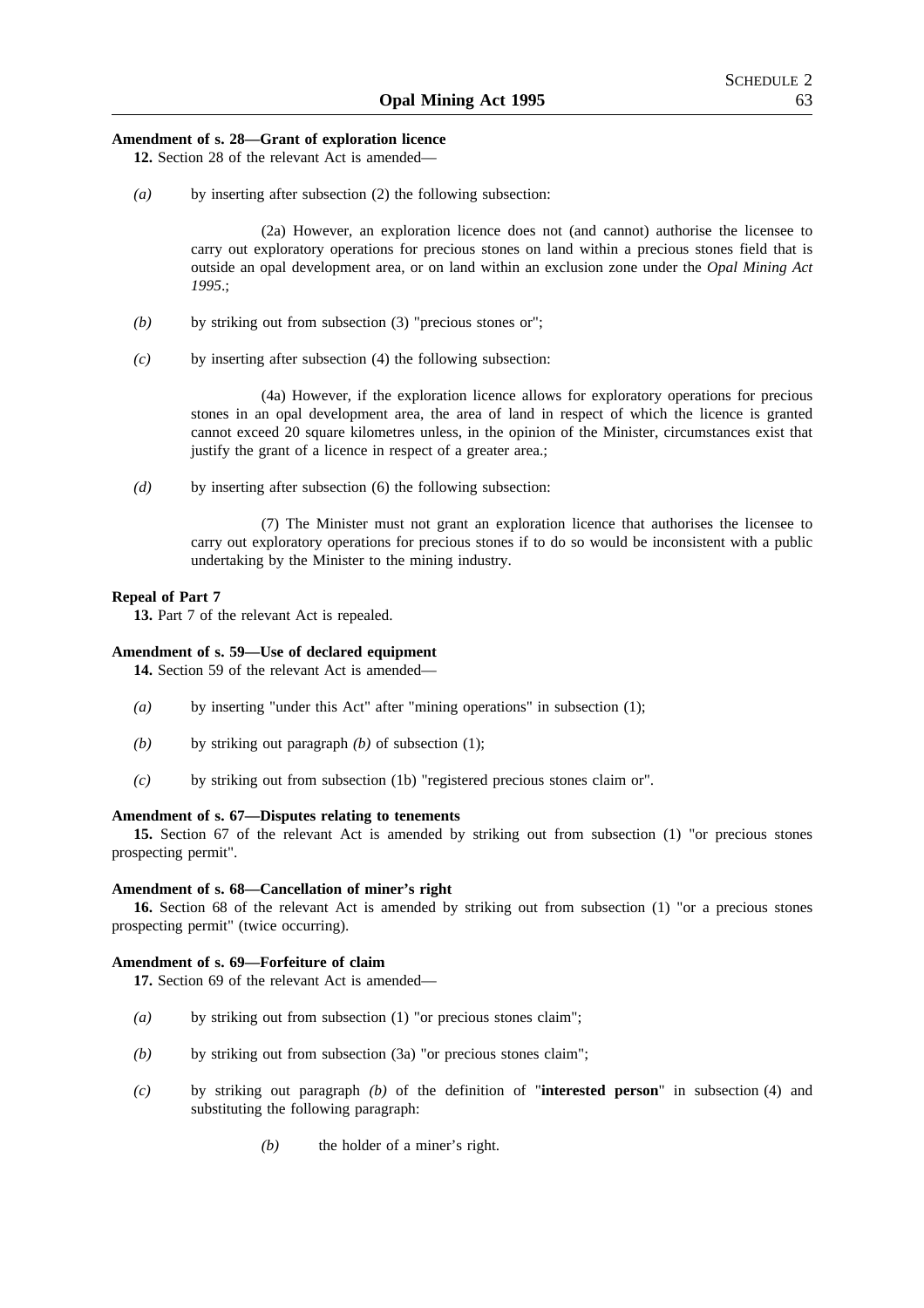## **Amendment of s. 28—Grant of exploration licence**

**12.** Section 28 of the relevant Act is amended—

*(a)* by inserting after subsection (2) the following subsection:

(2a) However, an exploration licence does not (and cannot) authorise the licensee to carry out exploratory operations for precious stones on land within a precious stones field that is outside an opal development area, or on land within an exclusion zone under the *Opal Mining Act 1995*.;

- *(b)* by striking out from subsection (3) "precious stones or";
- *(c)* by inserting after subsection (4) the following subsection:

(4a) However, if the exploration licence allows for exploratory operations for precious stones in an opal development area, the area of land in respect of which the licence is granted cannot exceed 20 square kilometres unless, in the opinion of the Minister, circumstances exist that justify the grant of a licence in respect of a greater area.;

*(d)* by inserting after subsection (6) the following subsection:

(7) The Minister must not grant an exploration licence that authorises the licensee to carry out exploratory operations for precious stones if to do so would be inconsistent with a public undertaking by the Minister to the mining industry.

#### **Repeal of Part 7**

**13.** Part 7 of the relevant Act is repealed.

#### **Amendment of s. 59—Use of declared equipment**

**14.** Section 59 of the relevant Act is amended—

- *(a)* by inserting "under this Act" after "mining operations" in subsection (1);
- *(b)* by striking out paragraph *(b)* of subsection (1);
- *(c)* by striking out from subsection (1b) "registered precious stones claim or".

#### **Amendment of s. 67—Disputes relating to tenements**

**15.** Section 67 of the relevant Act is amended by striking out from subsection (1) "or precious stones prospecting permit".

#### **Amendment of s. 68—Cancellation of miner's right**

**16.** Section 68 of the relevant Act is amended by striking out from subsection (1) "or a precious stones prospecting permit" (twice occurring).

#### **Amendment of s. 69—Forfeiture of claim**

**17.** Section 69 of the relevant Act is amended—

- *(a)* by striking out from subsection (1) "or precious stones claim";
- *(b)* by striking out from subsection (3a) "or precious stones claim";
- *(c)* by striking out paragraph *(b)* of the definition of "**interested person**" in subsection (4) and substituting the following paragraph:
	- *(b)* the holder of a miner's right.